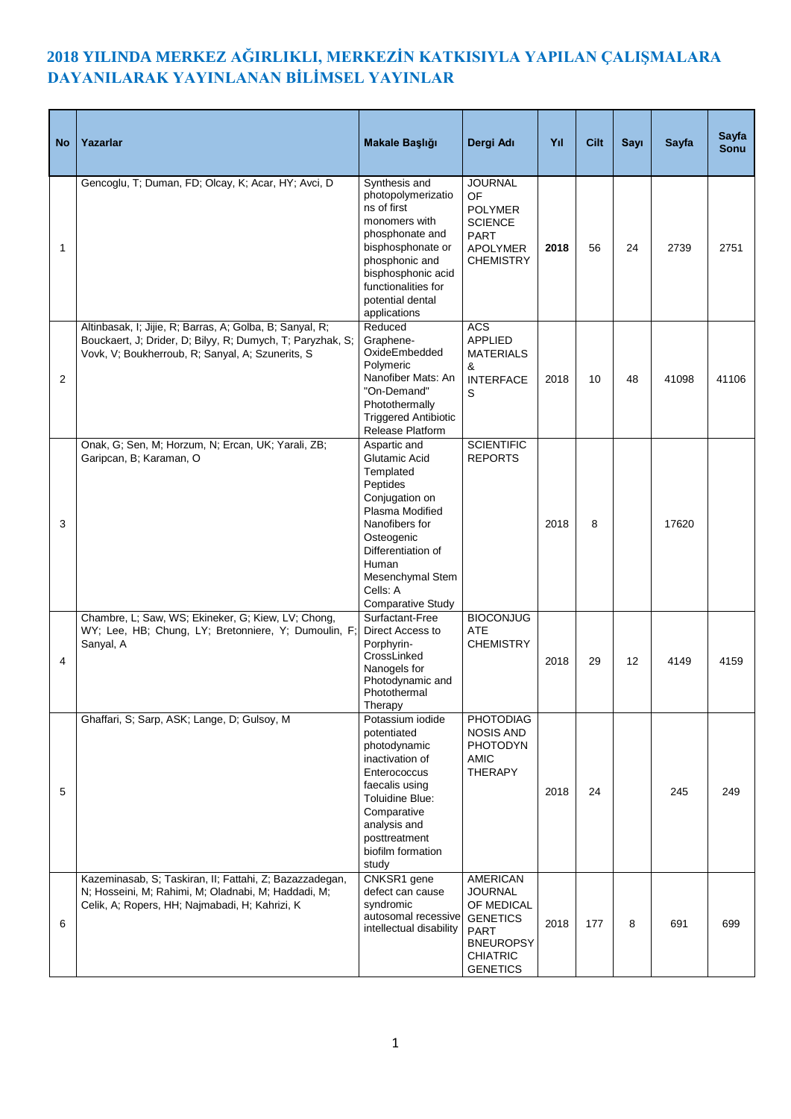## **2018 YILINDA MERKEZ AĞIRLIKLI, MERKEZİN KATKISIYLA YAPILAN ÇALIŞMALARA DAYANILARAK YAYINLANAN BİLİMSEL YAYINLAR**

| <b>No</b>      | Yazarlar                                                                                                                                                                   | Makale Başlığı                                                                                                                                                                                                         | Dergi Adı                                                                                                                                   | Yıl  | Cilt | Sayı | <b>Sayfa</b> | Sayfa<br>Sonu |
|----------------|----------------------------------------------------------------------------------------------------------------------------------------------------------------------------|------------------------------------------------------------------------------------------------------------------------------------------------------------------------------------------------------------------------|---------------------------------------------------------------------------------------------------------------------------------------------|------|------|------|--------------|---------------|
| 1              | Gencoglu, T; Duman, FD; Olcay, K; Acar, HY; Avci, D                                                                                                                        | Synthesis and<br>photopolymerizatio<br>ns of first<br>monomers with<br>phosphonate and<br>bisphosphonate or<br>phosphonic and<br>bisphosphonic acid<br>functionalities for<br>potential dental<br>applications         | <b>JOURNAL</b><br>OF<br><b>POLYMER</b><br><b>SCIENCE</b><br><b>PART</b><br><b>APOLYMER</b><br><b>CHEMISTRY</b>                              | 2018 | 56   | 24   | 2739         | 2751          |
| 2              | Altinbasak, I; Jijie, R; Barras, A; Golba, B; Sanyal, R;<br>Bouckaert, J; Drider, D; Bilyy, R; Dumych, T; Paryzhak, S;<br>Vovk, V; Boukherroub, R; Sanyal, A; Szunerits, S | Reduced<br>Graphene-<br>OxideEmbedded<br>Polymeric<br>Nanofiber Mats: An<br>"On-Demand"<br>Photothermally<br><b>Triggered Antibiotic</b><br>Release Platform                                                           | <b>ACS</b><br><b>APPLIED</b><br><b>MATERIALS</b><br>&<br><b>INTERFACE</b><br>S                                                              | 2018 | 10   | 48   | 41098        | 41106         |
| 3              | Onak, G; Sen, M; Horzum, N; Ercan, UK; Yarali, ZB;<br>Garipcan, B; Karaman, O                                                                                              | Aspartic and<br>Glutamic Acid<br>Templated<br>Peptides<br>Conjugation on<br>Plasma Modified<br>Nanofibers for<br>Osteogenic<br>Differentiation of<br>Human<br>Mesenchymal Stem<br>Cells: A<br><b>Comparative Study</b> | <b>SCIENTIFIC</b><br><b>REPORTS</b>                                                                                                         | 2018 | 8    |      | 17620        |               |
| $\overline{4}$ | Chambre, L; Saw, WS; Ekineker, G; Kiew, LV; Chong,<br>WY; Lee, HB; Chung, LY; Bretonniere, Y; Dumoulin, F;<br>Sanyal, A                                                    | Surfactant-Free<br>Direct Access to<br>Porphyrin-<br>CrossLinked<br>Nanogels for<br>Photodynamic and<br>Photothermal<br>Therapy                                                                                        | <b>BIOCONJUG</b><br><b>ATE</b><br><b>CHEMISTRY</b>                                                                                          | 2018 | 29   | 12   | 4149         | 4159          |
| 5              | Ghaffari, S; Sarp, ASK; Lange, D; Gulsoy, M                                                                                                                                | Potassium iodide<br>potentiated<br>photodynamic<br>inactivation of<br>Enterococcus<br>faecalis using<br>Toluidine Blue:<br>Comparative<br>analysis and<br>posttreatment<br>biofilm formation<br>study                  | <b>PHOTODIAG</b><br><b>NOSIS AND</b><br><b>PHOTODYN</b><br><b>AMIC</b><br><b>THERAPY</b>                                                    | 2018 | 24   |      | 245          | 249           |
| 6              | Kazeminasab, S; Taskiran, II; Fattahi, Z; Bazazzadegan,<br>N; Hosseini, M; Rahimi, M; Oladnabi, M; Haddadi, M;<br>Celik, A; Ropers, HH; Najmabadi, H; Kahrizi, K           | CNKSR1 gene<br>defect can cause<br>syndromic<br>autosomal recessive<br>intellectual disability                                                                                                                         | <b>AMERICAN</b><br><b>JOURNAL</b><br>OF MEDICAL<br><b>GENETICS</b><br><b>PART</b><br><b>BNEUROPSY</b><br><b>CHIATRIC</b><br><b>GENETICS</b> | 2018 | 177  | 8    | 691          | 699           |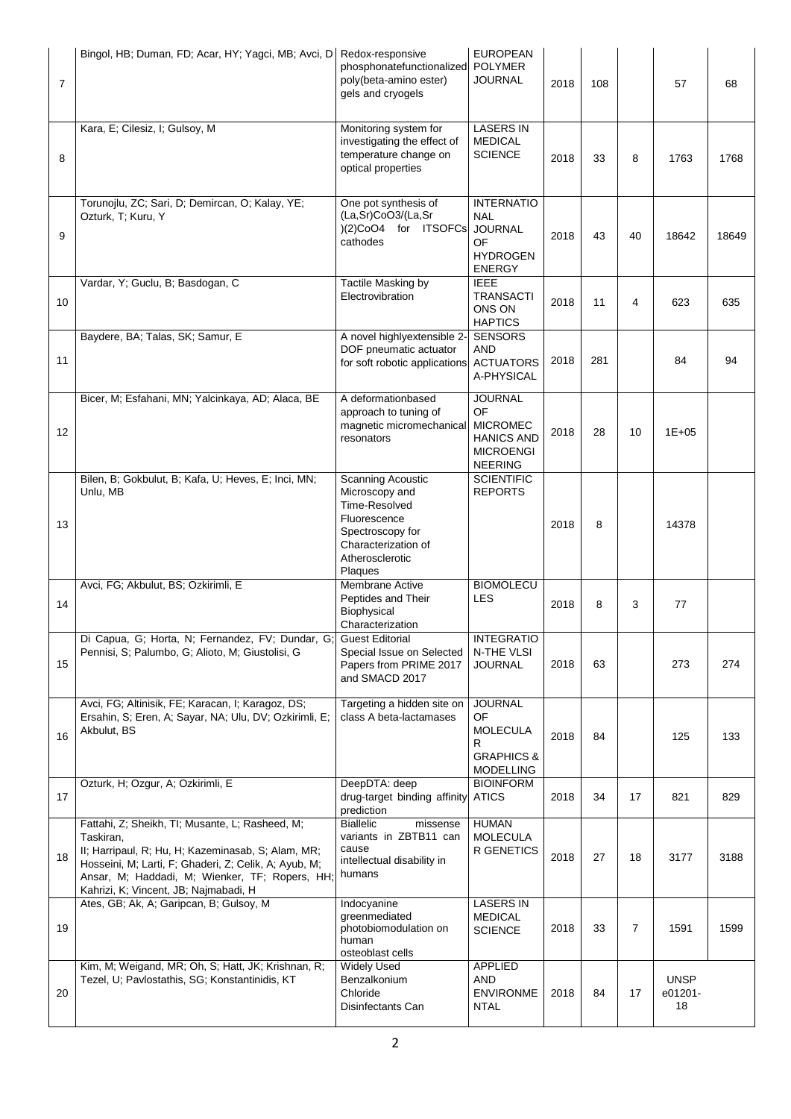| $\overline{7}$ | Bingol, HB; Duman, FD; Acar, HY; Yagci, MB; Avci, D                                                                                                                                                                                                                   | Redox-responsive<br>phosphonatefunctionalized POLYMER<br>poly(beta-amino ester)<br>gels and cryogels                                                 | <b>EUROPEAN</b><br><b>JOURNAL</b>                                                                  | 2018 | 108 |    | 57                           | 68    |
|----------------|-----------------------------------------------------------------------------------------------------------------------------------------------------------------------------------------------------------------------------------------------------------------------|------------------------------------------------------------------------------------------------------------------------------------------------------|----------------------------------------------------------------------------------------------------|------|-----|----|------------------------------|-------|
| 8              | Kara, E; Cilesiz, I; Gulsoy, M                                                                                                                                                                                                                                        | Monitoring system for<br>investigating the effect of<br>temperature change on<br>optical properties                                                  | <b>LASERS IN</b><br><b>MEDICAL</b><br><b>SCIENCE</b>                                               | 2018 | 33  | 8  | 1763                         | 1768  |
| 9              | Torunojlu, ZC; Sari, D; Demircan, O; Kalay, YE;<br>Ozturk, T; Kuru, Y                                                                                                                                                                                                 | One pot synthesis of<br>(La,Sr)CoO3/(La,Sr<br>)(2)CoO4 for ITSOFCs<br>cathodes                                                                       | <b>INTERNATIO</b><br><b>NAL</b><br><b>JOURNAL</b><br>OF<br><b>HYDROGEN</b><br><b>ENERGY</b>        | 2018 | 43  | 40 | 18642                        | 18649 |
| 10             | Vardar, Y; Guclu, B; Basdogan, C                                                                                                                                                                                                                                      | Tactile Masking by<br>Electrovibration                                                                                                               | <b>IEEE</b><br><b>TRANSACTI</b><br>ONS ON<br><b>HAPTICS</b>                                        | 2018 | 11  | 4  | 623                          | 635   |
| 11             | Baydere, BA; Talas, SK; Samur, E                                                                                                                                                                                                                                      | A novel highlyextensible 2-<br>DOF pneumatic actuator<br>for soft robotic applications                                                               | <b>SENSORS</b><br><b>AND</b><br><b>ACTUATORS</b><br>A-PHYSICAL                                     | 2018 | 281 |    | 84                           | 94    |
| 12             | Bicer, M; Esfahani, MN; Yalcinkaya, AD; Alaca, BE                                                                                                                                                                                                                     | A deformationbased<br>approach to tuning of<br>magnetic micromechanical<br>resonators                                                                | <b>JOURNAL</b><br>OF<br><b>MICROMEC</b><br><b>HANICS AND</b><br><b>MICROENGI</b><br><b>NEERING</b> | 2018 | 28  | 10 | $1E + 05$                    |       |
| 13             | Bilen, B; Gokbulut, B; Kafa, U; Heves, E; Inci, MN;<br>Unlu, MB                                                                                                                                                                                                       | <b>Scanning Acoustic</b><br>Microscopy and<br>Time-Resolved<br>Fluorescence<br>Spectroscopy for<br>Characterization of<br>Atherosclerotic<br>Plaques | <b>SCIENTIFIC</b><br><b>REPORTS</b>                                                                | 2018 | 8   |    | 14378                        |       |
| 14             | Avci, FG; Akbulut, BS; Ozkirimli, E                                                                                                                                                                                                                                   | Membrane Active<br>Peptides and Their<br>Biophysical<br>Characterization                                                                             | <b>BIOMOLECU</b><br><b>LES</b>                                                                     | 2018 | 8   | 3  | 77                           |       |
| 15             | Di Capua, G; Horta, N; Fernandez, FV; Dundar, G;<br>Pennisi, S; Palumbo, G; Alioto, M; Giustolisi, G                                                                                                                                                                  | <b>Guest Editorial</b><br>Special Issue on Selected<br>Papers from PRIME 2017<br>and SMACD 2017                                                      | <b>INTEGRATIO</b><br>N-THE VLSI<br><b>JOURNAL</b>                                                  | 2018 | 63  |    | 273                          | 274   |
| 16             | Avci, FG; Altinisik, FE; Karacan, I; Karagoz, DS;<br>Ersahin, S; Eren, A; Sayar, NA; Ulu, DV; Ozkirimli, E;<br>Akbulut, BS                                                                                                                                            | Targeting a hidden site on<br>class A beta-lactamases                                                                                                | <b>JOURNAL</b><br>OF<br><b>MOLECULA</b><br>R<br><b>GRAPHICS &amp;</b><br><b>MODELLING</b>          | 2018 | 84  |    | 125                          | 133   |
| 17             | Ozturk, H; Ozgur, A; Ozkirimli, E                                                                                                                                                                                                                                     | DeepDTA: deep<br>drug-target binding affinity ATICS<br>prediction                                                                                    | <b>BIOINFORM</b>                                                                                   | 2018 | 34  | 17 | 821                          | 829   |
| 18             | Fattahi, Z; Sheikh, TI; Musante, L; Rasheed, M;<br>Taskiran,<br>II; Harripaul, R; Hu, H; Kazeminasab, S; Alam, MR;<br>Hosseini, M; Larti, F; Ghaderi, Z; Celik, A; Ayub, M;<br>Ansar, M; Haddadi, M; Wienker, TF; Ropers, HH<br>Kahrizi, K; Vincent, JB; Najmabadi, H | <b>Biallelic</b><br>missense<br>variants in ZBTB11 can<br>cause<br>intellectual disability in<br>humans                                              | <b>HUMAN</b><br><b>MOLECULA</b><br>R GENETICS                                                      | 2018 | 27  | 18 | 3177                         | 3188  |
| 19             | Ates, GB; Ak, A; Garipcan, B; Gulsoy, M                                                                                                                                                                                                                               | Indocyanine<br>greenmediated<br>photobiomodulation on<br>human<br>osteoblast cells                                                                   | <b>LASERS IN</b><br><b>MEDICAL</b><br><b>SCIENCE</b>                                               | 2018 | 33  | 7  | 1591                         | 1599  |
| 20             | Kim, M; Weigand, MR; Oh, S; Hatt, JK; Krishnan, R;<br>Tezel, U; Pavlostathis, SG; Konstantinidis, KT                                                                                                                                                                  | <b>Widely Used</b><br>Benzalkonium<br>Chloride<br>Disinfectants Can                                                                                  | <b>APPLIED</b><br>AND<br><b>ENVIRONME</b><br><b>NTAL</b>                                           | 2018 | 84  | 17 | <b>UNSP</b><br>e01201-<br>18 |       |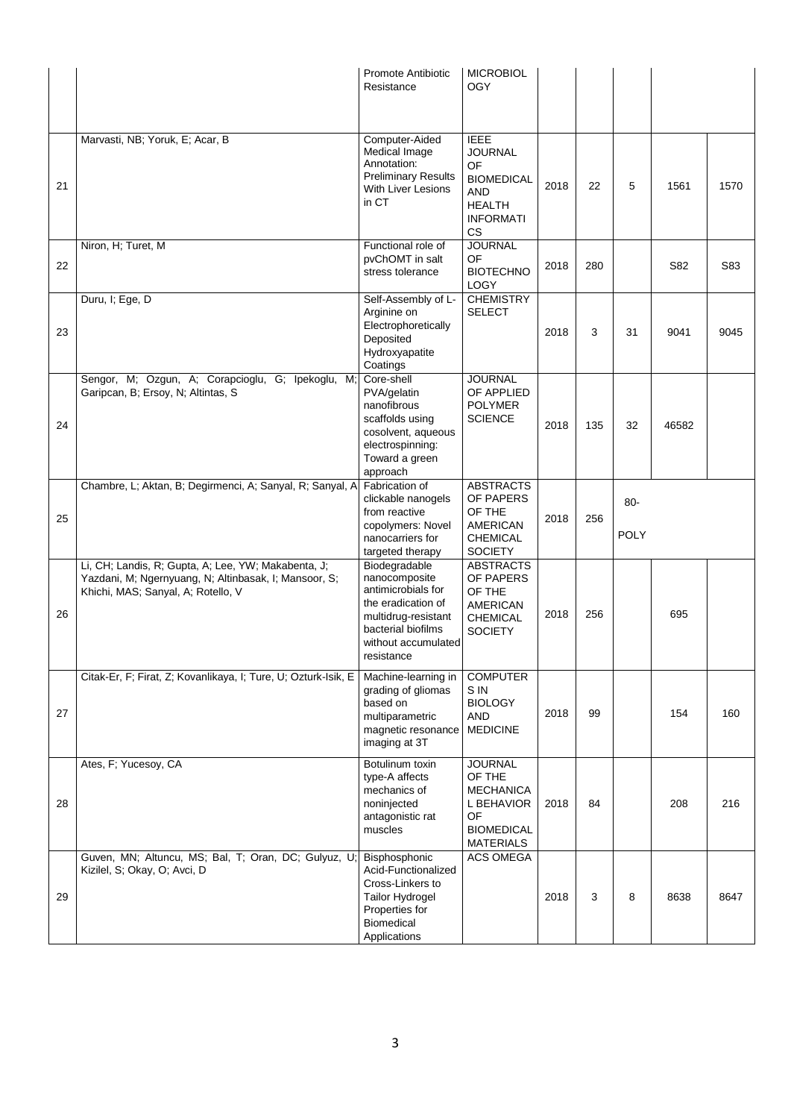|    |                                                                                                                                                    | Promote Antibiotic<br>Resistance                                                                                                                             | <b>MICROBIOL</b><br>OGY                                                                                           |      |     |                      |       |      |
|----|----------------------------------------------------------------------------------------------------------------------------------------------------|--------------------------------------------------------------------------------------------------------------------------------------------------------------|-------------------------------------------------------------------------------------------------------------------|------|-----|----------------------|-------|------|
| 21 | Marvasti, NB; Yoruk, E; Acar, B                                                                                                                    | Computer-Aided<br>Medical Image<br>Annotation:<br><b>Preliminary Results</b><br>With Liver Lesions<br>in CT                                                  | <b>IEEE</b><br><b>JOURNAL</b><br>OF<br><b>BIOMEDICAL</b><br>AND<br><b>HEALTH</b><br><b>INFORMATI</b><br><b>CS</b> | 2018 | 22  | 5                    | 1561  | 1570 |
| 22 | Niron, H; Turet, M                                                                                                                                 | Functional role of<br>pvChOMT in salt<br>stress tolerance                                                                                                    | <b>JOURNAL</b><br>OF<br><b>BIOTECHNO</b><br>LOGY                                                                  | 2018 | 280 |                      | S82   | S83  |
| 23 | Duru, I; Ege, D                                                                                                                                    | Self-Assembly of L-<br>Arginine on<br>Electrophoretically<br>Deposited<br>Hydroxyapatite<br>Coatings                                                         | <b>CHEMISTRY</b><br><b>SELECT</b>                                                                                 | 2018 | 3   | 31                   | 9041  | 9045 |
| 24 | Sengor, M; Ozgun, A; Corapcioglu, G; Ipekoglu,<br>M;<br>Garipcan, B; Ersoy, N; Altintas, S                                                         | Core-shell<br>PVA/gelatin<br>nanofibrous<br>scaffolds using<br>cosolvent, aqueous<br>electrospinning:<br>Toward a green<br>approach                          | <b>JOURNAL</b><br>OF APPLIED<br><b>POLYMER</b><br><b>SCIENCE</b>                                                  | 2018 | 135 | 32                   | 46582 |      |
| 25 | Chambre, L; Aktan, B; Degirmenci, A; Sanyal, R; Sanyal, A                                                                                          | Fabrication of<br>clickable nanogels<br>from reactive<br>copolymers: Novel<br>nanocarriers for<br>targeted therapy                                           | <b>ABSTRACTS</b><br>OF PAPERS<br>OF THE<br><b>AMERICAN</b><br><b>CHEMICAL</b><br><b>SOCIETY</b>                   | 2018 | 256 | $80-$<br><b>POLY</b> |       |      |
| 26 | Li, CH; Landis, R; Gupta, A; Lee, YW; Makabenta, J;<br>Yazdani, M; Ngernyuang, N; Altinbasak, I; Mansoor, S;<br>Khichi, MAS; Sanyal, A; Rotello, V | Biodegradable<br>nanocomposite<br>antimicrobials for<br>the eradication of<br>multidrug-resistant<br>bacterial biofilms<br>without accumulated<br>resistance | <b>ABSTRACTS</b><br>OF PAPERS<br>OF THE<br><b>AMERICAN</b><br><b>CHEMICAL</b><br><b>SOCIETY</b>                   | 2018 | 256 |                      | 695   |      |
| 27 | Citak-Er, F; Firat, Z; Kovanlikaya, I; Ture, U; Ozturk-Isik, E                                                                                     | Machine-learning in<br>grading of gliomas<br>based on<br>multiparametric<br>magnetic resonance<br>imaging at 3T                                              | <b>COMPUTER</b><br>S IN<br><b>BIOLOGY</b><br><b>AND</b><br><b>MEDICINE</b>                                        | 2018 | 99  |                      | 154   | 160  |
| 28 | Ates, F; Yucesoy, CA                                                                                                                               | Botulinum toxin<br>type-A affects<br>mechanics of<br>noninjected<br>antagonistic rat<br>muscles                                                              | <b>JOURNAL</b><br>OF THE<br><b>MECHANICA</b><br>L BEHAVIOR<br>OF<br><b>BIOMEDICAL</b><br><b>MATERIALS</b>         | 2018 | 84  |                      | 208   | 216  |
| 29 | Guven, MN; Altuncu, MS; Bal, T; Oran, DC; Gulyuz, U;<br>Kizilel, S; Okay, O; Avci, D                                                               | Bisphosphonic<br>Acid-Functionalized<br>Cross-Linkers to<br>Tailor Hydrogel<br>Properties for<br>Biomedical<br>Applications                                  | <b>ACS OMEGA</b>                                                                                                  | 2018 | 3   | 8                    | 8638  | 8647 |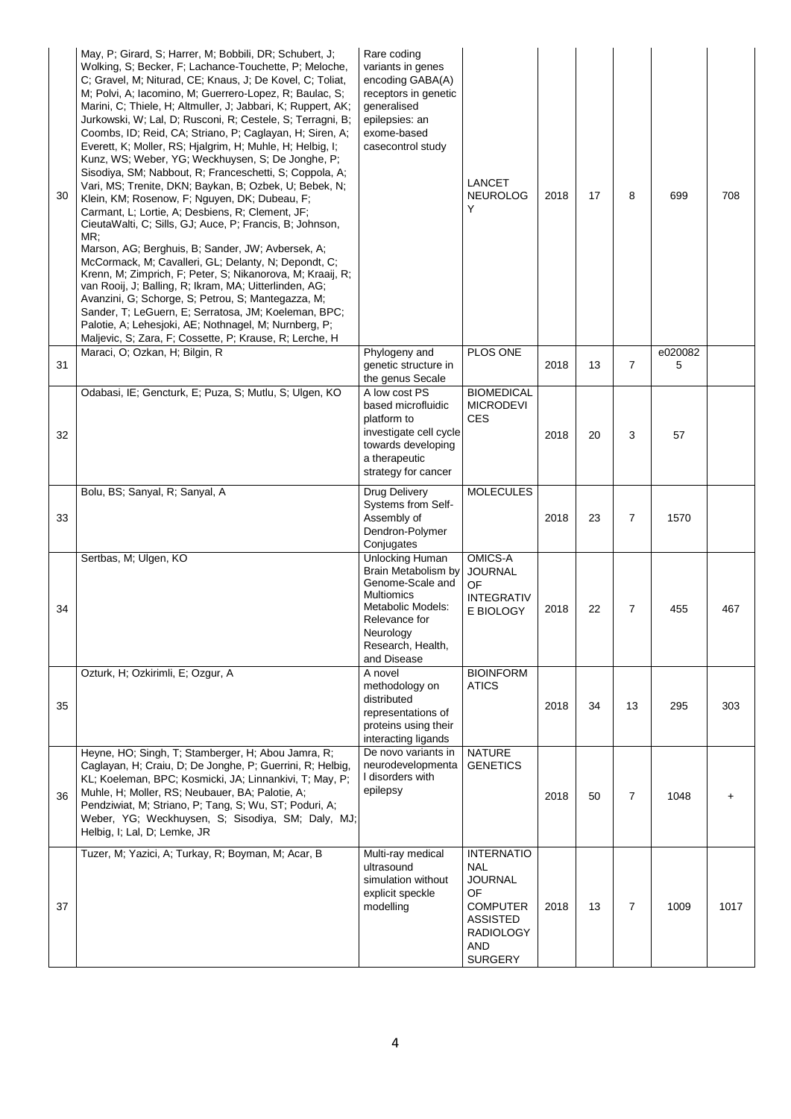| 30 | May, P; Girard, S; Harrer, M; Bobbili, DR; Schubert, J;<br>Wolking, S; Becker, F; Lachance-Touchette, P; Meloche,<br>C; Gravel, M; Niturad, CE; Knaus, J; De Kovel, C; Toliat,<br>M; Polvi, A; Iacomino, M; Guerrero-Lopez, R; Baulac, S;<br>Marini, C; Thiele, H; Altmuller, J; Jabbari, K; Ruppert, AK;<br>Jurkowski, W; Lal, D; Rusconi, R; Cestele, S; Terragni, B;<br>Coombs, ID; Reid, CA; Striano, P; Caglayan, H; Siren, A;<br>Everett, K; Moller, RS; Hjalgrim, H; Muhle, H; Helbig, I;<br>Kunz, WS; Weber, YG; Weckhuysen, S; De Jonghe, P;<br>Sisodiya, SM; Nabbout, R; Franceschetti, S; Coppola, A;<br>Vari, MS; Trenite, DKN; Baykan, B; Ozbek, U; Bebek, N;<br>Klein, KM; Rosenow, F; Nguyen, DK; Dubeau, F;<br>Carmant, L; Lortie, A; Desbiens, R; Clement, JF;<br>CieutaWalti, C; Sills, GJ; Auce, P; Francis, B; Johnson,<br>MR;<br>Marson, AG; Berghuis, B; Sander, JW; Avbersek, A;<br>McCormack, M; Cavalleri, GL; Delanty, N; Depondt, C;<br>Krenn, M; Zimprich, F; Peter, S; Nikanorova, M; Kraaij, R;<br>van Rooij, J; Balling, R; Ikram, MA; Uitterlinden, AG;<br>Avanzini, G; Schorge, S; Petrou, S; Mantegazza, M;<br>Sander, T; LeGuern, E; Serratosa, JM; Koeleman, BPC;<br>Palotie, A; Lehesjoki, AE; Nothnagel, M; Nurnberg, P;<br>Maljevic, S; Zara, F; Cossette, P; Krause, R; Lerche, H | Rare coding<br>variants in genes<br>encoding GABA(A)<br>receptors in genetic<br>generalised<br>epilepsies: an<br>exome-based<br>casecontrol study                      | LANCET<br><b>NEUROLOG</b><br>Υ                                                                                                                     | 2018 | 17 | 8              | 699          | 708  |
|----|---------------------------------------------------------------------------------------------------------------------------------------------------------------------------------------------------------------------------------------------------------------------------------------------------------------------------------------------------------------------------------------------------------------------------------------------------------------------------------------------------------------------------------------------------------------------------------------------------------------------------------------------------------------------------------------------------------------------------------------------------------------------------------------------------------------------------------------------------------------------------------------------------------------------------------------------------------------------------------------------------------------------------------------------------------------------------------------------------------------------------------------------------------------------------------------------------------------------------------------------------------------------------------------------------------------------------|------------------------------------------------------------------------------------------------------------------------------------------------------------------------|----------------------------------------------------------------------------------------------------------------------------------------------------|------|----|----------------|--------------|------|
| 31 | Maraci, O; Ozkan, H; Bilgin, R                                                                                                                                                                                                                                                                                                                                                                                                                                                                                                                                                                                                                                                                                                                                                                                                                                                                                                                                                                                                                                                                                                                                                                                                                                                                                            | Phylogeny and<br>genetic structure in<br>the genus Secale                                                                                                              | PLOS ONE                                                                                                                                           | 2018 | 13 | $\overline{7}$ | e020082<br>5 |      |
| 32 | Odabasi, IE; Gencturk, E; Puza, S; Mutlu, S; Ulgen, KO                                                                                                                                                                                                                                                                                                                                                                                                                                                                                                                                                                                                                                                                                                                                                                                                                                                                                                                                                                                                                                                                                                                                                                                                                                                                    | A low cost PS<br>based microfluidic<br>platform to<br>investigate cell cycle<br>towards developing<br>a therapeutic<br>strategy for cancer                             | <b>BIOMEDICAL</b><br><b>MICRODEVI</b><br><b>CES</b>                                                                                                | 2018 | 20 | 3              | 57           |      |
| 33 | Bolu, BS; Sanyal, R; Sanyal, A                                                                                                                                                                                                                                                                                                                                                                                                                                                                                                                                                                                                                                                                                                                                                                                                                                                                                                                                                                                                                                                                                                                                                                                                                                                                                            | Drug Delivery<br>Systems from Self-<br>Assembly of<br>Dendron-Polymer<br>Conjugates                                                                                    | <b>MOLECULES</b>                                                                                                                                   | 2018 | 23 | $\overline{7}$ | 1570         |      |
| 34 | Sertbas, M; Ulgen, KO                                                                                                                                                                                                                                                                                                                                                                                                                                                                                                                                                                                                                                                                                                                                                                                                                                                                                                                                                                                                                                                                                                                                                                                                                                                                                                     | Unlocking Human<br>Brain Metabolism by<br>Genome-Scale and<br><b>Multiomics</b><br>Metabolic Models:<br>Relevance for<br>Neurology<br>Research, Health,<br>and Disease | OMICS-A<br><b>JOURNAL</b><br><b>OF</b><br><b>INTEGRATIV</b><br>E BIOLOGY                                                                           | 2018 | 22 | $\overline{7}$ | 455          | 467  |
| 35 | Ozturk, H; Ozkirimli, E; Ozgur, A                                                                                                                                                                                                                                                                                                                                                                                                                                                                                                                                                                                                                                                                                                                                                                                                                                                                                                                                                                                                                                                                                                                                                                                                                                                                                         | A novel<br>methodology on<br>distributed<br>representations of<br>proteins using their<br>interacting ligands                                                          | <b>BIOINFORM</b><br><b>ATICS</b>                                                                                                                   | 2018 | 34 | 13             | 295          | 303  |
| 36 | Heyne, HO; Singh, T; Stamberger, H; Abou Jamra, R;<br>Caglayan, H; Craiu, D; De Jonghe, P; Guerrini, R; Helbig,<br>KL; Koeleman, BPC; Kosmicki, JA; Linnankivi, T; May, P;<br>Muhle, H; Moller, RS; Neubauer, BA; Palotie, A;<br>Pendziwiat, M; Striano, P; Tang, S; Wu, ST; Poduri, A;<br>Weber, YG; Weckhuysen, S; Sisodiya, SM; Daly, MJ;<br>Helbig, I; Lal, D; Lemke, JR                                                                                                                                                                                                                                                                                                                                                                                                                                                                                                                                                                                                                                                                                                                                                                                                                                                                                                                                              | De novo variants in<br>neurodevelopmenta<br>I disorders with<br>epilepsy                                                                                               | <b>NATURE</b><br><b>GENETICS</b>                                                                                                                   | 2018 | 50 | $\overline{7}$ | 1048         |      |
| 37 | Tuzer, M; Yazici, A; Turkay, R; Boyman, M; Acar, B                                                                                                                                                                                                                                                                                                                                                                                                                                                                                                                                                                                                                                                                                                                                                                                                                                                                                                                                                                                                                                                                                                                                                                                                                                                                        | Multi-ray medical<br>ultrasound<br>simulation without<br>explicit speckle<br>modelling                                                                                 | <b>INTERNATIO</b><br><b>NAL</b><br><b>JOURNAL</b><br>OF.<br><b>COMPUTER</b><br><b>ASSISTED</b><br><b>RADIOLOGY</b><br><b>AND</b><br><b>SURGERY</b> | 2018 | 13 | $\overline{7}$ | 1009         | 1017 |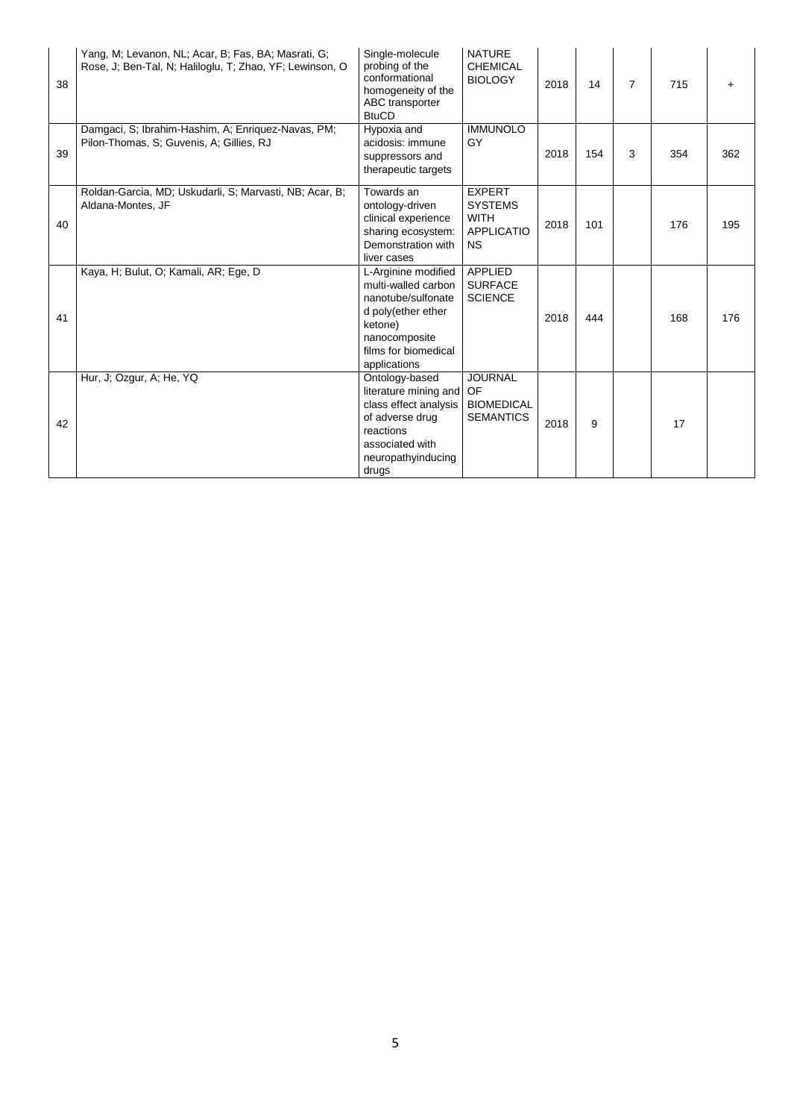| 38 | Yang, M; Levanon, NL; Acar, B; Fas, BA; Masrati, G;<br>Rose, J; Ben-Tal, N; Haliloglu, T; Zhao, YF; Lewinson, O | Single-molecule<br>probing of the<br>conformational<br>homogeneity of the<br>ABC transporter<br><b>BtuCD</b>                                               | <b>NATURE</b><br><b>CHEMICAL</b><br><b>BIOLOGY</b>                               | 2018 | 14  | $\overline{7}$ | 715 |     |
|----|-----------------------------------------------------------------------------------------------------------------|------------------------------------------------------------------------------------------------------------------------------------------------------------|----------------------------------------------------------------------------------|------|-----|----------------|-----|-----|
| 39 | Damgaci, S; Ibrahim-Hashim, A; Enriquez-Navas, PM;<br>Pilon-Thomas, S; Guvenis, A; Gillies, RJ                  | Hypoxia and<br>acidosis: immune<br>suppressors and<br>therapeutic targets                                                                                  | <b>IMMUNOLO</b><br>GY                                                            | 2018 | 154 | 3              | 354 | 362 |
| 40 | Roldan-Garcia, MD; Uskudarli, S; Marvasti, NB; Acar, B;<br>Aldana-Montes, JF                                    | Towards an<br>ontology-driven<br>clinical experience<br>sharing ecosystem:<br>Demonstration with<br>liver cases                                            | <b>EXPERT</b><br><b>SYSTEMS</b><br><b>WITH</b><br><b>APPLICATIO</b><br><b>NS</b> | 2018 | 101 |                | 176 | 195 |
| 41 | Kaya, H; Bulut, O; Kamali, AR; Ege, D                                                                           | L-Arginine modified<br>multi-walled carbon<br>nanotube/sulfonate<br>d poly(ether ether<br>ketone)<br>nanocomposite<br>films for biomedical<br>applications | <b>APPLIED</b><br><b>SURFACE</b><br><b>SCIENCE</b>                               | 2018 | 444 |                | 168 | 176 |
| 42 | Hur, J; Ozgur, A; He, YQ                                                                                        | Ontology-based<br>literature mining and<br>class effect analysis<br>of adverse drug<br>reactions<br>associated with<br>neuropathyinducing<br>drugs         | <b>JOURNAL</b><br>OF<br><b>BIOMEDICAL</b><br><b>SEMANTICS</b>                    | 2018 | 9   |                | 17  |     |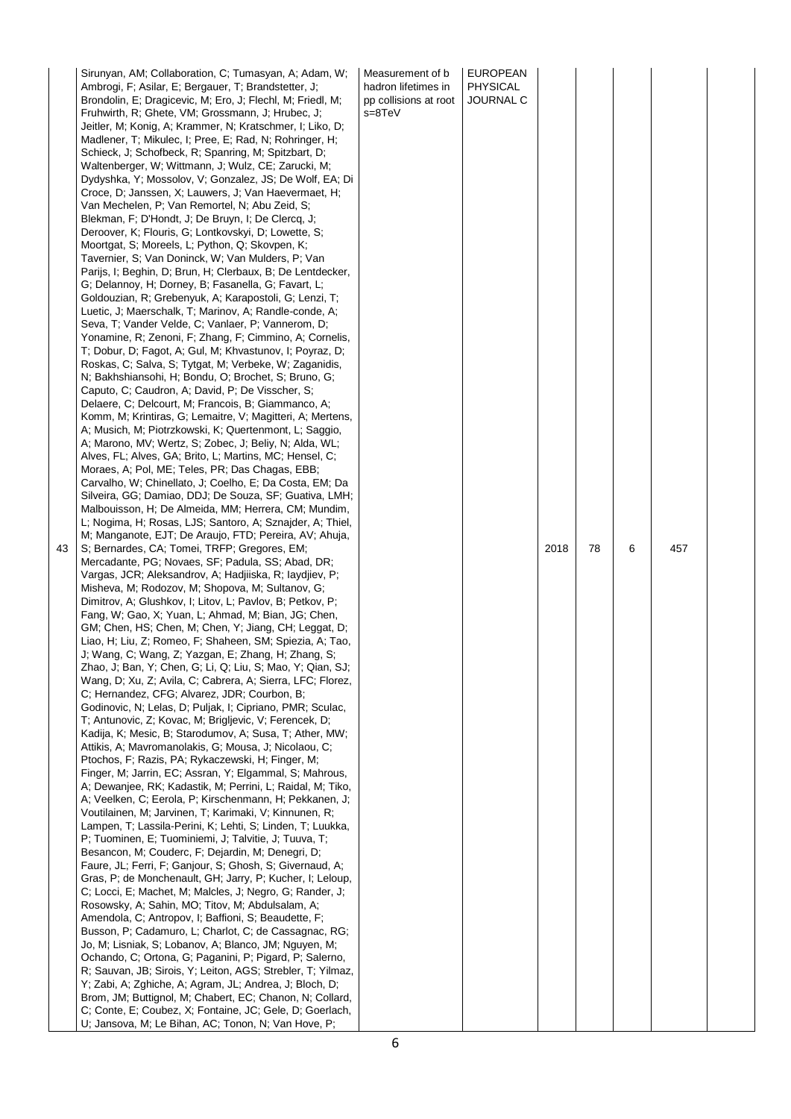| 43 | Sirunyan, AM; Collaboration, C; Tumasyan, A; Adam, W;<br>Ambrogi, F; Asilar, E; Bergauer, T; Brandstetter, J;<br>Brondolin, E; Dragicevic, M; Ero, J; Flechl, M; Friedl, M;<br>Fruhwirth, R; Ghete, VM; Grossmann, J; Hrubec, J;<br>Jeitler, M; Konig, A; Krammer, N; Kratschmer, I; Liko, D;<br>Madlener, T; Mikulec, I; Pree, E; Rad, N; Rohringer, H;<br>Schieck, J; Schofbeck, R; Spanring, M; Spitzbart, D;<br>Waltenberger, W; Wittmann, J; Wulz, CE; Zarucki, M;<br>Dydyshka, Y; Mossolov, V; Gonzalez, JS; De Wolf, EA; Di<br>Croce, D; Janssen, X; Lauwers, J; Van Haevermaet, H;<br>Van Mechelen, P; Van Remortel, N; Abu Zeid, S;<br>Blekman, F; D'Hondt, J; De Bruyn, I; De Clercq, J;<br>Deroover, K; Flouris, G; Lontkovskyi, D; Lowette, S;<br>Moortgat, S; Moreels, L; Python, Q; Skovpen, K;<br>Tavernier, S; Van Doninck, W; Van Mulders, P; Van<br>Parijs, I; Beghin, D; Brun, H; Clerbaux, B; De Lentdecker,<br>G; Delannoy, H; Dorney, B; Fasanella, G; Favart, L;<br>Goldouzian, R; Grebenyuk, A; Karapostoli, G; Lenzi, T;<br>Luetic, J; Maerschalk, T; Marinov, A; Randle-conde, A;<br>Seva, T; Vander Velde, C; Vanlaer, P; Vannerom, D;<br>Yonamine, R; Zenoni, F; Zhang, F; Cimmino, A; Cornelis,<br>T; Dobur, D; Fagot, A; Gul, M; Khvastunov, I; Poyraz, D;<br>Roskas, C; Salva, S; Tytgat, M; Verbeke, W; Zaganidis,<br>N; Bakhshiansohi, H; Bondu, O; Brochet, S; Bruno, G;<br>Caputo, C; Caudron, A; David, P; De Visscher, S;<br>Delaere, C; Delcourt, M; Francois, B; Giammanco, A;<br>Komm, M; Krintiras, G; Lemaitre, V; Magitteri, A; Mertens,<br>A; Musich, M; Piotrzkowski, K; Quertenmont, L; Saggio,<br>A; Marono, MV; Wertz, S; Zobec, J; Beliy, N; Alda, WL;<br>Alves, FL; Alves, GA; Brito, L; Martins, MC; Hensel, C;<br>Moraes, A; Pol, ME; Teles, PR; Das Chagas, EBB;<br>Carvalho, W; Chinellato, J; Coelho, E; Da Costa, EM; Da<br>Silveira, GG; Damiao, DDJ; De Souza, SF; Guativa, LMH;<br>Malbouisson, H; De Almeida, MM; Herrera, CM; Mundim,<br>L; Nogima, H; Rosas, LJS; Santoro, A; Sznajder, A; Thiel,<br>M; Manganote, EJT; De Araujo, FTD; Pereira, AV; Ahuja,<br>S; Bernardes, CA; Tomei, TRFP; Gregores, EM;<br>Mercadante, PG; Novaes, SF; Padula, SS; Abad, DR;<br>Vargas, JCR; Aleksandrov, A; Hadjiiska, R; Iaydjiev, P;<br>Misheva, M; Rodozov, M; Shopova, M; Sultanov, G;<br>Dimitrov, A; Glushkov, I; Litov, L; Pavlov, B; Petkov, P;<br>Fang, W; Gao, X; Yuan, L; Ahmad, M; Bian, JG; Chen,<br>GM; Chen, HS; Chen, M; Chen, Y; Jiang, CH; Leggat, D;<br>Liao, H; Liu, Z; Romeo, F; Shaheen, SM; Spiezia, A; Tao,<br>J; Wang, C; Wang, Z; Yazgan, E; Zhang, H; Zhang, S;<br>Zhao, J; Ban, Y; Chen, G; Li, Q; Liu, S; Mao, Y; Qian, SJ;<br>Wang, D; Xu, Z; Avila, C; Cabrera, A; Sierra, LFC; Florez,<br>C; Hernandez, CFG; Alvarez, JDR; Courbon, B;<br>Godinovic, N; Lelas, D; Puljak, I; Cipriano, PMR; Sculac,<br>T; Antunovic, Z; Kovac, M; Brigljevic, V; Ferencek, D;<br>Kadija, K; Mesic, B; Starodumov, A; Susa, T; Ather, MW;<br>Attikis, A; Mavromanolakis, G; Mousa, J; Nicolaou, C;<br>Ptochos, F; Razis, PA; Rykaczewski, H; Finger, M;<br>Finger, M; Jarrin, EC; Assran, Y; Elgammal, S; Mahrous,<br>A; Dewanjee, RK; Kadastik, M; Perrini, L; Raidal, M; Tiko,<br>A; Veelken, C; Eerola, P; Kirschenmann, H; Pekkanen, J;<br>Voutilainen, M; Jarvinen, T; Karimaki, V; Kinnunen, R;<br>Lampen, T; Lassila-Perini, K; Lehti, S; Linden, T; Luukka,<br>P; Tuominen, E; Tuominiemi, J; Talvitie, J; Tuuva, T;<br>Besancon, M; Couderc, F; Dejardin, M; Denegri, D;<br>Faure, JL; Ferri, F; Ganjour, S; Ghosh, S; Givernaud, A;<br>Gras, P; de Monchenault, GH; Jarry, P; Kucher, I; Leloup,<br>C; Locci, E; Machet, M; Malcles, J; Negro, G; Rander, J;<br>Rosowsky, A; Sahin, MO; Titov, M; Abdulsalam, A;<br>Amendola, C; Antropov, I; Baffioni, S; Beaudette, F;<br>Busson, P; Cadamuro, L; Charlot, C; de Cassagnac, RG;<br>Jo, M; Lisniak, S; Lobanov, A; Blanco, JM; Nguyen, M;<br>Ochando, C; Ortona, G; Paganini, P; Pigard, P; Salerno,<br>R; Sauvan, JB; Sirois, Y; Leiton, AGS; Strebler, T; Yilmaz,<br>Y; Zabi, A; Zghiche, A; Agram, JL; Andrea, J; Bloch, D;<br>Brom, JM; Buttignol, M; Chabert, EC; Chanon, N; Collard,<br>C; Conte, E; Coubez, X; Fontaine, JC; Gele, D; Goerlach,<br>U; Jansova, M; Le Bihan, AC; Tonon, N; Van Hove, P; | Measurement of b<br>hadron lifetimes in<br>pp collisions at root<br>s=8TeV | <b>EUROPEAN</b><br><b>PHYSICAL</b><br><b>JOURNAL C</b> | 2018 | 78 | 6 | 457 |  |
|----|--------------------------------------------------------------------------------------------------------------------------------------------------------------------------------------------------------------------------------------------------------------------------------------------------------------------------------------------------------------------------------------------------------------------------------------------------------------------------------------------------------------------------------------------------------------------------------------------------------------------------------------------------------------------------------------------------------------------------------------------------------------------------------------------------------------------------------------------------------------------------------------------------------------------------------------------------------------------------------------------------------------------------------------------------------------------------------------------------------------------------------------------------------------------------------------------------------------------------------------------------------------------------------------------------------------------------------------------------------------------------------------------------------------------------------------------------------------------------------------------------------------------------------------------------------------------------------------------------------------------------------------------------------------------------------------------------------------------------------------------------------------------------------------------------------------------------------------------------------------------------------------------------------------------------------------------------------------------------------------------------------------------------------------------------------------------------------------------------------------------------------------------------------------------------------------------------------------------------------------------------------------------------------------------------------------------------------------------------------------------------------------------------------------------------------------------------------------------------------------------------------------------------------------------------------------------------------------------------------------------------------------------------------------------------------------------------------------------------------------------------------------------------------------------------------------------------------------------------------------------------------------------------------------------------------------------------------------------------------------------------------------------------------------------------------------------------------------------------------------------------------------------------------------------------------------------------------------------------------------------------------------------------------------------------------------------------------------------------------------------------------------------------------------------------------------------------------------------------------------------------------------------------------------------------------------------------------------------------------------------------------------------------------------------------------------------------------------------------------------------------------------------------------------------------------------------------------------------------------------------------------------------------------------------------------------------------------------------------------------------------------------------------------------------------------------------------------------------------------------------------------------------------------------------------------------------------------------------------------------------------------------------------------------------------------------------------------------------|----------------------------------------------------------------------------|--------------------------------------------------------|------|----|---|-----|--|
|----|--------------------------------------------------------------------------------------------------------------------------------------------------------------------------------------------------------------------------------------------------------------------------------------------------------------------------------------------------------------------------------------------------------------------------------------------------------------------------------------------------------------------------------------------------------------------------------------------------------------------------------------------------------------------------------------------------------------------------------------------------------------------------------------------------------------------------------------------------------------------------------------------------------------------------------------------------------------------------------------------------------------------------------------------------------------------------------------------------------------------------------------------------------------------------------------------------------------------------------------------------------------------------------------------------------------------------------------------------------------------------------------------------------------------------------------------------------------------------------------------------------------------------------------------------------------------------------------------------------------------------------------------------------------------------------------------------------------------------------------------------------------------------------------------------------------------------------------------------------------------------------------------------------------------------------------------------------------------------------------------------------------------------------------------------------------------------------------------------------------------------------------------------------------------------------------------------------------------------------------------------------------------------------------------------------------------------------------------------------------------------------------------------------------------------------------------------------------------------------------------------------------------------------------------------------------------------------------------------------------------------------------------------------------------------------------------------------------------------------------------------------------------------------------------------------------------------------------------------------------------------------------------------------------------------------------------------------------------------------------------------------------------------------------------------------------------------------------------------------------------------------------------------------------------------------------------------------------------------------------------------------------------------------------------------------------------------------------------------------------------------------------------------------------------------------------------------------------------------------------------------------------------------------------------------------------------------------------------------------------------------------------------------------------------------------------------------------------------------------------------------------------------------------------------------------------------------------------------------------------------------------------------------------------------------------------------------------------------------------------------------------------------------------------------------------------------------------------------------------------------------------------------------------------------------------------------------------------------------------------------------------------------------------------------------------------------------------------------|----------------------------------------------------------------------------|--------------------------------------------------------|------|----|---|-----|--|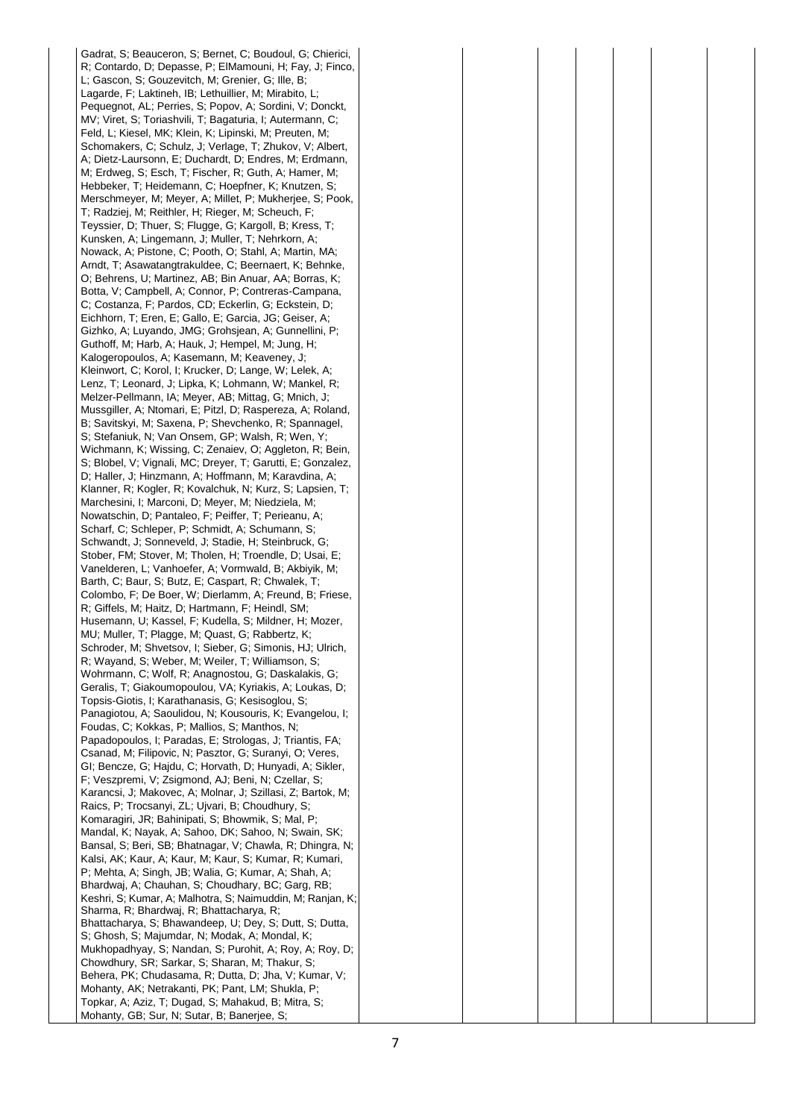Gadrat, S; Beauceron, S; Bernet, C; Boudoul, G; Chierici, R; Contardo, D; Depasse, P; ElMamouni, H; Fay, J; Finco, L; Gascon, S; Gouzevitch, M; Grenier, G; Ille, B; Lagarde, F; Laktineh, IB; Lethuillier, M; Mirabito, L; Pequegnot, AL; Perries, S; Popov, A; Sordini, V; Donckt, MV; Viret, S; Toriashvili, T; Bagaturia, I; Autermann, C; Feld, L; Kiesel, MK; Klein, K; Lipinski, M; Preuten, M; Schomakers, C; Schulz, J; Verlage, T; Zhukov, V; Albert, A; Dietz-Laursonn, E; Duchardt, D; Endres, M; Erdmann, M; Erdweg, S; Esch, T; Fischer, R; Guth, A; Hamer, M; Hebbeker, T; Heidemann, C; Hoepfner, K; Knutzen, S; Merschmeyer, M; Meyer, A; Millet, P; Mukherjee, S; Pook, T; Radziej, M; Reithler, H; Rieger, M; Scheuch, F; Teyssier, D; Thuer, S; Flugge, G; Kargoll, B; Kress, T; Kunsken, A; Lingemann, J; Muller, T; Nehrkorn, A; Nowack, A; Pistone, C; Pooth, O; Stahl, A; Martin, MA; Arndt, T; Asawatangtrakuldee, C; Beernaert, K; Behnke, O; Behrens, U; Martinez, AB; Bin Anuar, AA; Borras, K; Botta, V; Campbell, A; Connor, P; Contreras-Campana, C; Costanza, F; Pardos, CD; Eckerlin, G; Eckstein, D; Eichhorn, T; Eren, E; Gallo, E; Garcia, JG; Geiser, A; Gizhko, A; Luyando, JMG; Grohsjean, A; Gunnellini, P; Guthoff, M; Harb, A; Hauk, J; Hempel, M; Jung, H; Kalogeropoulos, A; Kasemann, M; Keaveney, J; Kleinwort, C; Korol, I; Krucker, D; Lange, W; Lelek, A; Lenz, T; Leonard, J; Lipka, K; Lohmann, W; Mankel, R; Melzer-Pellmann, IA; Meyer, AB; Mittag, G; Mnich, J; Mussgiller, A; Ntomari, E; Pitzl, D; Raspereza, A; Roland, B; Savitskyi, M; Saxena, P; Shevchenko, R; Spannagel, S; Stefaniuk, N; Van Onsem, GP; Walsh, R; Wen, Y; Wichmann, K; Wissing, C; Zenaiev, O; Aggleton, R; Bein, S; Blobel, V; Vignali, MC; Dreyer, T; Garutti, E; Gonzalez, D; Haller, J; Hinzmann, A; Hoffmann, M; Karavdina, A; Klanner, R; Kogler, R; Kovalchuk, N; Kurz, S; Lapsien, T; Marchesini, I; Marconi, D; Meyer, M; Niedziela, M; Nowatschin, D; Pantaleo, F; Peiffer, T; Perieanu, A; Scharf, C; Schleper, P; Schmidt, A; Schumann, S; Schwandt, J; Sonneveld, J; Stadie, H; Steinbruck, G; Stober, FM; Stover, M; Tholen, H; Troendle, D; Usai, E; Vanelderen, L; Vanhoefer, A; Vormwald, B; Akbiyik, M; Barth, C; Baur, S; Butz, E; Caspart, R; Chwalek, T; Colombo, F; De Boer, W; Dierlamm, A; Freund, B; Friese, R; Giffels, M; Haitz, D; Hartmann, F; Heindl, SM; Husemann, U; Kassel, F; Kudella, S; Mildner, H; Mozer, MU; Muller, T; Plagge, M; Quast, G; Rabbertz, K; Schroder, M; Shvetsov, I; Sieber, G; Simonis, HJ; Ulrich, R; Wayand, S; Weber, M; Weiler, T; Williamson, S; Wohrmann, C; Wolf, R; Anagnostou, G; Daskalakis, G; Geralis, T; Giakoumopoulou, VA; Kyriakis, A; Loukas, D; Topsis-Giotis, I; Karathanasis, G; Kesisoglou, S; Panagiotou, A; Saoulidou, N; Kousouris, K; Evangelou, I; Foudas, C; Kokkas, P; Mallios, S; Manthos, N; Papadopoulos, I; Paradas, E; Strologas, J; Triantis, FA; Csanad, M; Filipovic, N; Pasztor, G; Suranyi, O; Veres, GI; Bencze, G; Hajdu, C; Horvath, D; Hunyadi, A; Sikler, F; Veszpremi, V; Zsigmond, AJ; Beni, N; Czellar, S; Karancsi, J; Makovec, A; Molnar, J; Szillasi, Z; Bartok, M; Raics, P; Trocsanyi, ZL; Ujvari, B; Choudhury, S; Komaragiri, JR; Bahinipati, S; Bhowmik, S; Mal, P; Mandal, K; Nayak, A; Sahoo, DK; Sahoo, N; Swain, SK; Bansal, S; Beri, SB; Bhatnagar, V; Chawla, R; Dhingra, N; Kalsi, AK; Kaur, A; Kaur, M; Kaur, S; Kumar, R; Kumari, P; Mehta, A; Singh, JB; Walia, G; Kumar, A; Shah, A; Bhardwaj, A; Chauhan, S; Choudhary, BC; Garg, RB; Keshri, S; Kumar, A; Malhotra, S; Naimuddin, M; Ranjan, K; Sharma, R; Bhardwaj, R; Bhattacharya, R; Bhattacharya, S; Bhawandeep, U; Dey, S; Dutt, S; Dutta, S; Ghosh, S; Majumdar, N; Modak, A; Mondal, K; Mukhopadhyay, S; Nandan, S; Purohit, A; Roy, A; Roy, D; Chowdhury, SR; Sarkar, S; Sharan, M; Thakur, S; Behera, PK; Chudasama, R; Dutta, D; Jha, V; Kumar, V; Mohanty, AK; Netrakanti, PK; Pant, LM; Shukla, P; Topkar, A; Aziz, T; Dugad, S; Mahakud, B; Mitra, S; Mohanty, GB; Sur, N; Sutar, B; Banerjee, S;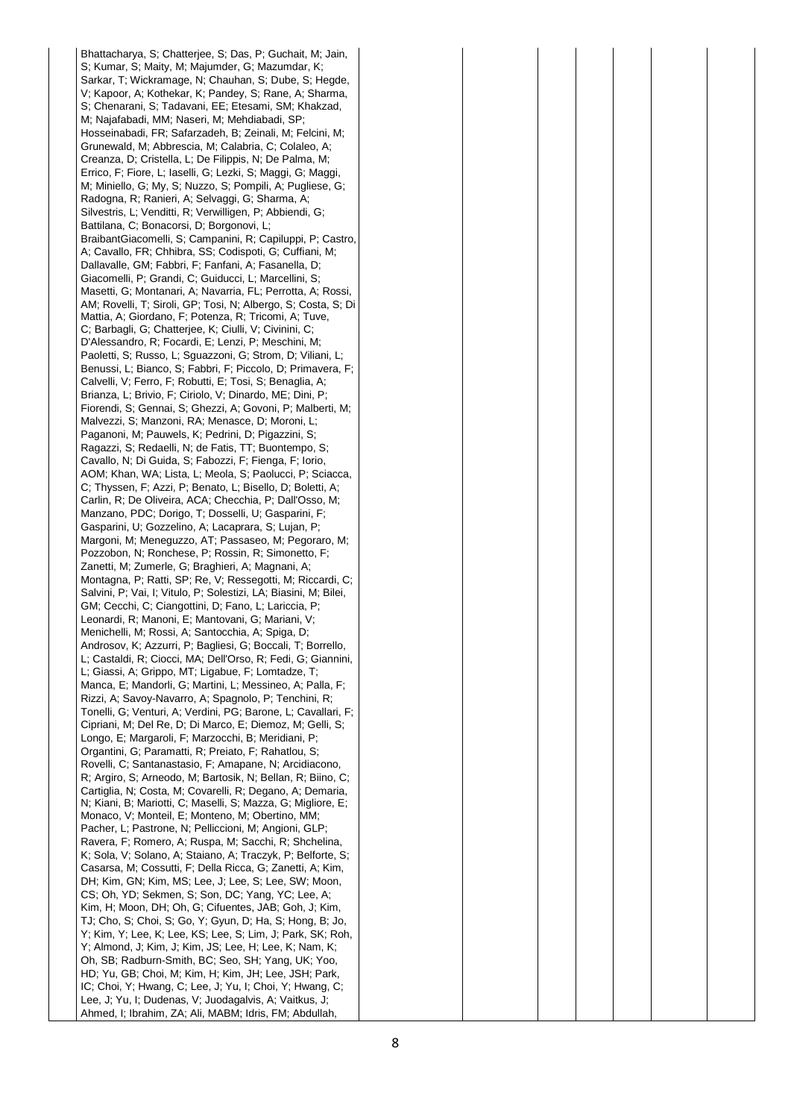Bhattacharya, S; Chatterjee, S; Das, P; Guchait, M; Jain, S; Kumar, S; Maity, M; Majumder, G; Mazumdar, K; Sarkar, T; Wickramage, N; Chauhan, S; Dube, S; Hegde, V; Kapoor, A; Kothekar, K; Pandey, S; Rane, A; Sharma, S; Chenarani, S; Tadavani, EE; Etesami, SM; Khakzad, M; Najafabadi, MM; Naseri, M; Mehdiabadi, SP; Hosseinabadi, FR; Safarzadeh, B; Zeinali, M; Felcini, M; Grunewald, M; Abbrescia, M; Calabria, C; Colaleo, A; Creanza, D; Cristella, L; De Filippis, N; De Palma, M; Errico, F; Fiore, L; Iaselli, G; Lezki, S; Maggi, G; Maggi, M; Miniello, G; My, S; Nuzzo, S; Pompili, A; Pugliese, G; Radogna, R; Ranieri, A; Selvaggi, G; Sharma, A; Silvestris, L; Venditti, R; Verwilligen, P; Abbiendi, G; Battilana, C; Bonacorsi, D; Borgonovi. L: BraibantGiacomelli, S; Campanini, R; Capiluppi, P; Castro, A; Cavallo, FR; Chhibra, SS; Codispoti, G; Cuffiani, M; Dallavalle, GM; Fabbri, F; Fanfani, A; Fasanella, D; Giacomelli, P; Grandi, C; Guiducci, L; Marcellini, S; Masetti, G; Montanari, A; Navarria, FL; Perrotta, A; Rossi, AM; Rovelli, T; Siroli, GP; Tosi, N; Albergo, S; Costa, S; Di Mattia, A; Giordano, F; Potenza, R; Tricomi, A; Tuve, C; Barbagli, G; Chatterjee, K; Ciulli, V; Civinini, C; D'Alessandro, R; Focardi, E; Lenzi, P; Meschini, M; Paoletti, S; Russo, L; Sguazzoni, G; Strom, D; Viliani, L; Benussi, L; Bianco, S; Fabbri, F; Piccolo, D; Primavera, F; Calvelli, V; Ferro, F; Robutti, E; Tosi, S; Benaglia, A; Brianza, L; Brivio, F; Ciriolo, V; Dinardo, ME; Dini, P; Fiorendi, S; Gennai, S; Ghezzi, A; Govoni, P; Malberti, M; Malvezzi, S; Manzoni, RA; Menasce, D; Moroni, L; Paganoni, M; Pauwels, K; Pedrini, D; Pigazzini, S; Ragazzi, S; Redaelli, N; de Fatis, TT; Buontempo, S; Cavallo, N; Di Guida, S; Fabozzi, F; Fienga, F; Iorio, AOM; Khan, WA; Lista, L; Meola, S; Paolucci, P; Sciacca, C; Thyssen, F; Azzi, P; Benato, L; Bisello, D; Boletti, A; Carlin, R; De Oliveira, ACA; Checchia, P; Dall'Osso, M; Manzano, PDC; Dorigo, T; Dosselli, U; Gasparini, F; Gasparini, U; Gozzelino, A; Lacaprara, S; Lujan, P; Margoni, M; Meneguzzo, AT; Passaseo, M; Pegoraro, M; Pozzobon, N; Ronchese, P; Rossin, R; Simonetto, F; Zanetti, M; Zumerle, G; Braghieri, A; Magnani, A; Montagna, P; Ratti, SP; Re, V; Ressegotti, M; Riccardi, C; Salvini, P; Vai, I; Vitulo, P; Solestizi, LA; Biasini, M; Bilei, GM; Cecchi, C; Ciangottini, D; Fano, L; Lariccia, P; Leonardi, R; Manoni, E; Mantovani, G; Mariani, V; Menichelli, M; Rossi, A; Santocchia, A; Spiga, D; Androsov, K; Azzurri, P; Bagliesi, G; Boccali, T; Borrello, L; Castaldi, R; Ciocci, MA; Dell'Orso, R; Fedi, G; Giannini, L; Giassi, A; Grippo, MT; Ligabue, F; Lomtadze, T; Manca, E; Mandorli, G; Martini, L; Messineo, A; Palla, F; Rizzi, A; Savoy-Navarro, A; Spagnolo, P; Tenchini, R; Tonelli, G; Venturi, A; Verdini, PG; Barone, L; Cavallari, F; Cipriani, M; Del Re, D; Di Marco, E; Diemoz, M; Gelli, S; Longo, E; Margaroli, F; Marzocchi, B; Meridiani, P; Organtini, G; Paramatti, R; Preiato, F; Rahatlou, S; Rovelli, C; Santanastasio, F; Amapane, N; Arcidiacono, R; Argiro, S; Arneodo, M; Bartosik, N; Bellan, R; Biino, C; Cartiglia, N; Costa, M; Covarelli, R; Degano, A; Demaria, N; Kiani, B; Mariotti, C; Maselli, S; Mazza, G; Migliore, E; Monaco, V; Monteil, E; Monteno, M; Obertino, MM; Pacher, L; Pastrone, N; Pelliccioni, M; Angioni, GLP; Ravera, F; Romero, A; Ruspa, M; Sacchi, R; Shchelina, K; Sola, V; Solano, A; Staiano, A; Traczyk, P; Belforte, S; Casarsa, M; Cossutti, F; Della Ricca, G; Zanetti, A; Kim, DH; Kim, GN; Kim, MS; Lee, J; Lee, S; Lee, SW; Moon, CS; Oh, YD; Sekmen, S; Son, DC; Yang, YC; Lee, A; Kim, H; Moon, DH; Oh, G; Cifuentes, JAB; Goh, J; Kim, TJ; Cho, S; Choi, S; Go, Y; Gyun, D; Ha, S; Hong, B; Jo, Y; Kim, Y; Lee, K; Lee, KS; Lee, S; Lim, J; Park, SK; Roh, Y; Almond, J; Kim, J; Kim, JS; Lee, H; Lee, K; Nam, K; Oh, SB; Radburn-Smith, BC; Seo, SH; Yang, UK; Yoo, HD; Yu, GB; Choi, M; Kim, H; Kim, JH; Lee, JSH; Park, IC; Choi, Y; Hwang, C; Lee, J; Yu, I; Choi, Y; Hwang, C; Lee, J; Yu, I; Dudenas, V; Juodagalvis, A; Vaitkus, J; Ahmed, I; Ibrahim, ZA; Ali, MABM; Idris, FM; Abdullah,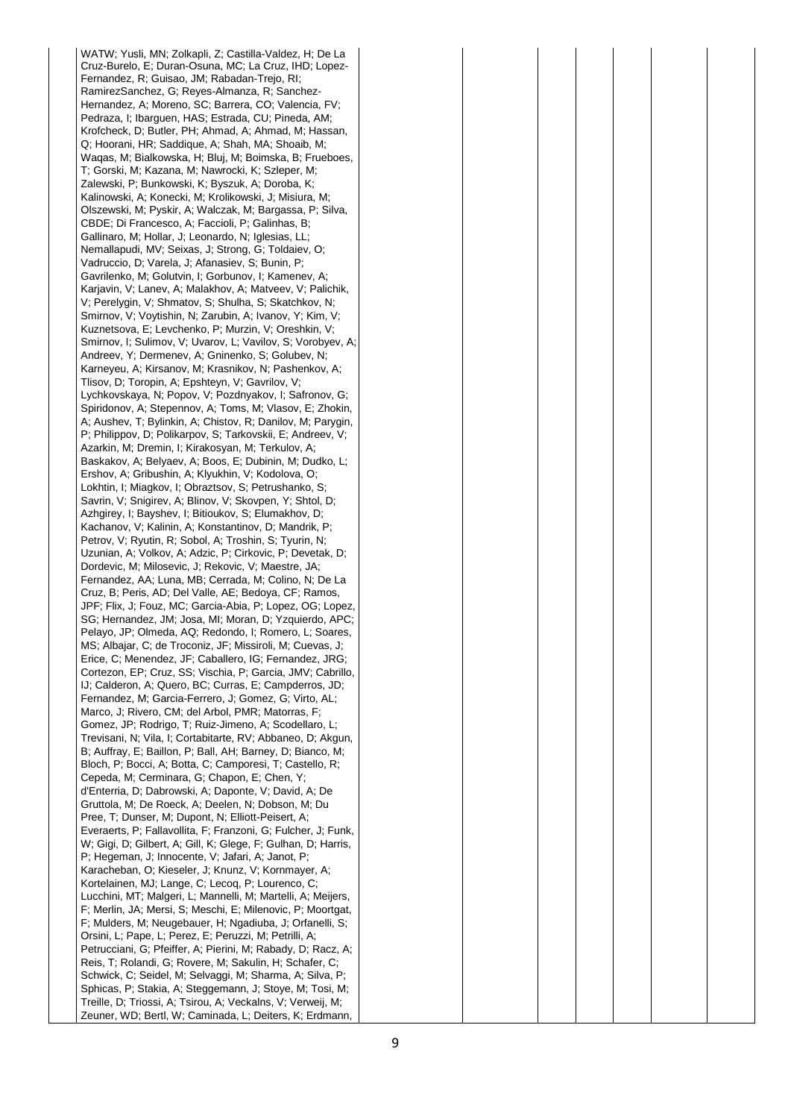WATW; Yusli, MN; Zolkapli, Z; Castilla-Valdez, H; De La Cruz-Burelo, E; Duran-Osuna, MC; La Cruz, IHD; Lopez-Fernandez, R; Guisao, JM; Rabadan-Trejo, RI; RamirezSanchez, G; Reyes-Almanza, R; Sanchez-Hernandez, A; Moreno, SC; Barrera, CO; Valencia, FV; Pedraza, I; Ibarguen, HAS; Estrada, CU; Pineda, AM; Krofcheck, D; Butler, PH; Ahmad, A; Ahmad, M; Hassan, Q; Hoorani, HR; Saddique, A; Shah, MA; Shoaib, M; Waqas, M; Bialkowska, H; Bluj, M; Boimska, B; Frueboes, T; Gorski, M; Kazana, M; Nawrocki, K; Szleper, M; Zalewski, P; Bunkowski, K; Byszuk, A; Doroba, K; Kalinowski, A; Konecki, M; Krolikowski, J; Misiura, M; Olszewski, M; Pyskir, A; Walczak, M; Bargassa, P; Silva, CBDE; Di Francesco, A; Faccioli, P; Galinhas, B; Gallinaro, M; Hollar, J; Leonardo, N; Iglesias, LL; Nemallapudi, MV; Seixas, J; Strong, G; Toldaiev, O; Vadruccio, D; Varela, J; Afanasiev, S; Bunin, P; Gavrilenko, M; Golutvin, I; Gorbunov, I; Kamenev, A; Karjavin, V; Lanev, A; Malakhov, A; Matveev, V; Palichik, V; Perelygin, V; Shmatov, S; Shulha, S; Skatchkov, N; Smirnov, V; Voytishin, N; Zarubin, A; Ivanov, Y; Kim, V; Kuznetsova, E; Levchenko, P; Murzin, V; Oreshkin, V; Smirnov, I; Sulimov, V; Uvarov, L; Vavilov, S; Vorobyev, A; Andreev, Y; Dermenev, A; Gninenko, S; Golubev, N; Karneyeu, A; Kirsanov, M; Krasnikov, N; Pashenkov, A; Tlisov, D; Toropin, A; Epshteyn, V; Gavrilov, V; Lychkovskaya, N; Popov, V; Pozdnyakov, I; Safronov, G; Spiridonov, A; Stepennov, A; Toms, M; Vlasov, E; Zhokin, A; Aushev, T; Bylinkin, A; Chistov, R; Danilov, M; Parygin, P; Philippov, D; Polikarpov, S; Tarkovskii, E; Andreev, V; Azarkin, M; Dremin, I; Kirakosyan, M; Terkulov, A; Baskakov, A; Belyaev, A; Boos, E; Dubinin, M; Dudko, L; Ershov, A; Gribushin, A; Klyukhin, V; Kodolova, O; Lokhtin, I; Miagkov, I; Obraztsov, S; Petrushanko, S; Savrin, V; Snigirev, A; Blinov, V; Skovpen, Y; Shtol, D; Azhgirey, I; Bayshev, I; Bitioukov, S; Elumakhov, D; Kachanov, V; Kalinin, A; Konstantinov, D; Mandrik, P; Petrov, V; Ryutin, R; Sobol, A; Troshin, S; Tyurin, N; Uzunian, A; Volkov, A; Adzic, P; Cirkovic, P; Devetak, D; Dordevic, M; Milosevic, J; Rekovic, V; Maestre, JA; Fernandez, AA; Luna, MB; Cerrada, M; Colino, N; De La Cruz, B; Peris, AD; Del Valle, AE; Bedoya, CF; Ramos, JPF; Flix, J; Fouz, MC; Garcia-Abia, P; Lopez, OG; Lopez, SG; Hernandez, JM; Josa, MI; Moran, D; Yzquierdo, APC; Pelayo, JP; Olmeda, AQ; Redondo, I; Romero, L; Soares, MS; Albajar, C; de Troconiz, JF; Missiroli, M; Cuevas, J; Erice, C; Menendez, JF; Caballero, IG; Fernandez, JRG; Cortezon, EP; Cruz, SS; Vischia, P; Garcia, JMV; Cabrillo, IJ; Calderon, A; Quero, BC; Curras, E; Campderros, JD; Fernandez, M; Garcia-Ferrero, J; Gomez, G; Virto, AL; Marco, J; Rivero, CM; del Arbol, PMR; Matorras, F; Gomez, JP; Rodrigo, T; Ruiz-Jimeno, A; Scodellaro, L; Trevisani, N; Vila, I; Cortabitarte, RV; Abbaneo, D; Akgun, B; Auffray, E; Baillon, P; Ball, AH; Barney, D; Bianco, M; Bloch, P; Bocci, A; Botta, C; Camporesi, T; Castello, R; Cepeda, M; Cerminara, G; Chapon, E; Chen, Y; d'Enterria, D; Dabrowski, A; Daponte, V; David, A; De Gruttola, M; De Roeck, A; Deelen, N; Dobson, M; Du Pree, T; Dunser, M; Dupont, N; Elliott-Peisert, A; Everaerts, P; Fallavollita, F; Franzoni, G; Fulcher, J; Funk, W; Gigi, D; Gilbert, A; Gill, K; Glege, F; Gulhan, D; Harris, P; Hegeman, J; Innocente, V; Jafari, A; Janot, P; Karacheban, O; Kieseler, J; Knunz, V; Kornmayer, A; Kortelainen, MJ; Lange, C; Lecoq, P; Lourenco, C; Lucchini, MT; Malgeri, L; Mannelli, M; Martelli, A; Meijers, F; Merlin, JA; Mersi, S; Meschi, E; Milenovic, P; Moortgat, F; Mulders, M; Neugebauer, H; Ngadiuba, J; Orfanelli, S; Orsini, L; Pape, L; Perez, E; Peruzzi, M; Petrilli, A; Petrucciani, G; Pfeiffer, A; Pierini, M; Rabady, D; Racz, A; Reis, T; Rolandi, G; Rovere, M; Sakulin, H; Schafer, C; Schwick, C; Seidel, M; Selvaggi, M; Sharma, A; Silva, P; Sphicas, P; Stakia, A; Steggemann, J; Stoye, M; Tosi, M; Treille, D; Triossi, A; Tsirou, A; Veckalns, V; Verweij, M; Zeuner, WD; Bertl, W; Caminada, L; Deiters, K; Erdmann,

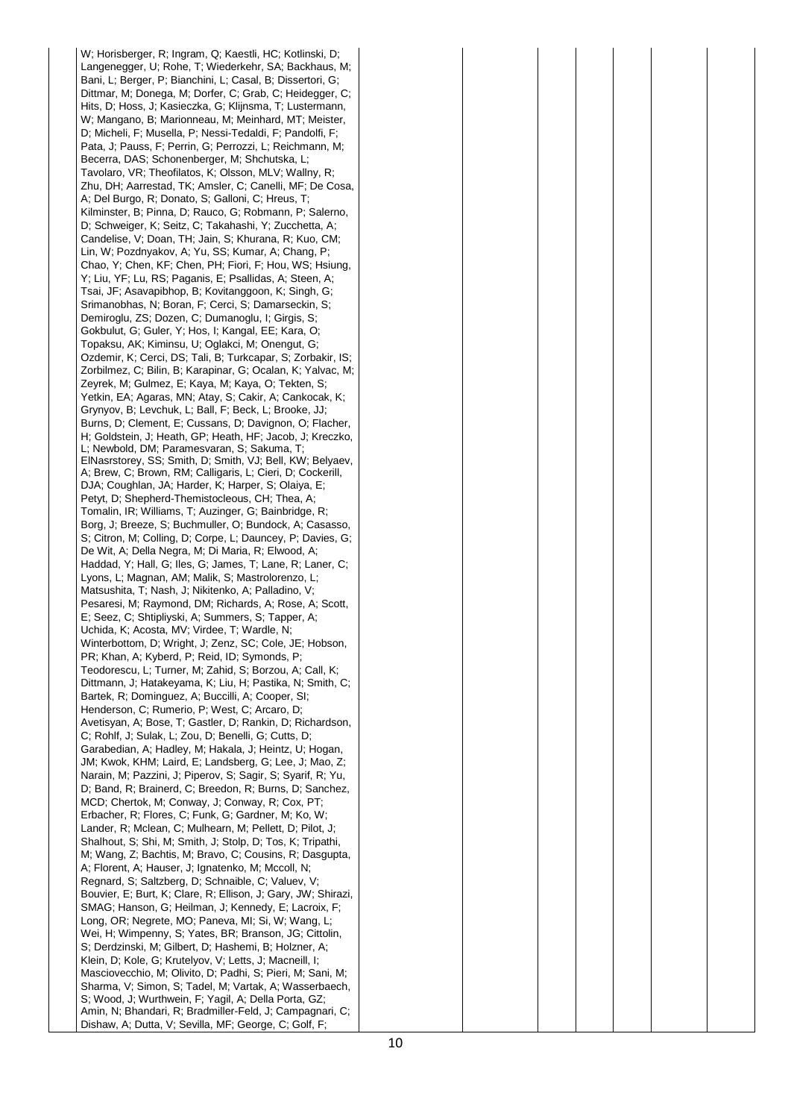W; Horisberger, R; Ingram, Q; Kaestli, HC; Kotlinski, D; Langenegger, U; Rohe, T; Wiederkehr, SA; Backhaus, M; Bani, L; Berger, P; Bianchini, L; Casal, B; Dissertori, G; Dittmar, M; Donega, M; Dorfer, C; Grab, C; Heidegger, C; Hits, D; Hoss, J; Kasieczka, G; Klijnsma, T; Lustermann, W; Mangano, B; Marionneau, M; Meinhard, MT; Meister, D; Micheli, F; Musella, P; Nessi-Tedaldi, F; Pandolfi, F; Pata, J; Pauss, F; Perrin, G; Perrozzi, L; Reichmann, M; Becerra, DAS; Schonenberger, M; Shchutska, L; Tavolaro, VR; Theofilatos, K; Olsson, MLV; Wallny, R; Zhu, DH; Aarrestad, TK; Amsler, C; Canelli, MF; De Cosa, A; Del Burgo, R; Donato, S; Galloni, C; Hreus, T; Kilminster, B; Pinna, D; Rauco, G; Robmann, P; Salerno, D; Schweiger, K; Seitz, C; Takahashi, Y; Zucchetta, A; Candelise, V; Doan, TH; Jain, S; Khurana, R; Kuo, CM; Lin, W; Pozdnyakov, A; Yu, SS; Kumar, A; Chang, P; Chao, Y; Chen, KF; Chen, PH; Fiori, F; Hou, WS; Hsiung, Y; Liu, YF; Lu, RS; Paganis, E; Psallidas, A; Steen, A; Tsai, JF; Asavapibhop, B; Kovitanggoon, K; Singh, G; Srimanobhas, N; Boran, F; Cerci, S; Damarseckin, S; Demiroglu, ZS; Dozen, C; Dumanoglu, I; Girgis, S; Gokbulut, G; Guler, Y; Hos, I; Kangal, EE; Kara, O; Topaksu, AK; Kiminsu, U; Oglakci, M; Onengut, G; Ozdemir, K; Cerci, DS; Tali, B; Turkcapar, S; Zorbakir, IS; Zorbilmez, C; Bilin, B; Karapinar, G; Ocalan, K; Yalvac, M; Zeyrek, M; Gulmez, E; Kaya, M; Kaya, O; Tekten, S; Yetkin, EA; Agaras, MN; Atay, S; Cakir, A; Cankocak, K; Grynyov, B; Levchuk, L; Ball, F; Beck, L; Brooke, JJ; Burns, D; Clement, E; Cussans, D; Davignon, O; Flacher, H; Goldstein, J; Heath, GP; Heath, HF; Jacob, J; Kreczko, L; Newbold, DM; Paramesvaran, S; Sakuma, T; ElNasrstorey, SS; Smith, D; Smith, VJ; Bell, KW; Belyaev, A; Brew, C; Brown, RM; Calligaris, L; Cieri, D; Cockerill, DJA; Coughlan, JA; Harder, K; Harper, S; Olaiya, E; Petyt, D; Shepherd-Themistocleous, CH; Thea, A; Tomalin, IR; Williams, T; Auzinger, G; Bainbridge, R; Borg, J; Breeze, S; Buchmuller, O; Bundock, A; Casasso, S; Citron, M; Colling, D; Corpe, L; Dauncey, P; Davies, G; De Wit, A; Della Negra, M; Di Maria, R; Elwood, A; Haddad, Y; Hall, G; Iles, G; James, T; Lane, R; Laner, C; Lyons, L; Magnan, AM; Malik, S; Mastrolorenzo, L; Matsushita, T; Nash, J; Nikitenko, A; Palladino, V; Pesaresi, M; Raymond, DM; Richards, A; Rose, A; Scott, E; Seez, C; Shtipliyski, A; Summers, S; Tapper, A; Uchida, K; Acosta, MV; Virdee, T; Wardle, N; Winterbottom, D; Wright, J; Zenz, SC; Cole, JE; Hobson, PR; Khan, A; Kyberd, P; Reid, ID; Symonds, P; Teodorescu, L; Turner, M; Zahid, S; Borzou, A; Call, K; Dittmann, J; Hatakeyama, K; Liu, H; Pastika, N; Smith, C; Bartek, R; Dominguez, A; Buccilli, A; Cooper, SI; Henderson, C; Rumerio, P; West, C; Arcaro, D; Avetisyan, A; Bose, T; Gastler, D; Rankin, D; Richardson, C; Rohlf, J; Sulak, L; Zou, D; Benelli, G; Cutts, D; Garabedian, A; Hadley, M; Hakala, J; Heintz, U; Hogan, JM; Kwok, KHM; Laird, E; Landsberg, G; Lee, J; Mao, Z; Narain, M; Pazzini, J; Piperov, S; Sagir, S; Syarif, R; Yu, D; Band, R; Brainerd, C; Breedon, R; Burns, D; Sanchez, MCD; Chertok, M; Conway, J; Conway, R; Cox, PT; Erbacher, R; Flores, C; Funk, G; Gardner, M; Ko, W; Lander, R; Mclean, C; Mulhearn, M; Pellett, D; Pilot, J; Shalhout, S; Shi, M; Smith, J; Stolp, D; Tos, K; Tripathi, M; Wang, Z; Bachtis, M; Bravo, C; Cousins, R; Dasgupta, A; Florent, A; Hauser, J; Ignatenko, M; Mccoll, N; Regnard, S; Saltzberg, D; Schnaible, C; Valuev, V; Bouvier, E; Burt, K; Clare, R; Ellison, J; Gary, JW; Shirazi, SMAG; Hanson, G; Heilman, J; Kennedy, E; Lacroix, F; Long, OR; Negrete, MO; Paneva, MI; Si, W; Wang, L; Wei, H; Wimpenny, S; Yates, BR; Branson, JG; Cittolin, S; Derdzinski, M; Gilbert, D; Hashemi, B; Holzner, A; Klein, D; Kole, G; Krutelyov, V; Letts, J; Macneill, I; Masciovecchio, M; Olivito, D; Padhi, S; Pieri, M; Sani, M; Sharma, V; Simon, S; Tadel, M; Vartak, A; Wasserbaech, S; Wood, J; Wurthwein, F; Yagil, A; Della Porta, GZ; Amin, N; Bhandari, R; Bradmiller-Feld, J; Campagnari, C; Dishaw, A; Dutta, V; Sevilla, MF; George, C; Golf, F;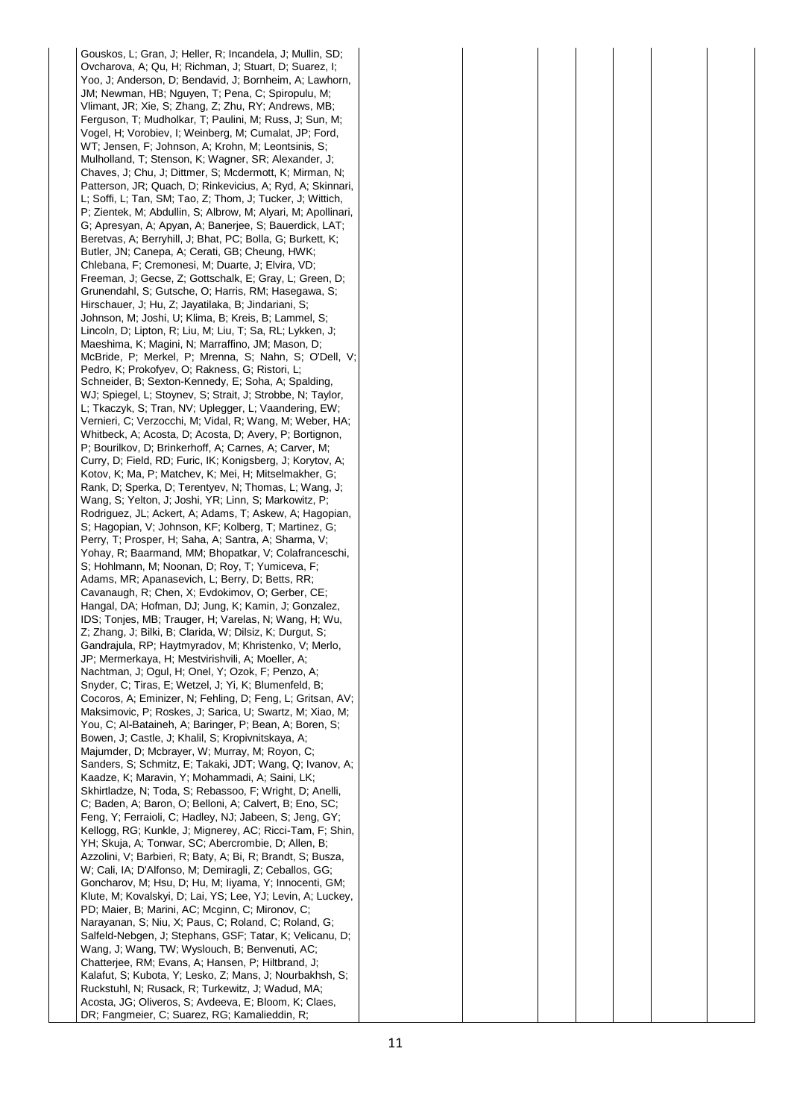Gouskos, L; Gran, J; Heller, R; Incandela, J; Mullin, SD; Ovcharova, A; Qu, H; Richman, J; Stuart, D; Suarez, I; Yoo, J; Anderson, D; Bendavid, J; Bornheim, A; Lawhorn, JM; Newman, HB; Nguyen, T; Pena, C; Spiropulu, M; Vlimant, JR; Xie, S; Zhang, Z; Zhu, RY; Andrews, MB; Ferguson, T; Mudholkar, T; Paulini, M; Russ, J; Sun, M; Vogel, H; Vorobiev, I; Weinberg, M; Cumalat, JP; Ford, WT; Jensen, F; Johnson, A; Krohn, M; Leontsinis, S; Mulholland, T; Stenson, K; Wagner, SR; Alexander, J; Chaves, J; Chu, J; Dittmer, S; Mcdermott, K; Mirman, N; Patterson, JR; Quach, D; Rinkevicius, A; Ryd, A; Skinnari, L; Soffi, L; Tan, SM; Tao, Z; Thom, J; Tucker, J; Wittich, P; Zientek, M; Abdullin, S; Albrow, M; Alyari, M; Apollinari, G; Apresyan, A; Apyan, A; Banerjee, S; Bauerdick, LAT; Beretvas, A; Berryhill, J; Bhat, PC; Bolla, G; Burkett, K; Butler, JN; Canepa, A; Cerati, GB; Cheung, HWK; Chlebana, F; Cremonesi, M; Duarte, J; Elvira, VD; Freeman, J; Gecse, Z; Gottschalk, E; Gray, L; Green, D; Grunendahl, S; Gutsche, O; Harris, RM; Hasegawa, S; Hirschauer, J; Hu, Z; Jayatilaka, B; Jindariani, S; Johnson, M; Joshi, U; Klima, B; Kreis, B; Lammel, S; Lincoln, D; Lipton, R; Liu, M; Liu, T; Sa, RL; Lykken, J; Maeshima, K; Magini, N; Marraffino, JM; Mason, D; McBride, P; Merkel, P; Mrenna, S; Nahn, S; O'Dell, V; Pedro, K; Prokofyev, O; Rakness, G; Ristori, L; Schneider, B; Sexton-Kennedy, E; Soha, A; Spalding, WJ; Spiegel, L; Stoynev, S; Strait, J; Strobbe, N; Taylor, L; Tkaczyk, S; Tran, NV; Uplegger, L; Vaandering, EW; Vernieri, C; Verzocchi, M; Vidal, R; Wang, M; Weber, HA; Whitbeck, A; Acosta, D; Acosta, D; Avery, P; Bortignon, P; Bourilkov, D; Brinkerhoff, A; Carnes, A; Carver, M; Curry, D; Field, RD; Furic, IK; Konigsberg, J; Korytov, A; Kotov, K; Ma, P; Matchev, K; Mei, H; Mitselmakher, G; Rank, D; Sperka, D; Terentyev, N; Thomas, L; Wang, J; Wang, S; Yelton, J; Joshi, YR; Linn, S; Markowitz, P; Rodriguez, JL; Ackert, A; Adams, T; Askew, A; Hagopian, S: Hagopian, V: Johnson, KF: Kolberg, T: Martinez, G: Perry, T; Prosper, H; Saha, A; Santra, A; Sharma, V; Yohay, R; Baarmand, MM; Bhopatkar, V; Colafranceschi, S: Hohlmann, M: Noonan, D: Rov, T: Yumiceva, F: Adams, MR; Apanasevich, L; Berry, D; Betts, RR; Cavanaugh, R; Chen, X; Evdokimov, O; Gerber, CE; Hangal, DA; Hofman, DJ; Jung, K; Kamin, J; Gonzalez, IDS; Tonjes, MB; Trauger, H; Varelas, N; Wang, H; Wu, Z; Zhang, J; Bilki, B; Clarida, W; Dilsiz, K; Durgut, S; Gandrajula, RP; Haytmyradov, M; Khristenko, V; Merlo, JP; Mermerkaya, H; Mestvirishvili, A; Moeller, A; Nachtman, J; Ogul, H; Onel, Y; Ozok, F; Penzo, A; Snyder, C; Tiras, E; Wetzel, J; Yi, K; Blumenfeld, B; Cocoros, A; Eminizer, N; Fehling, D; Feng, L; Gritsan, AV; Maksimovic, P; Roskes, J; Sarica, U; Swartz, M; Xiao, M; You, C; Al-Bataineh, A; Baringer, P; Bean, A; Boren, S; Bowen, J; Castle, J; Khalil, S; Kropivnitskaya, A; Majumder, D; Mcbrayer, W; Murray, M; Royon, C; Sanders, S; Schmitz, E; Takaki, JDT; Wang, Q; Ivanov, A; Kaadze, K; Maravin, Y; Mohammadi, A; Saini, LK; Skhirtladze, N; Toda, S; Rebassoo, F; Wright, D; Anelli, C; Baden, A; Baron, O; Belloni, A; Calvert, B; Eno, SC; Feng, Y; Ferraioli, C; Hadley, NJ; Jabeen, S; Jeng, GY; Kellogg, RG; Kunkle, J; Mignerey, AC; Ricci-Tam, F; Shin, YH; Skuja, A; Tonwar, SC; Abercrombie, D; Allen, B; Azzolini, V; Barbieri, R; Baty, A; Bi, R; Brandt, S; Busza, W; Cali, IA; D'Alfonso, M; Demiragli, Z; Ceballos, GG; Goncharov, M; Hsu, D; Hu, M; Iiyama, Y; Innocenti, GM; Klute, M; Kovalskyi, D; Lai, YS; Lee, YJ; Levin, A; Luckey, PD; Maier, B; Marini, AC; Mcginn, C; Mironov, C; Narayanan, S; Niu, X; Paus, C; Roland, C; Roland, G; Salfeld-Nebgen, J; Stephans, GSF; Tatar, K; Velicanu, D; Wang, J; Wang, TW; Wyslouch, B; Benvenuti, AC; Chatterjee, RM; Evans, A; Hansen, P; Hiltbrand, J; Kalafut, S; Kubota, Y; Lesko, Z; Mans, J; Nourbakhsh, S; Ruckstuhl, N; Rusack, R; Turkewitz, J; Wadud, MA; Acosta, JG; Oliveros, S; Avdeeva, E; Bloom, K; Claes, DR; Fangmeier, C; Suarez, RG; Kamalieddin, R;

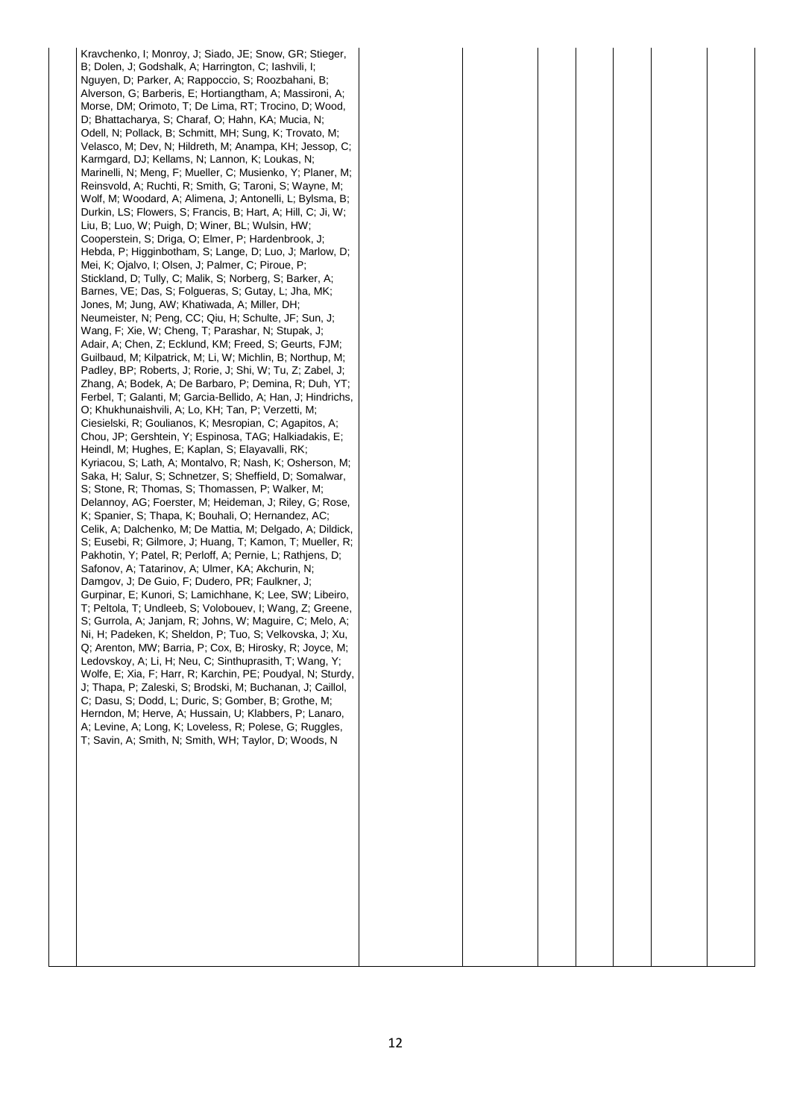Kravchenko, I; Monroy, J; Siado, JE; Snow, GR; Stieger, B; Dolen, J; Godshalk, A; Harrington, C; Iashvili, I; Nguyen, D; Parker, A; Rappoccio, S; Roozbahani, B; Alverson, G; Barberis, E; Hortiangtham, A; Massironi, A; Morse, DM; Orimoto, T; De Lima, RT; Trocino, D; Wood, D; Bhattacharya, S; Charaf, O; Hahn, KA; Mucia, N; Odell, N; Pollack, B; Schmitt, MH; Sung, K; Trovato, M; Velasco, M; Dev, N; Hildreth, M; Anampa, KH; Jessop, C; Karmgard, DJ; Kellams, N; Lannon, K; Loukas, N; Marinelli, N; Meng, F; Mueller, C; Musienko, Y; Planer, M; Reinsvold, A; Ruchti, R; Smith, G; Taroni, S; Wayne, M; Wolf, M; Woodard, A; Alimena, J; Antonelli, L; Bylsma, B; Durkin, LS; Flowers, S; Francis, B; Hart, A; Hill, C; Ji, W; Liu, B; Luo, W; Puigh, D; Winer, BL; Wulsin, HW; Cooperstein, S; Driga, O; Elmer, P; Hardenbrook, J; Hebda, P; Higginbotham, S; Lange, D; Luo, J; Marlow, D; Mei, K; Ojalvo, I; Olsen, J; Palmer, C; Piroue, P; Stickland, D; Tully, C; Malik, S; Norberg, S; Barker, A; Barnes, VE; Das, S; Folgueras, S; Gutay, L; Jha, MK; Jones, M; Jung, AW; Khatiwada, A; Miller, DH; Neumeister, N; Peng, CC; Qiu, H; Schulte, JF; Sun, J; Wang, F; Xie, W; Cheng, T; Parashar, N; Stupak, J; Adair, A; Chen, Z; Ecklund, KM; Freed, S; Geurts. FJM: Guilbaud, M; Kilpatrick, M; Li, W; Michlin, B; Northup, M; Padley, BP; Roberts, J; Rorie, J; Shi, W; Tu, Z; Zabel, J; Zhang, A; Bodek, A; De Barbaro, P; Demina, R; Duh, YT; Ferbel, T; Galanti, M; Garcia-Bellido, A; Han, J; Hindrichs, O; Khukhunaishvili, A; Lo, KH; Tan, P; Verzetti, M; Ciesielski, R; Goulianos, K; Mesropian, C; Agapitos, A; Chou, JP; Gershtein, Y; Espinosa, TAG; Halkiadakis, E; Heindl, M; Hughes, E; Kaplan, S; Elayavalli, RK; Kyriacou, S; Lath, A; Montalvo, R; Nash, K; Osherson, M; Saka, H; Salur, S; Schnetzer, S; Sheffield, D; Somalwar, S; Stone, R; Thomas, S; Thomassen, P; Walker, M; Delannoy, AG; Foerster, M; Heideman, J; Riley, G; Rose, K; Spanier, S; Thapa, K; Bouhali, O; Hernandez, AC; Celik, A; Dalchenko, M; De Mattia, M; Delgado, A; Dildick, S; Eusebi, R; Gilmore, J; Huang, T; Kamon, T; Mueller, R; Pakhotin, Y; Patel, R; Perloff, A; Pernie, L; Rathjens, D; Safonov, A; Tatarinov, A; Ulmer, KA; Akchurin, N; Damgov, J; De Guio, F; Dudero, PR; Faulkner, J; Gurpinar, E; Kunori, S; Lamichhane, K; Lee, SW; Libeiro, T; Peltola, T; Undleeb, S; Volobouev, I; Wang, Z; Greene, S; Gurrola, A; Janjam, R; Johns, W; Maguire, C; Melo, A; Ni, H; Padeken, K; Sheldon, P; Tuo, S; Velkovska, J; Xu, Q; Arenton, MW; Barria, P; Cox, B; Hirosky, R; Joyce, M; Ledovskoy, A; Li, H; Neu, C; Sinthuprasith, T; Wang, Y; Wolfe, E; Xia, F; Harr, R; Karchin, PE; Poudyal, N; Sturdy, J; Thapa, P; Zaleski, S; Brodski, M; Buchanan, J; Caillol, C; Dasu, S; Dodd, L; Duric, S; Gomber, B; Grothe, M; Herndon, M; Herve, A; Hussain, U; Klabbers, P; Lanaro, A; Levine, A; Long, K; Loveless, R; Polese, G; Ruggles, T; Savin, A; Smith, N; Smith, WH; Taylor, D; Woods, N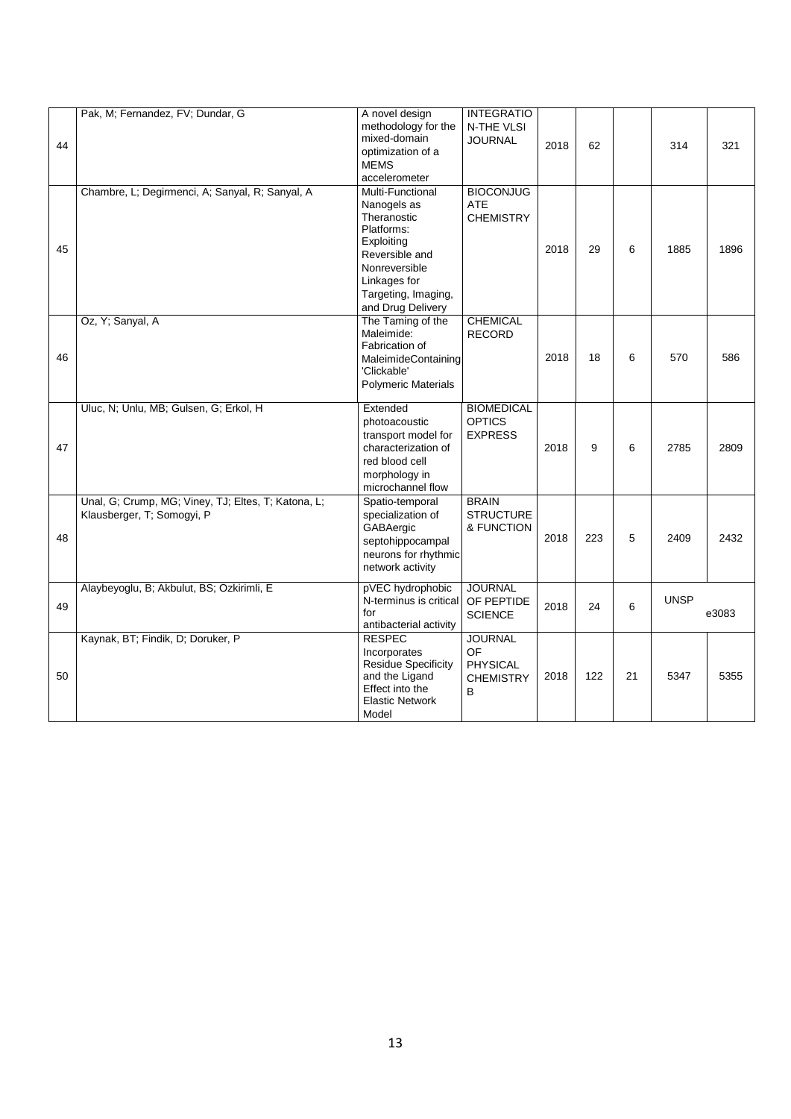| 44 | Pak, M; Fernandez, FV; Dundar, G                                                  | A novel design<br>methodology for the<br>mixed-domain<br>optimization of a<br><b>MEMS</b><br>accelerometer                                                                | <b>INTEGRATIO</b><br>N-THE VLSI<br><b>JOURNAL</b>         | 2018 | 62  |    | 314         | 321   |
|----|-----------------------------------------------------------------------------------|---------------------------------------------------------------------------------------------------------------------------------------------------------------------------|-----------------------------------------------------------|------|-----|----|-------------|-------|
| 45 | Chambre, L; Degirmenci, A; Sanyal, R; Sanyal, A                                   | Multi-Functional<br>Nanogels as<br>Theranostic<br>Platforms:<br>Exploiting<br>Reversible and<br>Nonreversible<br>Linkages for<br>Targeting, Imaging,<br>and Drug Delivery | <b>BIOCONJUG</b><br><b>ATE</b><br><b>CHEMISTRY</b>        | 2018 | 29  | 6  | 1885        | 1896  |
| 46 | Oz, Y; Sanyal, A                                                                  | The Taming of the<br>Maleimide:<br>Fabrication of<br>MaleimideContaining<br>'Clickable'<br><b>Polymeric Materials</b>                                                     | <b>CHEMICAL</b><br><b>RECORD</b>                          | 2018 | 18  | 6  | 570         | 586   |
| 47 | Uluc, N; Unlu, MB; Gulsen, G; Erkol, H                                            | Extended<br>photoacoustic<br>transport model for<br>characterization of<br>red blood cell<br>morphology in<br>microchannel flow                                           | <b>BIOMEDICAL</b><br><b>OPTICS</b><br><b>EXPRESS</b>      | 2018 | 9   | 6  | 2785        | 2809  |
| 48 | Unal, G; Crump, MG; Viney, TJ; Eltes, T; Katona, L;<br>Klausberger, T; Somogyi, P | Spatio-temporal<br>specialization of<br>GABAergic<br>septohippocampal<br>neurons for rhythmic<br>network activity                                                         | <b>BRAIN</b><br><b>STRUCTURE</b><br>& FUNCTION            | 2018 | 223 | 5  | 2409        | 2432  |
| 49 | Alaybeyoglu, B; Akbulut, BS; Ozkirimli, E                                         | pVEC hydrophobic<br>N-terminus is critical<br>for<br>antibacterial activity                                                                                               | <b>JOURNAL</b><br>OF PEPTIDE<br><b>SCIENCE</b>            | 2018 | 24  | 6  | <b>UNSP</b> | e3083 |
| 50 | Kaynak, BT; Findik, D; Doruker, P                                                 | <b>RESPEC</b><br>Incorporates<br><b>Residue Specificity</b><br>and the Ligand<br>Effect into the<br><b>Elastic Network</b><br>Model                                       | <b>JOURNAL</b><br>OF<br>PHYSICAL<br><b>CHEMISTRY</b><br>B | 2018 | 122 | 21 | 5347        | 5355  |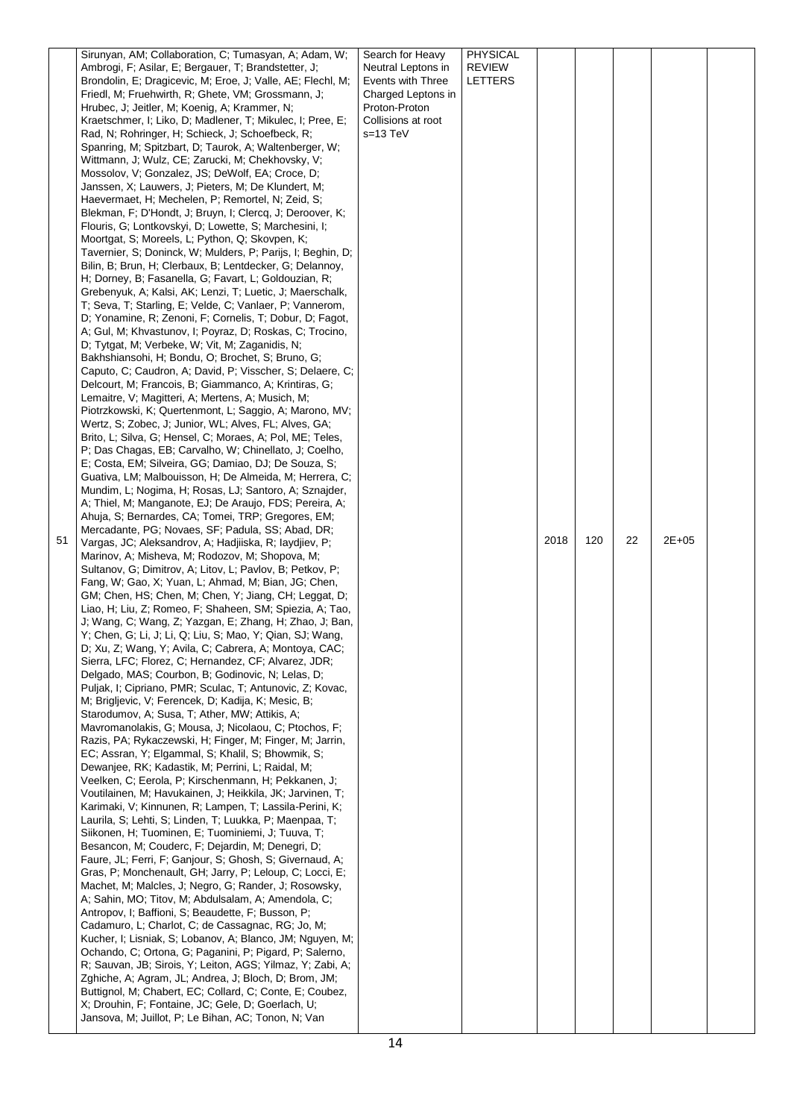|    | Sirunyan, AM; Collaboration, C; Tumasyan, A; Adam, W;                                                             | Search for Heavy   | PHYSICAL       |      |     |    |       |  |
|----|-------------------------------------------------------------------------------------------------------------------|--------------------|----------------|------|-----|----|-------|--|
|    | Ambrogi, F; Asilar, E; Bergauer, T; Brandstetter, J;                                                              | Neutral Leptons in | REVIEW         |      |     |    |       |  |
|    | Brondolin, E; Dragicevic, M; Eroe, J; Valle, AE; Flechl, M;                                                       | Events with Three  | <b>LETTERS</b> |      |     |    |       |  |
|    | Friedl, M; Fruehwirth, R; Ghete, VM; Grossmann, J;                                                                | Charged Leptons in |                |      |     |    |       |  |
|    | Hrubec, J; Jeitler, M; Koenig, A; Krammer, N;                                                                     | Proton-Proton      |                |      |     |    |       |  |
|    | Kraetschmer, I; Liko, D; Madlener, T; Mikulec, I; Pree, E;                                                        | Collisions at root |                |      |     |    |       |  |
|    | Rad, N; Rohringer, H; Schieck, J; Schoefbeck, R;                                                                  | $s = 13 TeV$       |                |      |     |    |       |  |
|    | Spanring, M; Spitzbart, D; Taurok, A; Waltenberger, W;                                                            |                    |                |      |     |    |       |  |
|    | Wittmann, J; Wulz, CE; Zarucki, M; Chekhovsky, V;                                                                 |                    |                |      |     |    |       |  |
|    | Mossolov, V; Gonzalez, JS; DeWolf, EA; Croce, D;                                                                  |                    |                |      |     |    |       |  |
|    | Janssen, X; Lauwers, J; Pieters, M; De Klundert, M;                                                               |                    |                |      |     |    |       |  |
|    | Haevermaet, H; Mechelen, P; Remortel, N; Zeid, S;                                                                 |                    |                |      |     |    |       |  |
|    | Blekman, F; D'Hondt, J; Bruyn, I; Clercq, J; Deroover, K;                                                         |                    |                |      |     |    |       |  |
|    | Flouris, G; Lontkovskyi, D; Lowette, S; Marchesini, I;                                                            |                    |                |      |     |    |       |  |
|    | Moortgat, S; Moreels, L; Python, Q; Skovpen, K;                                                                   |                    |                |      |     |    |       |  |
|    | Tavernier, S; Doninck, W; Mulders, P; Parijs, I; Beghin, D;                                                       |                    |                |      |     |    |       |  |
|    | Bilin, B; Brun, H; Clerbaux, B; Lentdecker, G; Delannoy,<br>H; Dorney, B; Fasanella, G; Favart, L; Goldouzian, R; |                    |                |      |     |    |       |  |
|    | Grebenyuk, A; Kalsi, AK; Lenzi, T; Luetic, J; Maerschalk,                                                         |                    |                |      |     |    |       |  |
|    | T; Seva, T; Starling, E; Velde, C; Vanlaer, P; Vannerom,                                                          |                    |                |      |     |    |       |  |
|    | D; Yonamine, R; Zenoni, F; Cornelis, T; Dobur, D; Fagot,                                                          |                    |                |      |     |    |       |  |
|    | A; Gul, M; Khvastunov, I; Poyraz, D; Roskas, C; Trocino,                                                          |                    |                |      |     |    |       |  |
|    | D; Tytgat, M; Verbeke, W; Vit, M; Zaganidis, N;                                                                   |                    |                |      |     |    |       |  |
|    | Bakhshiansohi, H; Bondu, O; Brochet, S; Bruno, G;                                                                 |                    |                |      |     |    |       |  |
|    | Caputo, C; Caudron, A; David, P; Visscher, S; Delaere, C;                                                         |                    |                |      |     |    |       |  |
|    | Delcourt, M; Francois, B; Giammanco, A; Krintiras, G;                                                             |                    |                |      |     |    |       |  |
|    | Lemaitre, V; Magitteri, A; Mertens, A; Musich, M;                                                                 |                    |                |      |     |    |       |  |
|    | Piotrzkowski, K; Quertenmont, L; Saggio, A; Marono, MV;                                                           |                    |                |      |     |    |       |  |
|    | Wertz, S; Zobec, J; Junior, WL; Alves, FL; Alves, GA;                                                             |                    |                |      |     |    |       |  |
|    | Brito, L; Silva, G; Hensel, C; Moraes, A; Pol, ME; Teles,                                                         |                    |                |      |     |    |       |  |
|    | P; Das Chagas, EB; Carvalho, W; Chinellato, J; Coelho,                                                            |                    |                |      |     |    |       |  |
|    | E; Costa, EM; Silveira, GG; Damiao, DJ; De Souza, S;                                                              |                    |                |      |     |    |       |  |
|    | Guativa, LM; Malbouisson, H; De Almeida, M; Herrera, C;                                                           |                    |                |      |     |    |       |  |
|    | Mundim, L; Nogima, H; Rosas, LJ; Santoro, A; Sznajder,                                                            |                    |                |      |     |    |       |  |
|    | A; Thiel, M; Manganote, EJ; De Araujo, FDS; Pereira, A;                                                           |                    |                |      |     |    |       |  |
|    | Ahuja, S; Bernardes, CA; Tomei, TRP; Gregores, EM;                                                                |                    |                |      |     |    |       |  |
|    | Mercadante, PG; Novaes, SF; Padula, SS; Abad, DR;                                                                 |                    |                |      |     |    |       |  |
| 51 | Vargas, JC; Aleksandrov, A; Hadjiiska, R; laydjiev, P;                                                            |                    |                | 2018 | 120 | 22 | 2E+05 |  |
|    | Marinov, A; Misheva, M; Rodozov, M; Shopova, M;                                                                   |                    |                |      |     |    |       |  |
|    | Sultanov, G; Dimitrov, A; Litov, L; Pavlov, B; Petkov, P;                                                         |                    |                |      |     |    |       |  |
|    |                                                                                                                   |                    |                |      |     |    |       |  |
|    | Fang, W; Gao, X; Yuan, L; Ahmad, M; Bian, JG; Chen,                                                               |                    |                |      |     |    |       |  |
|    | GM; Chen, HS; Chen, M; Chen, Y; Jiang, CH; Leggat, D;                                                             |                    |                |      |     |    |       |  |
|    | Liao, H; Liu, Z; Romeo, F; Shaheen, SM; Spiezia, A; Tao,                                                          |                    |                |      |     |    |       |  |
|    | J; Wang, C; Wang, Z; Yazgan, E; Zhang, H; Zhao, J; Ban,                                                           |                    |                |      |     |    |       |  |
|    | Y; Chen, G; Li, J; Li, Q; Liu, S; Mao, Y; Qian, SJ; Wang,                                                         |                    |                |      |     |    |       |  |
|    | D; Xu, Z; Wang, Y; Avila, C; Cabrera, A; Montoya, CAC;                                                            |                    |                |      |     |    |       |  |
|    | Sierra, LFC; Florez, C; Hernandez, CF; Alvarez, JDR;                                                              |                    |                |      |     |    |       |  |
|    | Delgado, MAS; Courbon, B; Godinovic, N; Lelas, D;                                                                 |                    |                |      |     |    |       |  |
|    | Puljak, I; Cipriano, PMR; Sculac, T; Antunovic, Z; Kovac,                                                         |                    |                |      |     |    |       |  |
|    | M; Briglievic, V; Ferencek, D; Kadija, K; Mesic, B;                                                               |                    |                |      |     |    |       |  |
|    | Starodumov, A; Susa, T; Ather, MW; Attikis, A;<br>Mavromanolakis, G; Mousa, J; Nicolaou, C; Ptochos, F;           |                    |                |      |     |    |       |  |
|    |                                                                                                                   |                    |                |      |     |    |       |  |
|    | Razis, PA; Rykaczewski, H; Finger, M; Finger, M; Jarrin,<br>EC; Assran, Y; Elgammal, S; Khalil, S; Bhowmik, S;    |                    |                |      |     |    |       |  |
|    | Dewanjee, RK; Kadastik, M; Perrini, L; Raidal, M;                                                                 |                    |                |      |     |    |       |  |
|    | Veelken, C; Eerola, P; Kirschenmann, H; Pekkanen, J;                                                              |                    |                |      |     |    |       |  |
|    | Voutilainen, M; Havukainen, J; Heikkila, JK; Jarvinen, T;                                                         |                    |                |      |     |    |       |  |
|    | Karimaki, V; Kinnunen, R; Lampen, T; Lassila-Perini, K;                                                           |                    |                |      |     |    |       |  |
|    | Laurila, S; Lehti, S; Linden, T; Luukka, P; Maenpaa, T;                                                           |                    |                |      |     |    |       |  |
|    | Siikonen, H; Tuominen, E; Tuominiemi, J; Tuuva, T;                                                                |                    |                |      |     |    |       |  |
|    | Besancon, M; Couderc, F; Dejardin, M; Denegri, D;                                                                 |                    |                |      |     |    |       |  |
|    | Faure, JL; Ferri, F; Ganjour, S; Ghosh, S; Givernaud, A;                                                          |                    |                |      |     |    |       |  |
|    | Gras, P; Monchenault, GH; Jarry, P; Leloup, C; Locci, E;                                                          |                    |                |      |     |    |       |  |
|    | Machet, M; Malcles, J; Negro, G; Rander, J; Rosowsky,                                                             |                    |                |      |     |    |       |  |
|    | A; Sahin, MO; Titov, M; Abdulsalam, A; Amendola, C;                                                               |                    |                |      |     |    |       |  |
|    | Antropov, I; Baffioni, S; Beaudette, F; Busson, P;                                                                |                    |                |      |     |    |       |  |
|    | Cadamuro, L; Charlot, C; de Cassagnac, RG; Jo, M;                                                                 |                    |                |      |     |    |       |  |
|    | Kucher, I; Lisniak, S; Lobanov, A; Blanco, JM; Nguyen, M;                                                         |                    |                |      |     |    |       |  |
|    | Ochando, C; Ortona, G; Paganini, P; Pigard, P; Salerno,                                                           |                    |                |      |     |    |       |  |
|    | R; Sauvan, JB; Sirois, Y; Leiton, AGS; Yilmaz, Y; Zabi, A;                                                        |                    |                |      |     |    |       |  |
|    | Zghiche, A; Agram, JL; Andrea, J; Bloch, D; Brom, JM;                                                             |                    |                |      |     |    |       |  |
|    | Buttignol, M; Chabert, EC; Collard, C; Conte, E; Coubez,                                                          |                    |                |      |     |    |       |  |
|    | X; Drouhin, F; Fontaine, JC; Gele, D; Goerlach, U;<br>Jansova, M; Juillot, P; Le Bihan, AC; Tonon, N; Van         |                    |                |      |     |    |       |  |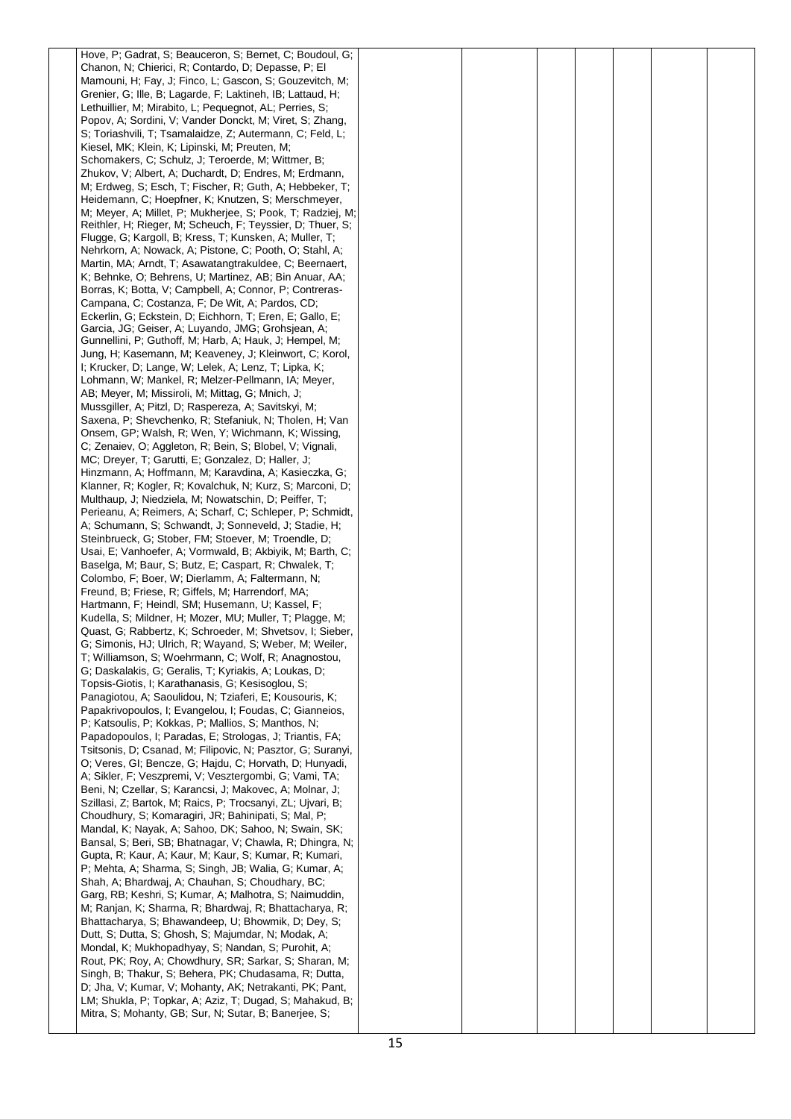| Hove, P; Gadrat, S; Beauceron, S; Bernet, C; Boudoul, G;    |  |  |  |  |
|-------------------------------------------------------------|--|--|--|--|
| Chanon, N; Chierici, R; Contardo, D; Depasse, P; El         |  |  |  |  |
| Mamouni, H; Fay, J; Finco, L; Gascon, S; Gouzevitch, M;     |  |  |  |  |
| Grenier, G; Ille, B; Lagarde, F; Laktineh, IB; Lattaud, H;  |  |  |  |  |
| Lethuillier, M; Mirabito, L; Pequegnot, AL; Perries, S;     |  |  |  |  |
| Popov, A; Sordini, V; Vander Donckt, M; Viret, S; Zhang,    |  |  |  |  |
| S; Toriashvili, T; Tsamalaidze, Z; Autermann, C; Feld, L;   |  |  |  |  |
| Kiesel, MK; Klein, K; Lipinski, M; Preuten, M;              |  |  |  |  |
| Schomakers, C; Schulz, J; Teroerde, M; Wittmer, B;          |  |  |  |  |
| Zhukov, V; Albert, A; Duchardt, D; Endres, M; Erdmann,      |  |  |  |  |
| M; Erdweg, S; Esch, T; Fischer, R; Guth, A; Hebbeker, T;    |  |  |  |  |
| Heidemann, C; Hoepfner, K; Knutzen, S; Merschmeyer,         |  |  |  |  |
| M. Meyer, A. Millet, P. Mukherjee, S. Pook, T. Radziej, M.  |  |  |  |  |
| Reithler, H; Rieger, M; Scheuch, F; Teyssier, D; Thuer, S;  |  |  |  |  |
| Flugge, G; Kargoll, B; Kress, T; Kunsken, A; Muller, T;     |  |  |  |  |
| Nehrkorn, A; Nowack, A; Pistone, C; Pooth, O; Stahl, A;     |  |  |  |  |
| Martin, MA; Arndt, T; Asawatangtrakuldee, C; Beernaert,     |  |  |  |  |
| K; Behnke, O; Behrens, U; Martinez, AB; Bin Anuar, AA;      |  |  |  |  |
| Borras, K; Botta, V; Campbell, A; Connor, P; Contreras-     |  |  |  |  |
| Campana, C; Costanza, F; De Wit, A; Pardos, CD;             |  |  |  |  |
| Eckerlin, G; Eckstein, D; Eichhorn, T; Eren, E; Gallo, E;   |  |  |  |  |
| Garcia, JG; Geiser, A; Luyando, JMG; Grohsjean, A;          |  |  |  |  |
| Gunnellini, P; Guthoff, M; Harb, A; Hauk, J; Hempel, M;     |  |  |  |  |
| Jung, H; Kasemann, M; Keaveney, J; Kleinwort, C; Korol,     |  |  |  |  |
| I; Krucker, D; Lange, W; Lelek, A; Lenz, T; Lipka, K;       |  |  |  |  |
| Lohmann, W; Mankel, R; Melzer-Pellmann, IA; Meyer,          |  |  |  |  |
| AB; Meyer, M; Missiroli, M; Mittag, G; Mnich, J;            |  |  |  |  |
| Mussgiller, A; Pitzl, D; Raspereza, A; Savitskyi, M;        |  |  |  |  |
| Saxena, P; Shevchenko, R; Stefaniuk, N; Tholen, H; Van      |  |  |  |  |
| Onsem, GP; Walsh, R; Wen, Y; Wichmann, K; Wissing,          |  |  |  |  |
| C; Zenaiev, O; Aggleton, R; Bein, S; Blobel, V; Vignali,    |  |  |  |  |
| MC; Dreyer, T; Garutti, E; Gonzalez, D; Haller, J;          |  |  |  |  |
| Hinzmann, A; Hoffmann, M; Karavdina, A; Kasieczka, G;       |  |  |  |  |
|                                                             |  |  |  |  |
| Klanner, R; Kogler, R; Kovalchuk, N; Kurz, S; Marconi, D;   |  |  |  |  |
| Multhaup, J; Niedziela, M; Nowatschin, D; Peiffer, T;       |  |  |  |  |
| Perieanu, A; Reimers, A; Scharf, C; Schleper, P; Schmidt,   |  |  |  |  |
| A; Schumann, S; Schwandt, J; Sonneveld, J; Stadie, H;       |  |  |  |  |
| Steinbrueck, G; Stober, FM; Stoever, M; Troendle, D;        |  |  |  |  |
| Usai, E; Vanhoefer, A; Vormwald, B; Akbiyik, M; Barth, C;   |  |  |  |  |
| Baselga, M; Baur, S; Butz, E; Caspart, R; Chwalek, T;       |  |  |  |  |
| Colombo, F; Boer, W; Dierlamm, A; Faltermann, N;            |  |  |  |  |
| Freund, B; Friese, R; Giffels, M; Harrendorf, MA;           |  |  |  |  |
| Hartmann, F; Heindl, SM; Husemann, U; Kassel, F;            |  |  |  |  |
| Kudella, S; Mildner, H; Mozer, MU; Muller, T; Plagge, M;    |  |  |  |  |
| Quast, G. Rabbertz, K. Schroeder, M. Shvetsov, I. Sieber,   |  |  |  |  |
| G; Simonis, HJ; Ulrich, R; Wayand, S; Weber, M; Weiler,     |  |  |  |  |
| T; Williamson, S; Woehrmann, C; Wolf, R; Anagnostou,        |  |  |  |  |
| G; Daskalakis, G; Geralis, T; Kyriakis, A; Loukas, D;       |  |  |  |  |
| Topsis-Giotis, I; Karathanasis, G; Kesisoglou, S;           |  |  |  |  |
| Panagiotou, A; Saoulidou, N; Tziaferi, E; Kousouris, K;     |  |  |  |  |
| Papakrivopoulos, I; Evangelou, I; Foudas, C; Gianneios,     |  |  |  |  |
| P; Katsoulis, P; Kokkas, P; Mallios, S; Manthos, N;         |  |  |  |  |
| Papadopoulos, I; Paradas, E; Strologas, J; Triantis, FA;    |  |  |  |  |
| Tsitsonis, D; Csanad, M; Filipovic, N; Pasztor, G; Suranyi, |  |  |  |  |
| O; Veres, GI; Bencze, G; Hajdu, C; Horvath, D; Hunyadi,     |  |  |  |  |
| A; Sikler, F; Veszpremi, V; Vesztergombi, G; Vami, TA;      |  |  |  |  |
| Beni, N; Czellar, S; Karancsi, J; Makovec, A; Molnar, J;    |  |  |  |  |
| Szillasi, Z; Bartok, M; Raics, P; Trocsanyi, ZL; Ujvari, B; |  |  |  |  |
| Choudhury, S; Komaragiri, JR; Bahinipati, S; Mal, P;        |  |  |  |  |
| Mandal, K; Nayak, A; Sahoo, DK; Sahoo, N; Swain, SK;        |  |  |  |  |
| Bansal, S; Beri, SB; Bhatnagar, V; Chawla, R; Dhingra, N;   |  |  |  |  |
| Gupta, R; Kaur, A; Kaur, M; Kaur, S; Kumar, R; Kumari,      |  |  |  |  |
| P; Mehta, A; Sharma, S; Singh, JB; Walia, G; Kumar, A;      |  |  |  |  |
| Shah, A; Bhardwaj, A; Chauhan, S; Choudhary, BC;            |  |  |  |  |
| Garg, RB; Keshri, S; Kumar, A; Malhotra, S; Naimuddin,      |  |  |  |  |
| M; Ranjan, K; Sharma, R; Bhardwaj, R; Bhattacharya, R;      |  |  |  |  |
| Bhattacharya, S; Bhawandeep, U; Bhowmik, D; Dey, S;         |  |  |  |  |
| Dutt, S; Dutta, S; Ghosh, S; Majumdar, N; Modak, A;         |  |  |  |  |
| Mondal, K; Mukhopadhyay, S; Nandan, S; Purohit, A;          |  |  |  |  |
| Rout, PK; Roy, A; Chowdhury, SR; Sarkar, S; Sharan, M;      |  |  |  |  |
| Singh, B; Thakur, S; Behera, PK; Chudasama, R; Dutta,       |  |  |  |  |
| D; Jha, V; Kumar, V; Mohanty, AK; Netrakanti, PK; Pant,     |  |  |  |  |
| LM; Shukla, P; Topkar, A; Aziz, T; Dugad, S; Mahakud, B;    |  |  |  |  |
| Mitra, S; Mohanty, GB; Sur, N; Sutar, B; Banerjee, S;       |  |  |  |  |
|                                                             |  |  |  |  |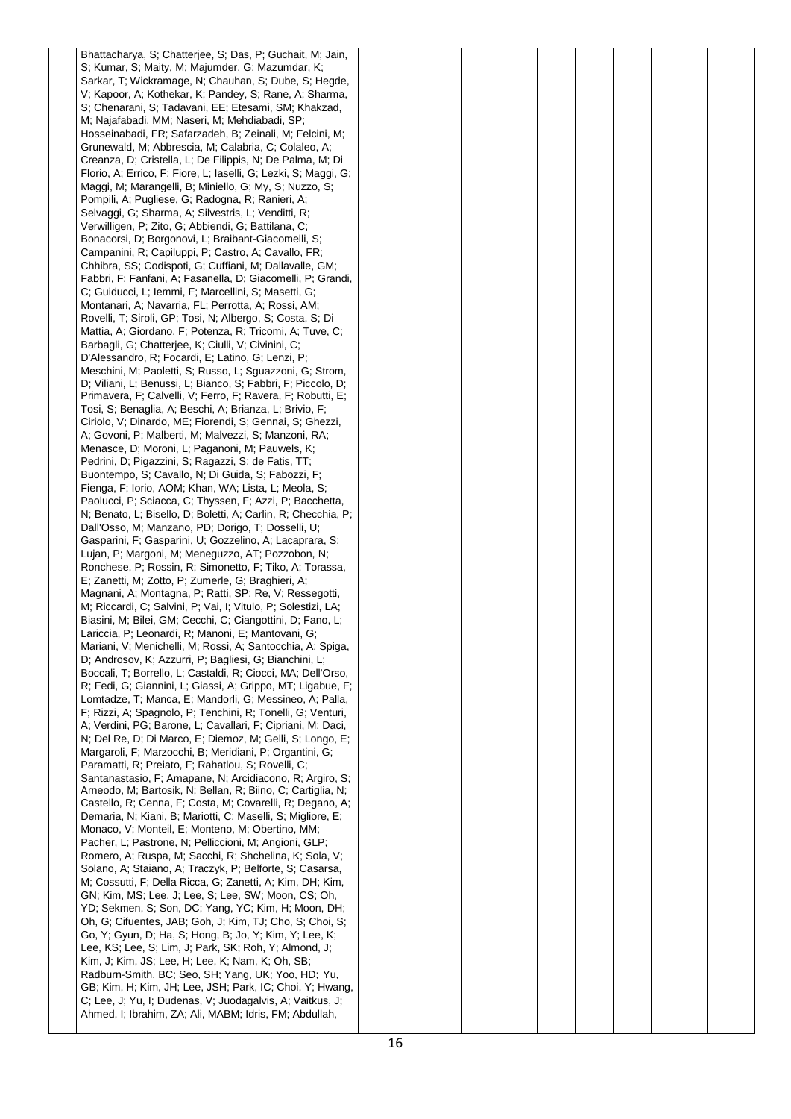| Bhattacharya, S; Chatterjee, S; Das, P; Guchait, M; Jain,                                                                 |  |  |  |  |
|---------------------------------------------------------------------------------------------------------------------------|--|--|--|--|
| S; Kumar, S; Maity, M; Majumder, G; Mazumdar, K;                                                                          |  |  |  |  |
| Sarkar, T; Wickramage, N; Chauhan, S; Dube, S; Hegde,                                                                     |  |  |  |  |
| V; Kapoor, A; Kothekar, K; Pandey, S; Rane, A; Sharma,                                                                    |  |  |  |  |
| S; Chenarani, S; Tadavani, EE; Etesami, SM; Khakzad,<br>M; Najafabadi, MM; Naseri, M; Mehdiabadi, SP;                     |  |  |  |  |
| Hosseinabadi, FR; Safarzadeh, B; Zeinali, M; Felcini, M;                                                                  |  |  |  |  |
| Grunewald, M; Abbrescia, M; Calabria, C; Colaleo, A;                                                                      |  |  |  |  |
| Creanza, D; Cristella, L; De Filippis, N; De Palma, M; Di                                                                 |  |  |  |  |
| Florio, A; Errico, F; Fiore, L; Iaselli, G; Lezki, S; Maggi, G;                                                           |  |  |  |  |
| Maggi, M; Marangelli, B; Miniello, G; My, S; Nuzzo, S;                                                                    |  |  |  |  |
| Pompili, A; Pugliese, G; Radogna, R; Ranieri, A;                                                                          |  |  |  |  |
| Selvaggi, G; Sharma, A; Silvestris, L; Venditti, R;                                                                       |  |  |  |  |
| Verwilligen, P; Zito, G; Abbiendi, G; Battilana, C;                                                                       |  |  |  |  |
| Bonacorsi, D; Borgonovi, L; Braibant-Giacomelli, S;                                                                       |  |  |  |  |
| Campanini, R; Capiluppi, P; Castro, A; Cavallo, FR;                                                                       |  |  |  |  |
| Chhibra, SS; Codispoti, G; Cuffiani, M; Dallavalle, GM;                                                                   |  |  |  |  |
| Fabbri, F; Fanfani, A; Fasanella, D; Giacomelli, P; Grandi,<br>C; Guiducci, L; Iemmi, F; Marcellini, S; Masetti, G;       |  |  |  |  |
| Montanari, A; Navarria, FL; Perrotta, A; Rossi, AM;                                                                       |  |  |  |  |
| Rovelli, T; Siroli, GP; Tosi, N; Albergo, S; Costa, S; Di                                                                 |  |  |  |  |
| Mattia, A; Giordano, F; Potenza, R; Tricomi, A; Tuve, C;                                                                  |  |  |  |  |
| Barbagli, G; Chatterjee, K; Ciulli, V; Civinini, C;                                                                       |  |  |  |  |
| D'Alessandro, R; Focardi, E; Latino, G; Lenzi, P;                                                                         |  |  |  |  |
| Meschini, M; Paoletti, S; Russo, L; Sguazzoni, G; Strom,                                                                  |  |  |  |  |
| D; Viliani, L; Benussi, L; Bianco, S; Fabbri, F; Piccolo, D;                                                              |  |  |  |  |
| Primavera, F; Calvelli, V; Ferro, F; Ravera, F; Robutti, E;<br>Tosi, S; Benaglia, A; Beschi, A; Brianza, L; Brivio, F;    |  |  |  |  |
| Ciriolo, V; Dinardo, ME; Fiorendi, S; Gennai, S; Ghezzi,                                                                  |  |  |  |  |
| A; Govoni, P; Malberti, M; Malvezzi, S; Manzoni, RA;                                                                      |  |  |  |  |
| Menasce, D; Moroni, L; Paganoni, M; Pauwels, K;                                                                           |  |  |  |  |
| Pedrini, D; Pigazzini, S; Ragazzi, S; de Fatis, TT;                                                                       |  |  |  |  |
| Buontempo, S; Cavallo, N; Di Guida, S; Fabozzi, F;                                                                        |  |  |  |  |
| Fienga, F; Iorio, AOM; Khan, WA; Lista, L; Meola, S;                                                                      |  |  |  |  |
| Paolucci, P; Sciacca, C; Thyssen, F; Azzi, P; Bacchetta,<br>N; Benato, L; Bisello, D; Boletti, A; Carlin, R; Checchia, P; |  |  |  |  |
| Dall'Osso, M; Manzano, PD; Dorigo, T; Dosselli, U;                                                                        |  |  |  |  |
| Gasparini, F; Gasparini, U; Gozzelino, A; Lacaprara, S;                                                                   |  |  |  |  |
| Lujan, P; Margoni, M; Meneguzzo, AT; Pozzobon, N;                                                                         |  |  |  |  |
| Ronchese, P; Rossin, R; Simonetto, F; Tiko, A; Torassa,                                                                   |  |  |  |  |
| E; Zanetti, M; Zotto, P; Zumerle, G; Braghieri, A;                                                                        |  |  |  |  |
| Magnani, A; Montagna, P; Ratti, SP; Re, V; Ressegotti,                                                                    |  |  |  |  |
| M; Riccardi, C; Salvini, P; Vai, I; Vitulo, P; Solestizi, LA;                                                             |  |  |  |  |
| Biasini, M; Bilei, GM; Cecchi, C; Ciangottini, D; Fano, L;                                                                |  |  |  |  |
| Lariccia, P; Leonardi, R; Manoni, E; Mantovani, G;<br>Mariani, V; Menichelli, M; Rossi, A; Santocchia, A; Spiga,          |  |  |  |  |
| D; Androsov, K; Azzurri, P; Bagliesi, G; Bianchini, L;                                                                    |  |  |  |  |
| Boccali, T; Borrello, L; Castaldi, R; Ciocci, MA; Dell'Orso,                                                              |  |  |  |  |
| R; Fedi, G; Giannini, L; Giassi, A; Grippo, MT; Ligabue, F;                                                               |  |  |  |  |
| Lomtadze, T; Manca, E; Mandorli, G; Messineo, A; Palla,                                                                   |  |  |  |  |
| F; Rizzi, A; Spagnolo, P; Tenchini, R; Tonelli, G; Venturi,                                                               |  |  |  |  |
| A; Verdini, PG; Barone, L; Cavallari, F; Cipriani, M; Daci,                                                               |  |  |  |  |
| N; Del Re, D; Di Marco, E; Diemoz, M; Gelli, S; Longo, E;<br>Margaroli, F; Marzocchi, B; Meridiani, P; Organtini, G;      |  |  |  |  |
| Paramatti, R; Preiato, F; Rahatlou, S; Rovelli, C;                                                                        |  |  |  |  |
| Santanastasio, F; Amapane, N; Arcidiacono, R; Argiro, S;                                                                  |  |  |  |  |
| Arneodo, M; Bartosik, N; Bellan, R; Biino, C; Cartiglia, N;                                                               |  |  |  |  |
| Castello, R; Cenna, F; Costa, M; Covarelli, R; Degano, A;                                                                 |  |  |  |  |
| Demaria, N; Kiani, B; Mariotti, C; Maselli, S; Migliore, E;                                                               |  |  |  |  |
| Monaco, V; Monteil, E; Monteno, M; Obertino, MM;<br>Pacher, L; Pastrone, N; Pelliccioni, M; Angioni, GLP;                 |  |  |  |  |
| Romero, A; Ruspa, M; Sacchi, R; Shchelina, K; Sola, V;                                                                    |  |  |  |  |
| Solano, A; Staiano, A; Traczyk, P; Belforte, S; Casarsa,                                                                  |  |  |  |  |
| M; Cossutti, F; Della Ricca, G; Zanetti, A; Kim, DH; Kim,                                                                 |  |  |  |  |
| GN; Kim, MS; Lee, J; Lee, S; Lee, SW; Moon, CS; Oh,                                                                       |  |  |  |  |
| YD; Sekmen, S; Son, DC; Yang, YC; Kim, H; Moon, DH;                                                                       |  |  |  |  |
| Oh, G; Cifuentes, JAB; Goh, J; Kim, TJ; Cho, S; Choi, S;                                                                  |  |  |  |  |
| Go, Y; Gyun, D; Ha, S; Hong, B; Jo, Y; Kim, Y; Lee, K;                                                                    |  |  |  |  |
| Lee, KS; Lee, S; Lim, J; Park, SK; Roh, Y; Almond, J;<br>Kim, J; Kim, JS; Lee, H; Lee, K; Nam, K; Oh, SB;                 |  |  |  |  |
| Radburn-Smith, BC; Seo, SH; Yang, UK; Yoo, HD; Yu,                                                                        |  |  |  |  |
| GB; Kim, H; Kim, JH; Lee, JSH; Park, IC; Choi, Y; Hwang,                                                                  |  |  |  |  |
| C; Lee, J; Yu, I; Dudenas, V; Juodagalvis, A; Vaitkus, J;                                                                 |  |  |  |  |
| Ahmed, I; Ibrahim, ZA; Ali, MABM; Idris, FM; Abdullah,                                                                    |  |  |  |  |
|                                                                                                                           |  |  |  |  |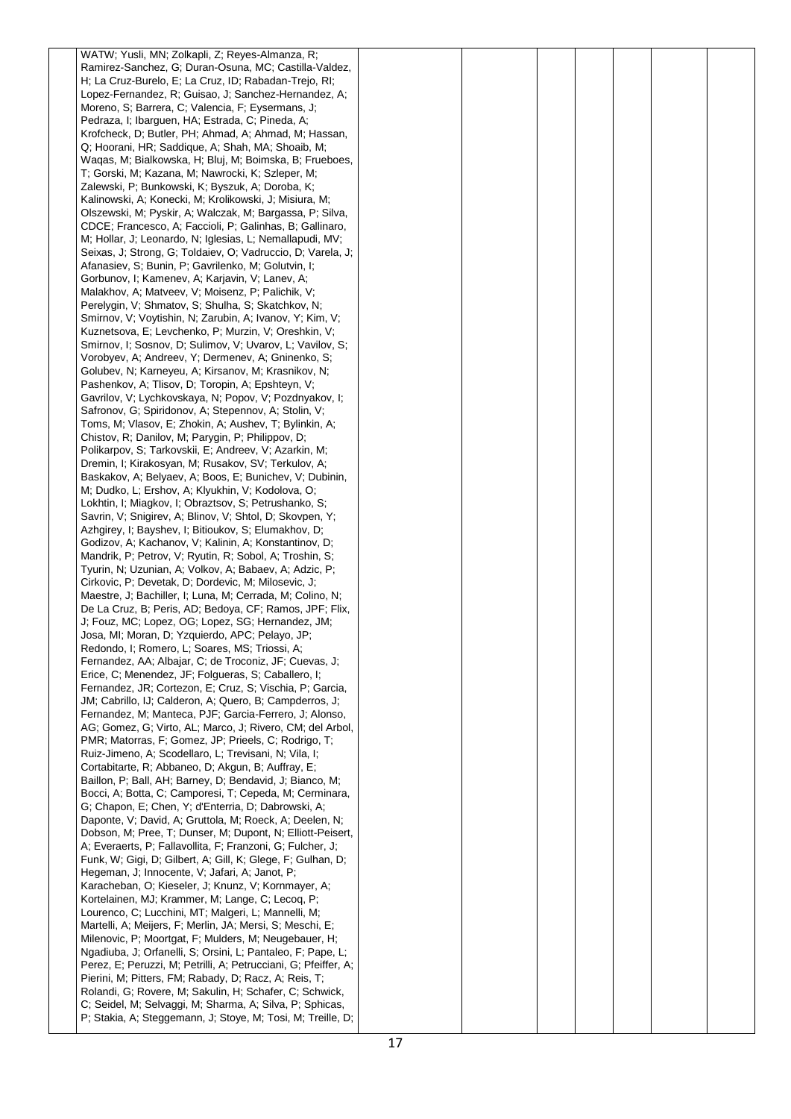| WATW; Yusli, MN; Zolkapli, Z; Reyes-Almanza, R;                                                                          |  |  |  |  |
|--------------------------------------------------------------------------------------------------------------------------|--|--|--|--|
| Ramirez-Sanchez, G; Duran-Osuna, MC; Castilla-Valdez,                                                                    |  |  |  |  |
| H; La Cruz-Burelo, E; La Cruz, ID; Rabadan-Trejo, RI;                                                                    |  |  |  |  |
| Lopez-Fernandez, R; Guisao, J; Sanchez-Hernandez, A;                                                                     |  |  |  |  |
| Moreno, S; Barrera, C; Valencia, F; Eysermans, J;                                                                        |  |  |  |  |
| Pedraza, I; Ibarguen, HA; Estrada, C; Pineda, A;<br>Krofcheck, D; Butler, PH; Ahmad, A; Ahmad, M; Hassan,                |  |  |  |  |
| Q; Hoorani, HR; Saddique, A; Shah, MA; Shoaib, M;                                                                        |  |  |  |  |
| Waqas, M; Bialkowska, H; Bluj, M; Boimska, B; Frueboes,                                                                  |  |  |  |  |
| T; Gorski, M; Kazana, M; Nawrocki, K; Szleper, M;                                                                        |  |  |  |  |
| Zalewski, P; Bunkowski, K; Byszuk, A; Doroba, K;                                                                         |  |  |  |  |
| Kalinowski, A; Konecki, M; Krolikowski, J; Misiura, M;                                                                   |  |  |  |  |
| Olszewski, M; Pyskir, A; Walczak, M; Bargassa, P; Silva,                                                                 |  |  |  |  |
| CDCE; Francesco, A; Faccioli, P; Galinhas, B; Gallinaro,                                                                 |  |  |  |  |
| M; Hollar, J; Leonardo, N; Iglesias, L; Nemallapudi, MV;                                                                 |  |  |  |  |
| Seixas, J; Strong, G; Toldaiev, O; Vadruccio, D; Varela, J;                                                              |  |  |  |  |
| Afanasiev, S; Bunin, P; Gavrilenko, M; Golutvin, I;                                                                      |  |  |  |  |
| Gorbunov, I; Kamenev, A; Karjavin, V; Lanev, A;<br>Malakhov, A; Matveev, V; Moisenz, P; Palichik, V;                     |  |  |  |  |
| Perelygin, V; Shmatov, S; Shulha, S; Skatchkov, N;                                                                       |  |  |  |  |
| Smirnov, V; Voytishin, N; Zarubin, A; Ivanov, Y; Kim, V;                                                                 |  |  |  |  |
| Kuznetsova, E; Levchenko, P; Murzin, V; Oreshkin, V;                                                                     |  |  |  |  |
| Smirnov, I; Sosnov, D; Sulimov, V; Uvarov, L; Vavilov, S;                                                                |  |  |  |  |
| Vorobyev, A; Andreev, Y; Dermenev, A; Gninenko, S;                                                                       |  |  |  |  |
| Golubev, N; Karneyeu, A; Kirsanov, M; Krasnikov, N;                                                                      |  |  |  |  |
| Pashenkov, A; Tlisov, D; Toropin, A; Epshteyn, V;                                                                        |  |  |  |  |
| Gavrilov, V; Lychkovskaya, N; Popov, V; Pozdnyakov, I;<br>Safronov, G; Spiridonov, A; Stepennov, A; Stolin, V;           |  |  |  |  |
| Toms, M; Vlasov, E; Zhokin, A; Aushev, T; Bylinkin, A;                                                                   |  |  |  |  |
| Chistov, R; Danilov, M; Parygin, P; Philippov, D;                                                                        |  |  |  |  |
| Polikarpov, S; Tarkovskii, E; Andreev, V; Azarkin, M;                                                                    |  |  |  |  |
| Dremin, I; Kirakosyan, M; Rusakov, SV; Terkulov, A;                                                                      |  |  |  |  |
| Baskakov, A; Belyaev, A; Boos, E; Bunichev, V; Dubinin,                                                                  |  |  |  |  |
| M; Dudko, L; Ershov, A; Klyukhin, V; Kodolova, O;                                                                        |  |  |  |  |
| Lokhtin, I; Miagkov, I; Obraztsov, S; Petrushanko, S;<br>Savrin, V; Snigirev, A; Blinov, V; Shtol, D; Skovpen, Y;        |  |  |  |  |
| Azhgirey, I; Bayshev, I; Bitioukov, S; Elumakhov, D;                                                                     |  |  |  |  |
| Godizov, A; Kachanov, V; Kalinin, A; Konstantinov, D;                                                                    |  |  |  |  |
| Mandrik, P; Petrov, V; Ryutin, R; Sobol, A; Troshin, S;                                                                  |  |  |  |  |
| Tyurin, N; Uzunian, A; Volkov, A; Babaev, A; Adzic, P;                                                                   |  |  |  |  |
| Cirkovic, P; Devetak, D; Dordevic, M; Milosevic, J;                                                                      |  |  |  |  |
| Maestre, J; Bachiller, I; Luna, M; Cerrada, M; Colino, N;                                                                |  |  |  |  |
| De La Cruz, B; Peris, AD; Bedoya, CF; Ramos, JPF; Flix,                                                                  |  |  |  |  |
| J; Fouz, MC; Lopez, OG; Lopez, SG; Hernandez, JM;<br>Josa, MI; Moran, D; Yzquierdo, APC; Pelayo, JP;                     |  |  |  |  |
| Redondo, I; Romero, L; Soares, MS; Triossi, A;                                                                           |  |  |  |  |
| Fernandez, AA; Albajar, C; de Troconiz, JF; Cuevas, J;                                                                   |  |  |  |  |
| Erice, C; Menendez, JF; Folgueras, S; Caballero, I;                                                                      |  |  |  |  |
| Fernandez, JR; Cortezon, E; Cruz, S; Vischia, P; Garcia,                                                                 |  |  |  |  |
| JM; Cabrillo, IJ; Calderon, A; Quero, B; Campderros, J;                                                                  |  |  |  |  |
| Fernandez, M; Manteca, PJF; Garcia-Ferrero, J; Alonso,                                                                   |  |  |  |  |
| AG; Gomez, G; Virto, AL; Marco, J; Rivero, CM; del Arbol,                                                                |  |  |  |  |
| PMR; Matorras, F; Gomez, JP; Prieels, C; Rodrigo, T;<br>Ruiz-Jimeno, A; Scodellaro, L; Trevisani, N; Vila, I;            |  |  |  |  |
| Cortabitarte, R; Abbaneo, D; Akgun, B; Auffray, E;                                                                       |  |  |  |  |
| Baillon, P; Ball, AH; Barney, D; Bendavid, J; Bianco, M;                                                                 |  |  |  |  |
| Bocci, A; Botta, C; Camporesi, T; Cepeda, M; Cerminara,                                                                  |  |  |  |  |
| G; Chapon, E; Chen, Y; d'Enterria, D; Dabrowski, A;                                                                      |  |  |  |  |
| Daponte, V; David, A; Gruttola, M; Roeck, A; Deelen, N;                                                                  |  |  |  |  |
| Dobson, M; Pree, T; Dunser, M; Dupont, N; Elliott-Peisert,<br>A; Everaerts, P; Fallavollita, F; Franzoni, G; Fulcher, J; |  |  |  |  |
| Funk, W; Gigi, D; Gilbert, A; Gill, K; Glege, F; Gulhan, D;                                                              |  |  |  |  |
| Hegeman, J; Innocente, V; Jafari, A; Janot, P;                                                                           |  |  |  |  |
| Karacheban, O; Kieseler, J; Knunz, V; Kornmayer, A;                                                                      |  |  |  |  |
| Kortelainen, MJ; Krammer, M; Lange, C; Lecoq, P;                                                                         |  |  |  |  |
| Lourenco, C; Lucchini, MT; Malgeri, L; Mannelli, M;                                                                      |  |  |  |  |
| Martelli, A; Meijers, F; Merlin, JA; Mersi, S; Meschi, E;                                                                |  |  |  |  |
| Milenovic, P; Moortgat, F; Mulders, M; Neugebauer, H;<br>Ngadiuba, J; Orfanelli, S; Orsini, L; Pantaleo, F; Pape, L;     |  |  |  |  |
| Perez, E; Peruzzi, M; Petrilli, A; Petrucciani, G; Pfeiffer, A;                                                          |  |  |  |  |
| Pierini, M; Pitters, FM; Rabady, D; Racz, A; Reis, T;                                                                    |  |  |  |  |
| Rolandi, G; Rovere, M; Sakulin, H; Schafer, C; Schwick,                                                                  |  |  |  |  |
| C; Seidel, M; Selvaggi, M; Sharma, A; Silva, P; Sphicas,                                                                 |  |  |  |  |
| P; Stakia, A; Steggemann, J; Stoye, M; Tosi, M; Treille, D;                                                              |  |  |  |  |
|                                                                                                                          |  |  |  |  |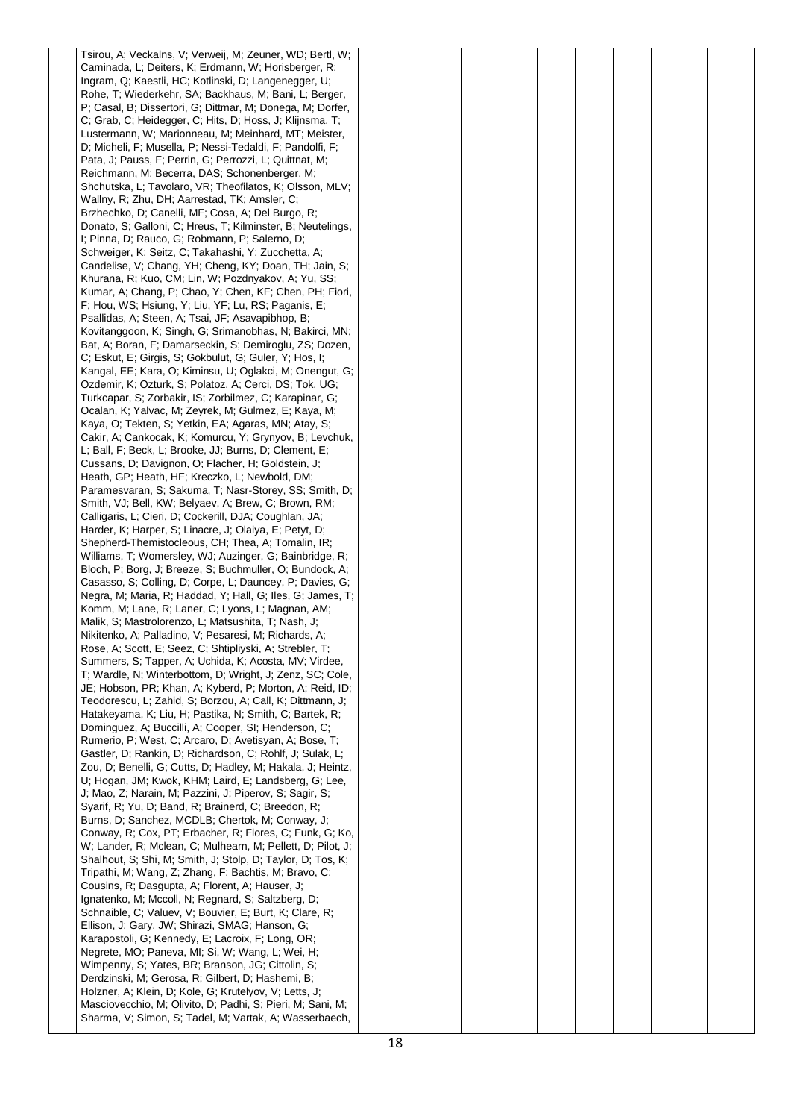| Tsirou, A; Veckalns, V; Verweij, M; Zeuner, WD; Bertl, W;                                                            |  |  |  |  |
|----------------------------------------------------------------------------------------------------------------------|--|--|--|--|
| Caminada, L; Deiters, K; Erdmann, W; Horisberger, R;                                                                 |  |  |  |  |
| Ingram, Q; Kaestli, HC; Kotlinski, D; Langenegger, U;                                                                |  |  |  |  |
| Rohe, T; Wiederkehr, SA; Backhaus, M; Bani, L; Berger,                                                               |  |  |  |  |
| P; Casal, B; Dissertori, G; Dittmar, M; Donega, M; Dorfer,                                                           |  |  |  |  |
| C; Grab, C; Heidegger, C; Hits, D; Hoss, J; Klijnsma, T;                                                             |  |  |  |  |
| Lustermann, W; Marionneau, M; Meinhard, MT; Meister,                                                                 |  |  |  |  |
| D; Micheli, F; Musella, P; Nessi-Tedaldi, F; Pandolfi, F;                                                            |  |  |  |  |
| Pata, J. Pauss, F. Perrin, G. Perrozzi, L. Quittnat, M.                                                              |  |  |  |  |
| Reichmann, M; Becerra, DAS; Schonenberger, M;                                                                        |  |  |  |  |
| Shchutska, L; Tavolaro, VR; Theofilatos, K; Olsson, MLV;                                                             |  |  |  |  |
| Wallny, R; Zhu, DH; Aarrestad, TK; Amsler, C;                                                                        |  |  |  |  |
| Brzhechko, D; Canelli, MF; Cosa, A; Del Burgo, R;                                                                    |  |  |  |  |
| Donato, S; Galloni, C; Hreus, T; Kilminster, B; Neutelings,                                                          |  |  |  |  |
| I; Pinna, D; Rauco, G; Robmann, P; Salerno, D;                                                                       |  |  |  |  |
| Schweiger, K; Seitz, C; Takahashi, Y; Zucchetta, A;                                                                  |  |  |  |  |
| Candelise, V; Chang, YH; Cheng, KY; Doan, TH; Jain, S;                                                               |  |  |  |  |
| Khurana, R; Kuo, CM; Lin, W; Pozdnyakov, A; Yu, SS;                                                                  |  |  |  |  |
| Kumar, A; Chang, P; Chao, Y; Chen, KF; Chen, PH; Fiori,                                                              |  |  |  |  |
| F; Hou, WS; Hsiung, Y; Liu, YF; Lu, RS; Paganis, E;                                                                  |  |  |  |  |
| Psallidas, A; Steen, A; Tsai, JF; Asavapibhop, B;                                                                    |  |  |  |  |
| Kovitanggoon, K; Singh, G; Srimanobhas, N; Bakirci, MN;                                                              |  |  |  |  |
| Bat, A; Boran, F; Damarseckin, S; Demiroglu, ZS; Dozen,                                                              |  |  |  |  |
| C; Eskut, E; Girgis, S; Gokbulut, G; Guler, Y; Hos, I;                                                               |  |  |  |  |
| Kangal, EE; Kara, O; Kiminsu, U; Oglakci, M; Onengut, G;<br>Ozdemir, K; Ozturk, S; Polatoz, A; Cerci, DS; Tok, UG;   |  |  |  |  |
| Turkcapar, S; Zorbakir, IS; Zorbilmez, C; Karapinar, G;                                                              |  |  |  |  |
| Ocalan, K; Yalvac, M; Zeyrek, M; Gulmez, E; Kaya, M;                                                                 |  |  |  |  |
| Kaya, O; Tekten, S; Yetkin, EA; Agaras, MN; Atay, S;                                                                 |  |  |  |  |
| Cakir, A; Cankocak, K; Komurcu, Y; Grynyov, B; Levchuk,                                                              |  |  |  |  |
| L; Ball, F; Beck, L; Brooke, JJ; Burns, D; Clement, E;                                                               |  |  |  |  |
| Cussans, D; Davignon, O; Flacher, H; Goldstein, J;                                                                   |  |  |  |  |
| Heath, GP; Heath, HF; Kreczko, L; Newbold, DM;                                                                       |  |  |  |  |
| Paramesvaran, S; Sakuma, T; Nasr-Storey, SS; Smith, D;                                                               |  |  |  |  |
| Smith, VJ; Bell, KW; Belyaev, A; Brew, C; Brown, RM;                                                                 |  |  |  |  |
| Calligaris, L; Cieri, D; Cockerill, DJA; Coughlan, JA;                                                               |  |  |  |  |
| Harder, K; Harper, S; Linacre, J; Olaiya, E; Petyt, D;                                                               |  |  |  |  |
| Shepherd-Themistocleous, CH; Thea, A; Tomalin, IR;                                                                   |  |  |  |  |
| Williams, T; Womersley, WJ; Auzinger, G; Bainbridge, R;                                                              |  |  |  |  |
| Bloch, P; Borg, J; Breeze, S; Buchmuller, O; Bundock, A;                                                             |  |  |  |  |
| Casasso, S; Colling, D; Corpe, L; Dauncey, P; Davies, G;                                                             |  |  |  |  |
| Negra, M; Maria, R; Haddad, Y; Hall, G; Iles, G; James, T;                                                           |  |  |  |  |
| Komm, M; Lane, R; Laner, C; Lyons, L; Magnan, AM;                                                                    |  |  |  |  |
| Malik, S; Mastrolorenzo, L; Matsushita, T; Nash, J;                                                                  |  |  |  |  |
| Nikitenko, A; Palladino, V; Pesaresi, M; Richards, A;                                                                |  |  |  |  |
| Rose, A; Scott, E; Seez, C; Shtipliyski, A; Strebler, T;                                                             |  |  |  |  |
| Summers, S; Tapper, A; Uchida, K; Acosta, MV; Virdee,                                                                |  |  |  |  |
| T; Wardle, N; Winterbottom, D; Wright, J; Zenz, SC; Cole,                                                            |  |  |  |  |
| JE; Hobson, PR; Khan, A; Kyberd, P; Morton, A; Reid, ID;                                                             |  |  |  |  |
| Teodorescu, L; Zahid, S; Borzou, A; Call, K; Dittmann, J;                                                            |  |  |  |  |
| Hatakeyama, K; Liu, H; Pastika, N; Smith, C; Bartek, R;<br>Dominguez, A; Buccilli, A; Cooper, SI; Henderson, C;      |  |  |  |  |
| Rumerio, P; West, C; Arcaro, D; Avetisyan, A; Bose, T;                                                               |  |  |  |  |
| Gastler, D; Rankin, D; Richardson, C; Rohlf, J; Sulak, L;                                                            |  |  |  |  |
| Zou, D; Benelli, G; Cutts, D; Hadley, M; Hakala, J; Heintz,                                                          |  |  |  |  |
| U; Hogan, JM; Kwok, KHM; Laird, E; Landsberg, G; Lee,                                                                |  |  |  |  |
| J; Mao, Z; Narain, M; Pazzini, J; Piperov, S; Sagir, S;                                                              |  |  |  |  |
| Syarif, R; Yu, D; Band, R; Brainerd, C; Breedon, R;                                                                  |  |  |  |  |
| Burns, D; Sanchez, MCDLB; Chertok, M; Conway, J;                                                                     |  |  |  |  |
| Conway, R; Cox, PT; Erbacher, R; Flores, C; Funk, G; Ko,                                                             |  |  |  |  |
| W; Lander, R; Mclean, C; Mulhearn, M; Pellett, D; Pilot, J;                                                          |  |  |  |  |
| Shalhout, S; Shi, M; Smith, J; Stolp, D; Taylor, D; Tos, K;                                                          |  |  |  |  |
| Tripathi, M; Wang, Z; Zhang, F; Bachtis, M; Bravo, C;                                                                |  |  |  |  |
| Cousins, R; Dasgupta, A; Florent, A; Hauser, J;                                                                      |  |  |  |  |
| Ignatenko, M; Mccoll, N; Regnard, S; Saltzberg, D;                                                                   |  |  |  |  |
| Schnaible, C; Valuev, V; Bouvier, E; Burt, K; Clare, R;                                                              |  |  |  |  |
| Ellison, J; Gary, JW; Shirazi, SMAG; Hanson, G;                                                                      |  |  |  |  |
| Karapostoli, G; Kennedy, E; Lacroix, F; Long, OR;                                                                    |  |  |  |  |
| Negrete, MO; Paneva, MI; Si, W; Wang, L; Wei, H;                                                                     |  |  |  |  |
| Wimpenny, S; Yates, BR; Branson, JG; Cittolin, S;                                                                    |  |  |  |  |
| Derdzinski, M; Gerosa, R; Gilbert, D; Hashemi, B;                                                                    |  |  |  |  |
| Holzner, A; Klein, D; Kole, G; Krutelyov, V; Letts, J;<br>Masciovecchio, M; Olivito, D; Padhi, S; Pieri, M; Sani, M; |  |  |  |  |
| Sharma, V; Simon, S; Tadel, M; Vartak, A; Wasserbaech,                                                               |  |  |  |  |
|                                                                                                                      |  |  |  |  |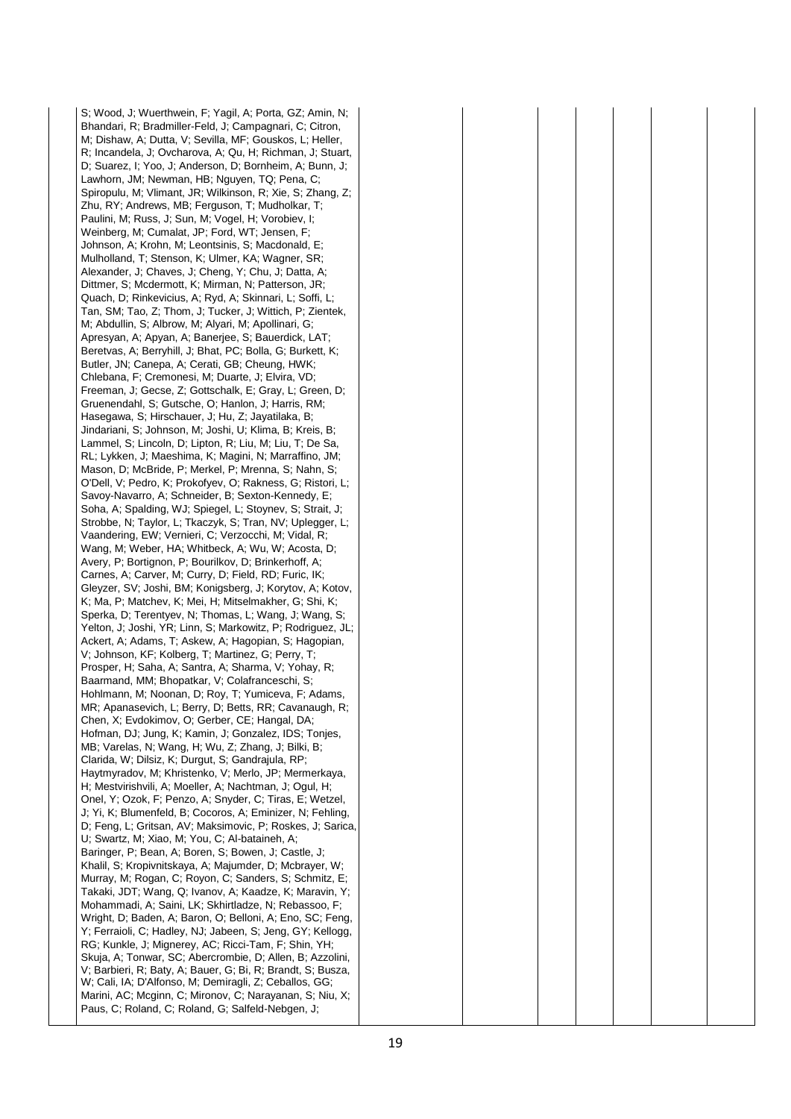S; Wood, J; Wuerthwein, F; Yagil, A; Porta, GZ; Amin, N; Bhandari, R; Bradmiller-Feld, J; Campagnari, C; Citron, M; Dishaw, A; Dutta, V; Sevilla, MF; Gouskos, L; Heller, R; Incandela, J; Ovcharova, A; Qu, H; Richman, J; Stuart, D; Suarez, I; Yoo, J; Anderson, D; Bornheim, A; Bunn, J; Lawhorn, JM; Newman, HB; Nguyen, TQ; Pena, C; Spiropulu, M; Vlimant, JR; Wilkinson, R; Xie, S; Zhang, Z; Zhu, RY; Andrews, MB; Ferguson, T; Mudholkar, T; Paulini, M; Russ, J; Sun, M; Vogel, H; Vorobiev, I; Weinberg, M; Cumalat, JP; Ford, WT; Jensen, F; Johnson, A; Krohn, M; Leontsinis, S; Macdonald, E; Mulholland, T; Stenson, K; Ulmer, KA; Wagner, SR; Alexander, J; Chaves, J; Cheng, Y; Chu, J; Datta, A; Dittmer, S; Mcdermott, K; Mirman, N; Patterson, JR; Quach, D; Rinkevicius, A; Ryd, A; Skinnari, L; Soffi, L; Tan, SM; Tao, Z; Thom, J; Tucker, J; Wittich, P; Zientek, M; Abdullin, S; Albrow, M; Alyari, M; Apollinari, G; Apresyan, A; Apyan, A; Banerjee, S; Bauerdick, LAT; Beretvas, A; Berryhill, J; Bhat, PC; Bolla, G; Burkett, K; Butler, JN; Canepa, A; Cerati, GB; Cheung, HWK; Chlebana, F; Cremonesi, M; Duarte, J; Elvira, VD; Freeman, J; Gecse, Z; Gottschalk, E; Gray, L; Green, D; Gruenendahl, S; Gutsche, O; Hanlon, J; Harris, RM; Hasegawa, S; Hirschauer, J; Hu, Z; Jayatilaka, B; Jindariani, S; Johnson, M; Joshi, U; Klima, B; Kreis, B; Lammel, S; Lincoln, D; Lipton, R; Liu, M; Liu, T; De Sa, RL; Lykken, J; Maeshima, K; Magini, N; Marraffino, JM; Mason, D; McBride, P; Merkel, P; Mrenna, S; Nahn, S; O'Dell, V; Pedro, K; Prokofyev, O; Rakness, G; Ristori, L; Savoy-Navarro, A; Schneider, B; Sexton-Kennedy, E; Soha, A; Spalding, WJ; Spiegel, L; Stoynev, S; Strait, J; Strobbe, N; Taylor, L; Tkaczyk, S; Tran, NV; Uplegger, L; Vaandering, EW; Vernieri, C; Verzocchi, M; Vidal, R; Wang, M; Weber, HA; Whitbeck, A; Wu, W; Acosta, D; Avery, P; Bortignon, P; Bourilkov, D; Brinkerhoff, A; Carnes, A; Carver, M; Curry, D; Field, RD; Furic, IK; Gleyzer, SV; Joshi, BM; Konigsberg, J; Korytov, A; Kotov, K; Ma, P; Matchev, K; Mei, H; Mitselmakher, G; Shi, K; Sperka, D; Terentyev, N; Thomas, L; Wang, J; Wang, S; Yelton, J; Joshi, YR; Linn, S; Markowitz, P; Rodriguez, JL; Ackert, A; Adams, T; Askew, A; Hagopian, S; Hagopian, V; Johnson, KF; Kolberg, T; Martinez, G; Perry, T; Prosper, H; Saha, A; Santra, A; Sharma, V; Yohay, R; Baarmand, MM; Bhopatkar, V; Colafranceschi, S; Hohlmann, M; Noonan, D; Roy, T; Yumiceva, F; Adams, MR; Apanasevich, L; Berry, D; Betts, RR; Cavanaugh, R; Chen, X; Evdokimov, O; Gerber, CE; Hangal, DA; Hofman, DJ; Jung, K; Kamin, J; Gonzalez, IDS; Tonjes, MB; Varelas, N; Wang, H; Wu, Z; Zhang, J; Bilki, B; Clarida, W; Dilsiz, K; Durgut, S; Gandrajula, RP; Haytmyradov, M; Khristenko, V; Merlo, JP; Mermerkaya, H; Mestvirishvili, A; Moeller, A; Nachtman, J; Ogul, H; Onel, Y; Ozok, F; Penzo, A; Snyder, C; Tiras, E; Wetzel, J; Yi, K; Blumenfeld, B; Cocoros, A; Eminizer, N; Fehling, D; Feng, L; Gritsan, AV; Maksimovic, P; Roskes, J; Sarica, U; Swartz, M; Xiao, M; You, C; Al-bataineh, A; Baringer, P; Bean, A; Boren, S; Bowen, J; Castle, J; Khalil, S; Kropivnitskaya, A; Majumder, D; Mcbrayer, W; Murray, M; Rogan, C; Royon, C; Sanders, S; Schmitz, E; Takaki, JDT; Wang, Q; Ivanov, A; Kaadze, K; Maravin, Y; Mohammadi, A; Saini, LK; Skhirtladze, N; Rebassoo, F; Wright, D; Baden, A; Baron, O; Belloni, A; Eno, SC; Feng, Y; Ferraioli, C; Hadley, NJ; Jabeen, S; Jeng, GY; Kellogg, RG; Kunkle, J; Mignerey, AC; Ricci-Tam, F; Shin, YH; Skuja, A; Tonwar, SC; Abercrombie, D; Allen, B; Azzolini, V; Barbieri, R; Baty, A; Bauer, G; Bi, R; Brandt, S; Busza, W; Cali, IA; D'Alfonso, M; Demiragli, Z; Ceballos, GG; Marini, AC; Mcginn, C; Mironov, C; Narayanan, S; Niu, X; Paus, C; Roland, C; Roland, G; Salfeld-Nebgen, J;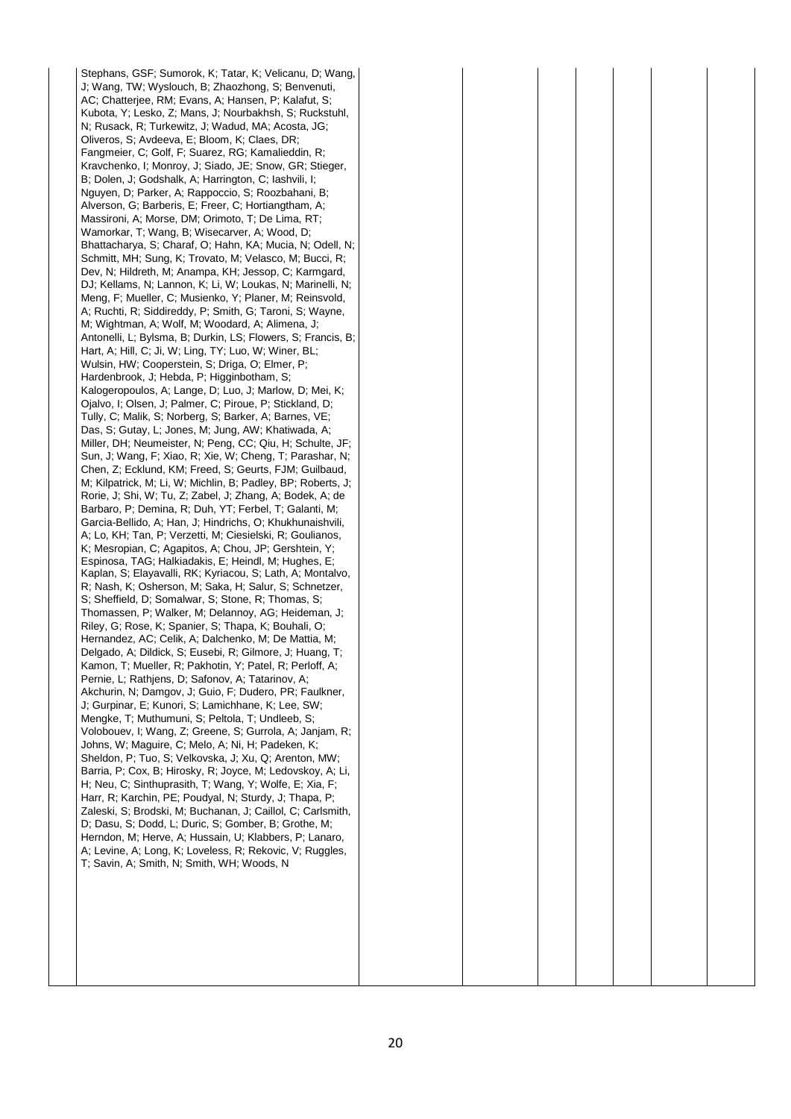Stephans, GSF; Sumorok, K; Tatar, K; Velicanu, D; Wang, J; Wang, TW; Wyslouch, B; Zhaozhong, S; Benvenuti, AC; Chatterjee, RM; Evans, A; Hansen, P; Kalafut, S; Kubota, Y; Lesko, Z; Mans, J; Nourbakhsh, S; Ruckstuhl, N; Rusack, R; Turkewitz, J; Wadud, MA; Acosta, JG; Oliveros, S; Avdeeva, E; Bloom, K; Claes, DR; Fangmeier, C; Golf, F; Suarez, RG; Kamalieddin, R; Kravchenko, I; Monroy, J; Siado, JE; Snow, GR; Stieger, B; Dolen, J; Godshalk, A; Harrington, C; Iashvili, I; Nguyen, D; Parker, A; Rappoccio, S; Roozbahani, B; Alverson, G; Barberis, E; Freer, C; Hortiangtham, A; Massironi, A; Morse, DM; Orimoto, T; De Lima, RT; Wamorkar, T; Wang, B; Wisecarver, A; Wood, D; Bhattacharya, S; Charaf, O; Hahn, KA; Mucia, N; Odell, N; Schmitt, MH; Sung, K; Trovato, M; Velasco, M; Bucci, R; Dev, N; Hildreth, M; Anampa, KH; Jessop, C; Karmgard, DJ; Kellams, N; Lannon, K; Li, W; Loukas, N; Marinelli, N; Meng, F; Mueller, C; Musienko, Y; Planer, M; Reinsvold, A; Ruchti, R; Siddireddy, P; Smith, G; Taroni, S; Wayne, M; Wightman, A; Wolf, M; Woodard, A; Alimena, J; Antonelli, L; Bylsma, B; Durkin, LS; Flowers, S; Francis, B; Hart, A; Hill, C; Ji, W; Ling, TY; Luo, W; Winer, BL; Wulsin, HW; Cooperstein, S; Driga, O; Elmer, P; Hardenbrook, J: Hebda, P: Higginbotham, S: Kalogeropoulos, A; Lange, D; Luo, J; Marlow, D; Mei, K; Ojalvo, I; Olsen, J; Palmer, C; Piroue, P; Stickland, D; Tully, C; Malik, S; Norberg, S; Barker, A; Barnes, VE; Das, S; Gutay, L; Jones, M; Jung, AW; Khatiwada, A; Miller, DH; Neumeister, N; Peng, CC; Qiu, H; Schulte, JF; Sun, J; Wang, F; Xiao, R; Xie, W; Cheng, T; Parashar, N; Chen, Z; Ecklund, KM; Freed, S; Geurts, FJM; Guilbaud, M; Kilpatrick, M; Li, W; Michlin, B; Padley, BP; Roberts, J; Rorie, J; Shi, W; Tu, Z; Zabel, J; Zhang, A; Bodek, A; de Barbaro, P; Demina, R; Duh, YT; Ferbel, T; Galanti, M; Garcia-Bellido, A; Han, J; Hindrichs, O; Khukhunaishvili, A; Lo, KH; Tan, P; Verzetti, M; Ciesielski, R; Goulianos, K; Mesropian, C; Agapitos, A; Chou, JP; Gershtein, Y; Espinosa, TAG; Halkiadakis, E; Heindl, M; Hughes, E; Kaplan, S; Elayavalli, RK; Kyriacou, S; Lath, A; Montalvo, R; Nash, K; Osherson, M; Saka, H; Salur, S; Schnetzer, S; Sheffield, D; Somalwar, S; Stone, R; Thomas, S; Thomassen, P; Walker, M; Delannoy, AG; Heideman, J; Riley, G; Rose, K; Spanier, S; Thapa, K; Bouhali, O; Hernandez, AC; Celik, A; Dalchenko, M; De Mattia, M; Delgado, A; Dildick, S; Eusebi, R; Gilmore, J; Huang, T; Kamon, T; Mueller, R; Pakhotin, Y; Patel, R; Perloff, A; Pernie, L; Rathjens, D; Safonov, A; Tatarinov, A; Akchurin, N; Damgov, J; Guio, F; Dudero, PR; Faulkner, J; Gurpinar, E; Kunori, S; Lamichhane, K; Lee, SW; Mengke, T; Muthumuni, S; Peltola, T; Undleeb, S; Volobouev, I; Wang, Z; Greene, S; Gurrola, A; Janjam, R; Johns, W; Maguire, C; Melo, A; Ni, H; Padeken, K; Sheldon, P; Tuo, S; Velkovska, J; Xu, Q; Arenton, MW; Barria, P; Cox, B; Hirosky, R; Joyce, M; Ledovskoy, A; Li, H; Neu, C; Sinthuprasith, T; Wang, Y; Wolfe, E; Xia, F; Harr, R; Karchin, PE; Poudyal, N; Sturdy, J; Thapa, P; Zaleski, S; Brodski, M; Buchanan, J; Caillol, C; Carlsmith, D; Dasu, S; Dodd, L; Duric, S; Gomber, B; Grothe, M; Herndon, M; Herve, A; Hussain, U; Klabbers, P; Lanaro, A; Levine, A; Long, K; Loveless, R; Rekovic, V; Ruggles, T; Savin, A; Smith, N; Smith, WH; Woods, N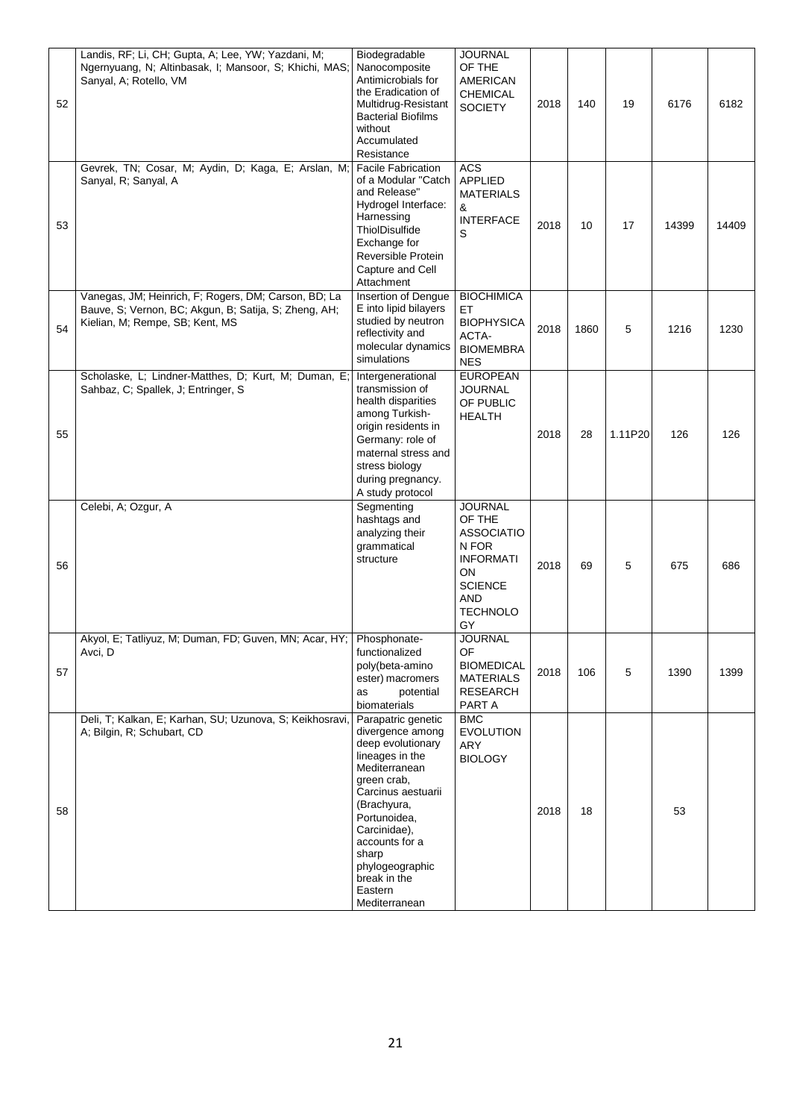| 52 | Landis, RF; Li, CH; Gupta, A; Lee, YW; Yazdani, M;<br>Ngernyuang, N; Altinbasak, I; Mansoor, S; Khichi, MAS;<br>Sanyal, A; Rotello, VM           | Biodegradable<br>Nanocomposite<br>Antimicrobials for<br>the Eradication of<br>Multidrug-Resistant<br><b>Bacterial Biofilms</b><br>without<br>Accumulated<br>Resistance                                                                                                        | <b>JOURNAL</b><br>OF THE<br><b>AMERICAN</b><br><b>CHEMICAL</b><br><b>SOCIETY</b>                                                   | 2018 | 140  | 19      | 6176  | 6182  |
|----|--------------------------------------------------------------------------------------------------------------------------------------------------|-------------------------------------------------------------------------------------------------------------------------------------------------------------------------------------------------------------------------------------------------------------------------------|------------------------------------------------------------------------------------------------------------------------------------|------|------|---------|-------|-------|
| 53 | Gevrek, TN; Cosar, M; Aydin, D; Kaga, E; Arslan, M;<br>Sanyal, R; Sanyal, A                                                                      | <b>Facile Fabrication</b><br>of a Modular "Catch<br>and Release"<br>Hydrogel Interface:<br>Harnessing<br>ThiolDisulfide<br>Exchange for<br>Reversible Protein<br>Capture and Cell<br>Attachment                                                                               | <b>ACS</b><br><b>APPLIED</b><br><b>MATERIALS</b><br>&<br><b>INTERFACE</b><br>S                                                     | 2018 | 10   | 17      | 14399 | 14409 |
| 54 | Vanegas, JM; Heinrich, F; Rogers, DM; Carson, BD; La<br>Bauve, S; Vernon, BC; Akgun, B; Satija, S; Zheng, AH;<br>Kielian, M; Rempe, SB; Kent, MS | Insertion of Dengue<br>E into lipid bilayers<br>studied by neutron<br>reflectivity and<br>molecular dynamics<br>simulations                                                                                                                                                   | <b>BIOCHIMICA</b><br>ET<br><b>BIOPHYSICA</b><br>ACTA-<br><b>BIOMEMBRA</b><br><b>NES</b>                                            | 2018 | 1860 | 5       | 1216  | 1230  |
| 55 | Scholaske, L; Lindner-Matthes, D; Kurt, M; Duman, E;<br>Sahbaz, C; Spallek, J; Entringer, S                                                      | Intergenerational<br>transmission of<br>health disparities<br>among Turkish-<br>origin residents in<br>Germany: role of<br>maternal stress and<br>stress biology<br>during pregnancy.<br>A study protocol                                                                     | <b>EUROPEAN</b><br><b>JOURNAL</b><br>OF PUBLIC<br><b>HEALTH</b>                                                                    | 2018 | 28   | 1.11P20 | 126   | 126   |
| 56 | Celebi, A; Ozgur, A                                                                                                                              | Segmenting<br>hashtags and<br>analyzing their<br>grammatical<br>structure                                                                                                                                                                                                     | <b>JOURNAL</b><br>OF THE<br><b>ASSOCIATIO</b><br>N FOR<br><b>INFORMATI</b><br>ON<br><b>SCIENCE</b><br>AND<br><b>TECHNOLO</b><br>GY | 2018 | 69   | 5       | 675   | 686   |
| 57 | Akyol, E; Tatliyuz, M; Duman, FD; Guven, MN; Acar, HY;   Phosphonate-<br>Avci, D                                                                 | functionalized<br>poly(beta-amino<br>ester) macromers<br>potential<br>as<br>biomaterials                                                                                                                                                                                      | JOURNAL<br>OF<br><b>BIOMEDICAL</b><br><b>MATERIALS</b><br><b>RESEARCH</b><br>PART A                                                | 2018 | 106  | 5       | 1390  | 1399  |
| 58 | Deli, T; Kalkan, E; Karhan, SU; Uzunova, S; Keikhosravi,<br>A; Bilgin, R; Schubart, CD                                                           | Parapatric genetic<br>divergence among<br>deep evolutionary<br>lineages in the<br>Mediterranean<br>green crab,<br>Carcinus aestuarii<br>(Brachyura,<br>Portunoidea,<br>Carcinidae),<br>accounts for a<br>sharp<br>phylogeographic<br>break in the<br>Eastern<br>Mediterranean | <b>BMC</b><br><b>EVOLUTION</b><br>ARY<br><b>BIOLOGY</b>                                                                            | 2018 | 18   |         | 53    |       |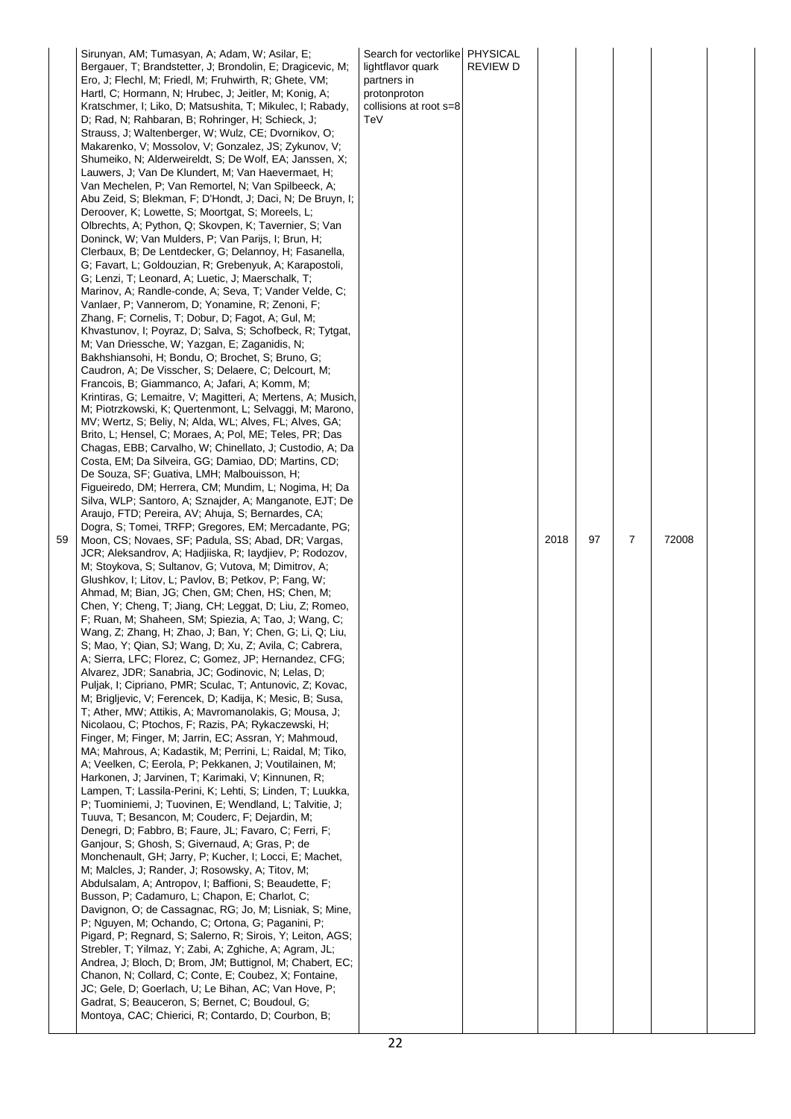|    | Sirunyan, AM; Tumasyan, A; Adam, W; Asilar, E;                                                                      | Search for vectorlike PHYSICAL |                 |      |    |   |       |  |
|----|---------------------------------------------------------------------------------------------------------------------|--------------------------------|-----------------|------|----|---|-------|--|
|    | Bergauer, T; Brandstetter, J; Brondolin, E; Dragicevic, M;                                                          | lightflavor quark              | <b>REVIEW D</b> |      |    |   |       |  |
|    | Ero, J; Flechl, M; Friedl, M; Fruhwirth, R; Ghete, VM;                                                              | partners in                    |                 |      |    |   |       |  |
|    | Hartl, C; Hormann, N; Hrubec, J; Jeitler, M; Konig, A;                                                              | protonproton                   |                 |      |    |   |       |  |
|    | Kratschmer, I; Liko, D; Matsushita, T; Mikulec, I; Rabady,                                                          | collisions at root s=8         |                 |      |    |   |       |  |
|    | D; Rad, N; Rahbaran, B; Rohringer, H; Schieck, J;<br>Strauss, J; Waltenberger, W; Wulz, CE; Dvornikov, O;           | TeV                            |                 |      |    |   |       |  |
|    | Makarenko, V; Mossolov, V; Gonzalez, JS; Zykunov, V;                                                                |                                |                 |      |    |   |       |  |
|    | Shumeiko, N; Alderweireldt, S; De Wolf, EA; Janssen, X;                                                             |                                |                 |      |    |   |       |  |
|    | Lauwers, J; Van De Klundert, M; Van Haevermaet, H;                                                                  |                                |                 |      |    |   |       |  |
|    | Van Mechelen, P; Van Remortel, N; Van Spilbeeck, A;                                                                 |                                |                 |      |    |   |       |  |
|    | Abu Zeid, S; Blekman, F; D'Hondt, J; Daci, N; De Bruyn, I;                                                          |                                |                 |      |    |   |       |  |
|    | Deroover, K; Lowette, S; Moortgat, S; Moreels, L;                                                                   |                                |                 |      |    |   |       |  |
|    | Olbrechts, A; Python, Q; Skovpen, K; Tavernier, S; Van                                                              |                                |                 |      |    |   |       |  |
|    | Doninck, W; Van Mulders, P; Van Parijs, I; Brun, H;                                                                 |                                |                 |      |    |   |       |  |
|    | Clerbaux, B; De Lentdecker, G; Delannoy, H; Fasanella,                                                              |                                |                 |      |    |   |       |  |
|    | G; Favart, L; Goldouzian, R; Grebenyuk, A; Karapostoli,                                                             |                                |                 |      |    |   |       |  |
|    | G; Lenzi, T; Leonard, A; Luetic, J; Maerschalk, T;                                                                  |                                |                 |      |    |   |       |  |
|    | Marinov, A; Randle-conde, A; Seva, T; Vander Velde, C;<br>Vanlaer, P; Vannerom, D; Yonamine, R; Zenoni, F;          |                                |                 |      |    |   |       |  |
|    | Zhang, F; Cornelis, T; Dobur, D; Fagot, A; Gul, M;                                                                  |                                |                 |      |    |   |       |  |
|    | Khvastunov, I; Poyraz, D; Salva, S; Schofbeck, R; Tytgat,                                                           |                                |                 |      |    |   |       |  |
|    | M; Van Driessche, W; Yazgan, E; Zaganidis, N;                                                                       |                                |                 |      |    |   |       |  |
|    | Bakhshiansohi, H; Bondu, O; Brochet, S; Bruno, G;                                                                   |                                |                 |      |    |   |       |  |
|    | Caudron, A; De Visscher, S; Delaere, C; Delcourt, M;                                                                |                                |                 |      |    |   |       |  |
|    | Francois, B; Giammanco, A; Jafari, A; Komm, M;                                                                      |                                |                 |      |    |   |       |  |
|    | Krintiras, G; Lemaitre, V; Magitteri, A; Mertens, A; Musich,                                                        |                                |                 |      |    |   |       |  |
|    | M; Piotrzkowski, K; Quertenmont, L; Selvaggi, M; Marono,                                                            |                                |                 |      |    |   |       |  |
|    | MV; Wertz, S; Beliy, N; Alda, WL; Alves, FL; Alves, GA;                                                             |                                |                 |      |    |   |       |  |
|    | Brito, L; Hensel, C; Moraes, A; Pol, ME; Teles, PR; Das<br>Chagas, EBB; Carvalho, W; Chinellato, J; Custodio, A; Da |                                |                 |      |    |   |       |  |
|    | Costa, EM; Da Silveira, GG; Damiao, DD; Martins, CD;                                                                |                                |                 |      |    |   |       |  |
|    | De Souza, SF; Guativa, LMH; Malbouisson, H;                                                                         |                                |                 |      |    |   |       |  |
|    | Figueiredo, DM; Herrera, CM; Mundim, L; Nogima, H; Da                                                               |                                |                 |      |    |   |       |  |
|    | Silva, WLP; Santoro, A; Sznajder, A; Manganote, EJT; De                                                             |                                |                 |      |    |   |       |  |
|    | Araujo, FTD; Pereira, AV; Ahuja, S; Bernardes, CA;                                                                  |                                |                 |      |    |   |       |  |
|    | Dogra, S; Tomei, TRFP; Gregores, EM; Mercadante, PG;                                                                |                                |                 |      |    |   |       |  |
| 59 | Moon, CS; Novaes, SF; Padula, SS; Abad, DR; Vargas,<br>JCR; Aleksandrov, A; Hadjiiska, R; laydjiev, P; Rodozov,     |                                |                 | 2018 | 97 | 7 | 72008 |  |
|    | M; Stoykova, S; Sultanov, G; Vutova, M; Dimitrov, A;                                                                |                                |                 |      |    |   |       |  |
|    | Glushkov, I; Litov, L; Pavlov, B; Petkov, P; Fang, W;                                                               |                                |                 |      |    |   |       |  |
|    | Ahmad, M; Bian, JG; Chen, GM; Chen, HS; Chen, M;                                                                    |                                |                 |      |    |   |       |  |
|    | Chen, Y; Cheng, T; Jiang, CH; Leggat, D; Liu, Z; Romeo,                                                             |                                |                 |      |    |   |       |  |
|    | F; Ruan, M; Shaheen, SM; Spiezia, A; Tao, J; Wang, C;                                                               |                                |                 |      |    |   |       |  |
|    | Wang, Z; Zhang, H; Zhao, J; Ban, Y; Chen, G; Li, Q; Liu,                                                            |                                |                 |      |    |   |       |  |
|    | S; Mao, Y; Qian, SJ; Wang, D; Xu, Z; Avila, C; Cabrera,                                                             |                                |                 |      |    |   |       |  |
|    | A; Sierra, LFC; Florez, C; Gomez, JP; Hernandez, CFG;<br>Alvarez, JDR; Sanabria, JC; Godinovic, N; Lelas, D;        |                                |                 |      |    |   |       |  |
|    | Puljak, I; Cipriano, PMR; Sculac, T; Antunovic, Z; Kovac,                                                           |                                |                 |      |    |   |       |  |
|    | M; Briglievic, V; Ferencek, D; Kadija, K; Mesic, B; Susa,                                                           |                                |                 |      |    |   |       |  |
|    | T; Ather, MW; Attikis, A; Mavromanolakis, G; Mousa, J;                                                              |                                |                 |      |    |   |       |  |
|    | Nicolaou, C; Ptochos, F; Razis, PA; Rykaczewski, H;                                                                 |                                |                 |      |    |   |       |  |
|    | Finger, M; Finger, M; Jarrin, EC; Assran, Y; Mahmoud,                                                               |                                |                 |      |    |   |       |  |
|    | MA; Mahrous, A; Kadastik, M; Perrini, L; Raidal, M; Tiko,                                                           |                                |                 |      |    |   |       |  |
|    | A; Veelken, C; Eerola, P; Pekkanen, J; Voutilainen, M;<br>Harkonen, J; Jarvinen, T; Karimaki, V; Kinnunen, R;       |                                |                 |      |    |   |       |  |
|    | Lampen, T; Lassila-Perini, K; Lehti, S; Linden, T; Luukka,                                                          |                                |                 |      |    |   |       |  |
|    | P; Tuominiemi, J; Tuovinen, E; Wendland, L; Talvitie, J;                                                            |                                |                 |      |    |   |       |  |
|    | Tuuva, T; Besancon, M; Couderc, F; Dejardin, M;                                                                     |                                |                 |      |    |   |       |  |
|    | Denegri, D; Fabbro, B; Faure, JL; Favaro, C; Ferri, F;                                                              |                                |                 |      |    |   |       |  |
|    | Ganjour, S; Ghosh, S; Givernaud, A; Gras, P; de                                                                     |                                |                 |      |    |   |       |  |
|    | Monchenault, GH; Jarry, P; Kucher, I; Locci, E; Machet,                                                             |                                |                 |      |    |   |       |  |
|    | M; Malcles, J; Rander, J; Rosowsky, A; Titov, M;                                                                    |                                |                 |      |    |   |       |  |
|    | Abdulsalam, A; Antropov, I; Baffioni, S; Beaudette, F;                                                              |                                |                 |      |    |   |       |  |
|    | Busson, P; Cadamuro, L; Chapon, E; Charlot, C;<br>Davignon, O; de Cassagnac, RG; Jo, M; Lisniak, S; Mine,           |                                |                 |      |    |   |       |  |
|    | P; Nguyen, M; Ochando, C; Ortona, G; Paganini, P;                                                                   |                                |                 |      |    |   |       |  |
|    | Pigard, P; Regnard, S; Salerno, R; Sirois, Y; Leiton, AGS;                                                          |                                |                 |      |    |   |       |  |
|    | Strebler, T; Yilmaz, Y; Zabi, A; Zghiche, A; Agram, JL;                                                             |                                |                 |      |    |   |       |  |
|    | Andrea, J; Bloch, D; Brom, JM; Buttignol, M; Chabert, EC;                                                           |                                |                 |      |    |   |       |  |
|    | Chanon, N; Collard, C; Conte, E; Coubez, X; Fontaine,                                                               |                                |                 |      |    |   |       |  |
|    | JC; Gele, D; Goerlach, U; Le Bihan, AC; Van Hove, P;                                                                |                                |                 |      |    |   |       |  |
|    | Gadrat, S; Beauceron, S; Bernet, C; Boudoul, G;<br>Montoya, CAC; Chierici, R; Contardo, D; Courbon, B;              |                                |                 |      |    |   |       |  |
|    |                                                                                                                     |                                |                 |      |    |   |       |  |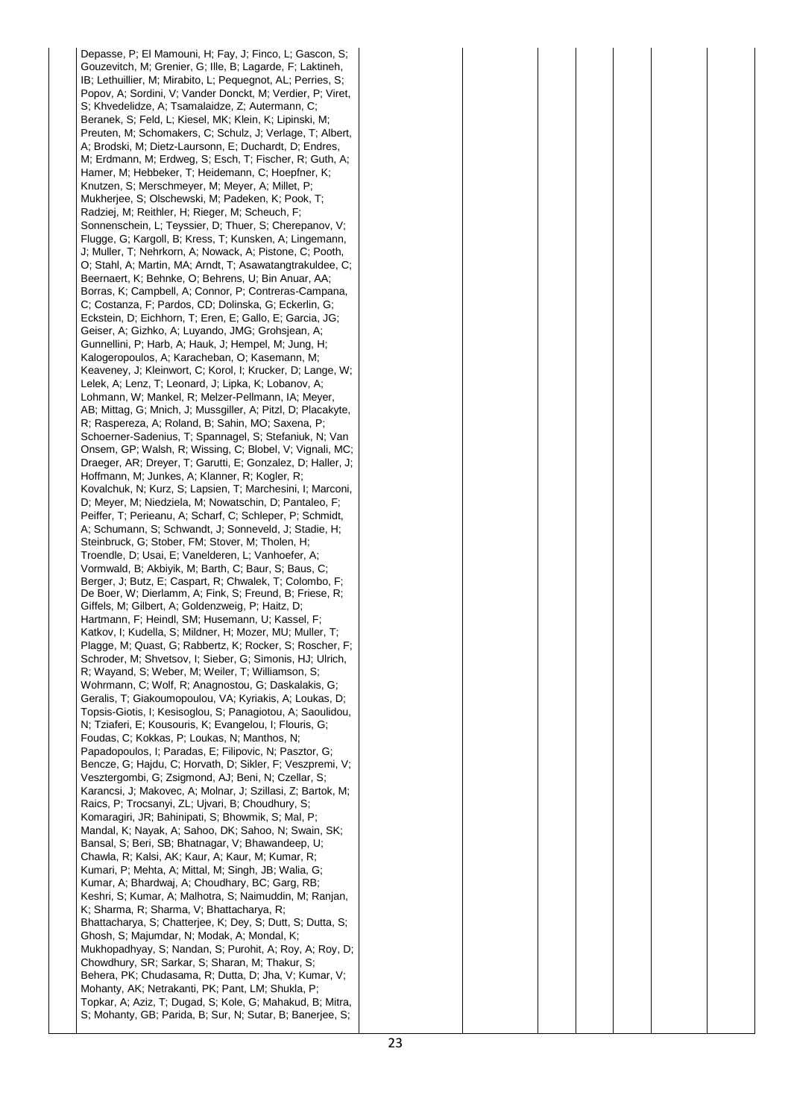Depasse, P; El Mamouni, H; Fay, J; Finco, L; Gascon, S; Gouzevitch, M; Grenier, G; Ille, B; Lagarde, F; Laktineh, IB; Lethuillier, M; Mirabito, L; Pequegnot, AL; Perries, S; Popov, A; Sordini, V; Vander Donckt, M; Verdier, P; Viret, S; Khvedelidze, A; Tsamalaidze, Z; Autermann, C; Beranek, S; Feld, L; Kiesel, MK; Klein, K; Lipinski, M; Preuten, M; Schomakers, C; Schulz, J; Verlage, T; Albert, A; Brodski, M; Dietz-Laursonn, E; Duchardt, D; Endres, M; Erdmann, M; Erdweg, S; Esch, T; Fischer, R; Guth, A; Hamer, M; Hebbeker, T; Heidemann, C; Hoepfner, K; Knutzen, S; Merschmeyer, M; Meyer, A; Millet, P; Mukherjee, S; Olschewski, M; Padeken, K; Pook, T; Radziej, M; Reithler, H; Rieger, M; Scheuch, F; Sonnenschein, L; Teyssier, D; Thuer, S; Cherepanov, V; Flugge, G; Kargoll, B; Kress, T; Kunsken, A; Lingemann, J; Muller, T; Nehrkorn, A; Nowack, A; Pistone, C; Pooth, O; Stahl, A; Martin, MA; Arndt, T; Asawatangtrakuldee, C; Beernaert, K; Behnke, O; Behrens, U; Bin Anuar, AA; Borras, K; Campbell, A; Connor, P; Contreras-Campana, C; Costanza, F; Pardos, CD; Dolinska, G; Eckerlin, G; Eckstein, D; Eichhorn, T; Eren, E; Gallo, E; Garcia, JG; Geiser, A; Gizhko, A; Luyando, JMG; Grohsjean, A; Gunnellini, P; Harb, A; Hauk, J; Hempel, M; Jung, H; Kalogeropoulos, A; Karacheban, O; Kasemann, M; Keaveney, J; Kleinwort, C; Korol, I; Krucker, D; Lange, W; Lelek, A; Lenz, T; Leonard, J; Lipka, K; Lobanov, A; Lohmann, W; Mankel, R; Melzer-Pellmann, IA; Meyer, AB; Mittag, G; Mnich, J; Mussgiller, A; Pitzl, D; Placakyte, R; Raspereza, A; Roland, B; Sahin, MO; Saxena, P; Schoerner-Sadenius, T; Spannagel, S; Stefaniuk, N; Van Onsem, GP; Walsh, R; Wissing, C; Blobel, V; Vignali, MC; Draeger, AR; Dreyer, T; Garutti, E; Gonzalez, D; Haller, J; Hoffmann, M; Junkes, A; Klanner, R; Kogler, R; Kovalchuk, N; Kurz, S; Lapsien, T; Marchesini, I; Marconi, D; Meyer, M; Niedziela, M; Nowatschin, D; Pantaleo, F; Peiffer, T; Perieanu, A; Scharf, C; Schleper, P; Schmidt, A; Schumann, S; Schwandt, J; Sonneveld, J; Stadie, H; Steinbruck, G; Stober, FM; Stover, M; Tholen, H; Troendle, D; Usai, E; Vanelderen, L; Vanhoefer, A; Vormwald, B; Akbiyik, M; Barth, C; Baur, S; Baus, C; Berger, J; Butz, E; Caspart, R; Chwalek, T; Colombo, F; De Boer, W; Dierlamm, A; Fink, S; Freund, B; Friese, R; Giffels, M; Gilbert, A; Goldenzweig, P; Haitz, D; Hartmann, F; Heindl, SM; Husemann, U; Kassel, F; Katkov, I; Kudella, S; Mildner, H; Mozer, MU; Muller, T; Plagge, M; Quast, G; Rabbertz, K; Rocker, S; Roscher, F; Schroder, M; Shvetsov, I; Sieber, G; Simonis, HJ; Ulrich, R; Wayand, S; Weber, M; Weiler, T; Williamson, S; Wohrmann, C; Wolf, R; Anagnostou, G; Daskalakis, G; Geralis, T; Giakoumopoulou, VA; Kyriakis, A; Loukas, D; Topsis-Giotis, I; Kesisoglou, S; Panagiotou, A; Saoulidou, N; Tziaferi, E; Kousouris, K; Evangelou, I; Flouris, G; Foudas, C; Kokkas, P; Loukas, N; Manthos, N; Papadopoulos, I; Paradas, E; Filipovic, N; Pasztor, G; Bencze, G; Hajdu, C; Horvath, D; Sikler, F; Veszpremi, V; Vesztergombi, G; Zsigmond, AJ; Beni, N; Czellar, S; Karancsi, J; Makovec, A; Molnar, J; Szillasi, Z; Bartok, M; Raics, P; Trocsanyi, ZL; Ujvari, B; Choudhury, S; Komaragiri, JR; Bahinipati, S; Bhowmik, S; Mal, P; Mandal, K; Nayak, A; Sahoo, DK; Sahoo, N; Swain, SK; Bansal, S; Beri, SB; Bhatnagar, V; Bhawandeep, U; Chawla, R; Kalsi, AK; Kaur, A; Kaur, M; Kumar, R; Kumari, P; Mehta, A; Mittal, M; Singh, JB; Walia, G; Kumar, A; Bhardwaj, A; Choudhary, BC; Garg, RB; Keshri, S; Kumar, A; Malhotra, S; Naimuddin, M; Ranjan, K; Sharma, R; Sharma, V; Bhattacharya, R; Bhattacharya, S; Chatterjee, K; Dey, S; Dutt, S; Dutta, S; Ghosh, S; Majumdar, N; Modak, A; Mondal, K; Mukhopadhyay, S; Nandan, S; Purohit, A; Roy, A; Roy, D; Chowdhury, SR; Sarkar, S; Sharan, M; Thakur, S; Behera, PK; Chudasama, R; Dutta, D; Jha, V; Kumar, V; Mohanty, AK; Netrakanti, PK; Pant, LM; Shukla, P; Topkar, A; Aziz, T; Dugad, S; Kole, G; Mahakud, B; Mitra, S; Mohanty, GB; Parida, B; Sur, N; Sutar, B; Banerjee, S;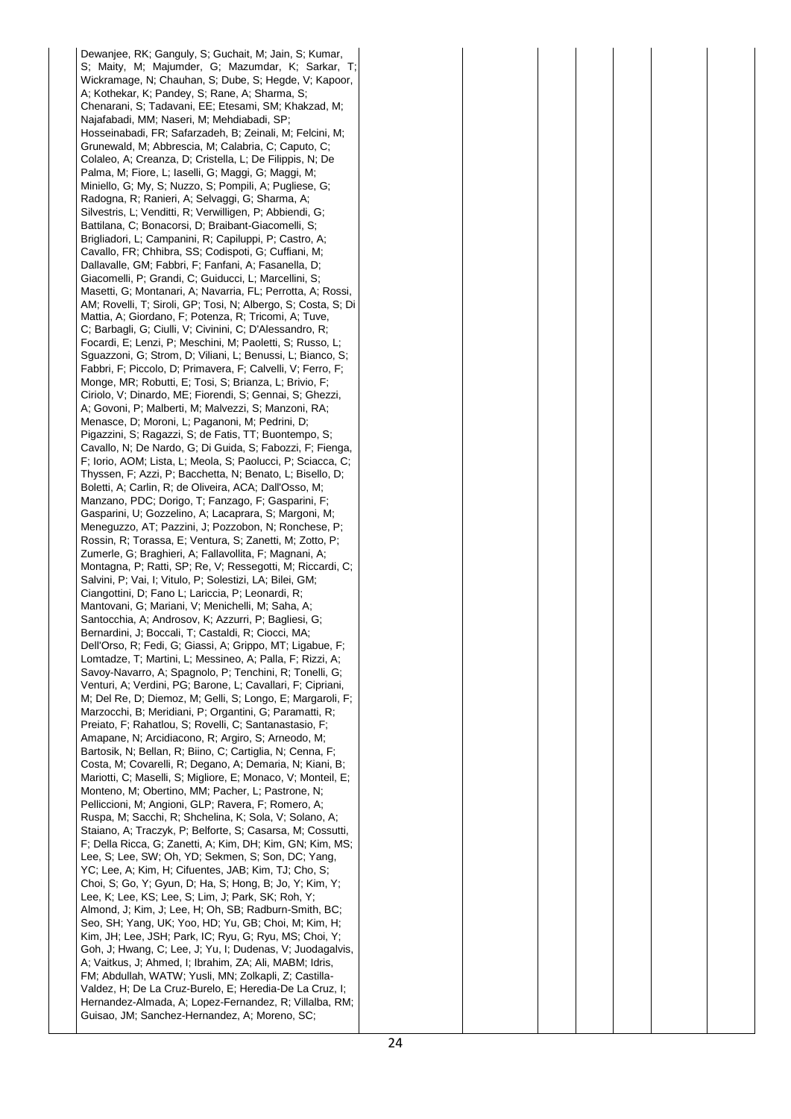Dewanjee, RK; Ganguly, S; Guchait, M; Jain, S; Kumar, S; Maity, M; Majumder, G; Mazumdar, K; Sarkar, T; Wickramage, N; Chauhan, S; Dube, S; Hegde, V; Kapoor, A; Kothekar, K; Pandey, S; Rane, A; Sharma, S; Chenarani, S; Tadavani, EE; Etesami, SM; Khakzad, M; Najafabadi, MM; Naseri, M; Mehdiabadi, SP; Hosseinabadi, FR; Safarzadeh, B; Zeinali, M; Felcini, M; Grunewald, M; Abbrescia, M; Calabria, C; Caputo, C; Colaleo, A; Creanza, D; Cristella, L; De Filippis, N; De Palma, M; Fiore, L; Iaselli, G; Maggi, G; Maggi, M; Miniello, G; My, S; Nuzzo, S; Pompili, A; Pugliese, G; Radogna, R; Ranieri, A; Selvaggi, G; Sharma, A; Silvestris, L; Venditti, R; Verwilligen, P; Abbiendi, G; Battilana, C; Bonacorsi, D; Braibant-Giacomelli, S; Brigliadori, L; Campanini, R; Capiluppi, P; Castro, A; Cavallo, FR; Chhibra, SS; Codispoti, G; Cuffiani, M; Dallavalle, GM; Fabbri, F; Fanfani, A; Fasanella, D; Giacomelli, P; Grandi, C; Guiducci, L; Marcellini, S; Masetti, G; Montanari, A; Navarria, FL; Perrotta, A; Rossi, AM; Rovelli, T; Siroli, GP; Tosi, N; Albergo, S; Costa, S; Di Mattia, A; Giordano, F; Potenza, R; Tricomi, A; Tuve, C; Barbagli, G; Ciulli, V; Civinini, C; D'Alessandro, R; Focardi, E; Lenzi, P; Meschini, M; Paoletti, S; Russo, L; Sguazzoni, G; Strom, D; Viliani, L; Benussi, L; Bianco, S; Fabbri, F; Piccolo, D; Primavera, F; Calvelli, V; Ferro, F; Monge, MR; Robutti, E; Tosi, S; Brianza, L; Brivio, F; Ciriolo, V; Dinardo, ME; Fiorendi, S; Gennai, S; Ghezzi, A; Govoni, P; Malberti, M; Malvezzi, S; Manzoni, RA; Menasce, D; Moroni, L; Paganoni, M; Pedrini, D; Pigazzini, S; Ragazzi, S; de Fatis, TT; Buontempo, S; Cavallo, N; De Nardo, G; Di Guida, S; Fabozzi, F; Fienga, F; Iorio, AOM; Lista, L; Meola, S; Paolucci, P; Sciacca, C; Thyssen, F; Azzi, P; Bacchetta, N; Benato, L; Bisello, D; Boletti, A; Carlin, R; de Oliveira, ACA; Dall'Osso, M; Manzano, PDC; Dorigo, T; Fanzago, F; Gasparini, F; Gasparini, U; Gozzelino, A; Lacaprara, S; Margoni, M; Meneguzzo, AT; Pazzini, J; Pozzobon, N; Ronchese, P; Rossin, R; Torassa, E; Ventura, S; Zanetti, M; Zotto, P; Zumerle, G; Braghieri, A; Fallavollita, F; Magnani, A; Montagna, P; Ratti, SP; Re, V; Ressegotti, M; Riccardi, C; Salvini, P; Vai, I; Vitulo, P; Solestizi, LA; Bilei, GM; Ciangottini, D; Fano L; Lariccia, P; Leonardi, R; Mantovani, G; Mariani, V; Menichelli, M; Saha, A; Santocchia, A; Androsov, K; Azzurri, P; Bagliesi, G; Bernardini, J; Boccali, T; Castaldi, R; Ciocci, MA; Dell'Orso, R; Fedi, G; Giassi, A; Grippo, MT; Ligabue, F; Lomtadze, T; Martini, L; Messineo, A; Palla, F; Rizzi, A; Savoy-Navarro, A; Spagnolo, P; Tenchini, R; Tonelli, G; Venturi, A; Verdini, PG; Barone, L; Cavallari, F; Cipriani, M; Del Re, D; Diemoz, M; Gelli, S; Longo, E; Margaroli, F; Marzocchi, B; Meridiani, P; Organtini, G; Paramatti, R; Preiato, F; Rahatlou, S; Rovelli, C; Santanastasio, F; Amapane, N; Arcidiacono, R; Argiro, S; Arneodo, M; Bartosik, N; Bellan, R; Biino, C; Cartiglia, N; Cenna, F; Costa, M; Covarelli, R; Degano, A; Demaria, N; Kiani, B; Mariotti, C; Maselli, S; Migliore, E; Monaco, V; Monteil, E; Monteno, M; Obertino, MM; Pacher, L; Pastrone, N; Pelliccioni, M; Angioni, GLP; Ravera, F; Romero, A; Ruspa, M; Sacchi, R; Shchelina, K; Sola, V; Solano, A; Staiano, A; Traczyk, P; Belforte, S; Casarsa, M; Cossutti, F; Della Ricca, G; Zanetti, A; Kim, DH; Kim, GN; Kim, MS; Lee, S; Lee, SW; Oh, YD; Sekmen, S; Son, DC; Yang, YC; Lee, A; Kim, H; Cifuentes, JAB; Kim, TJ; Cho, S; Choi, S; Go, Y; Gyun, D; Ha, S; Hong, B; Jo, Y; Kim, Y; Lee, K; Lee, KS; Lee, S; Lim, J; Park, SK; Roh, Y; Almond, J; Kim, J; Lee, H; Oh, SB; Radburn-Smith, BC; Seo, SH; Yang, UK; Yoo, HD; Yu, GB; Choi, M; Kim, H; Kim, JH; Lee, JSH; Park, IC; Ryu, G; Ryu, MS; Choi, Y; Goh, J; Hwang, C; Lee, J; Yu, I; Dudenas, V; Juodagalvis, A; Vaitkus, J; Ahmed, I; Ibrahim, ZA; Ali, MABM; Idris, FM; Abdullah, WATW; Yusli, MN; Zolkapli, Z; Castilla-Valdez, H; De La Cruz-Burelo, E; Heredia-De La Cruz, I; Hernandez-Almada, A; Lopez-Fernandez, R; Villalba, RM; Guisao, JM; Sanchez-Hernandez, A; Moreno, SC;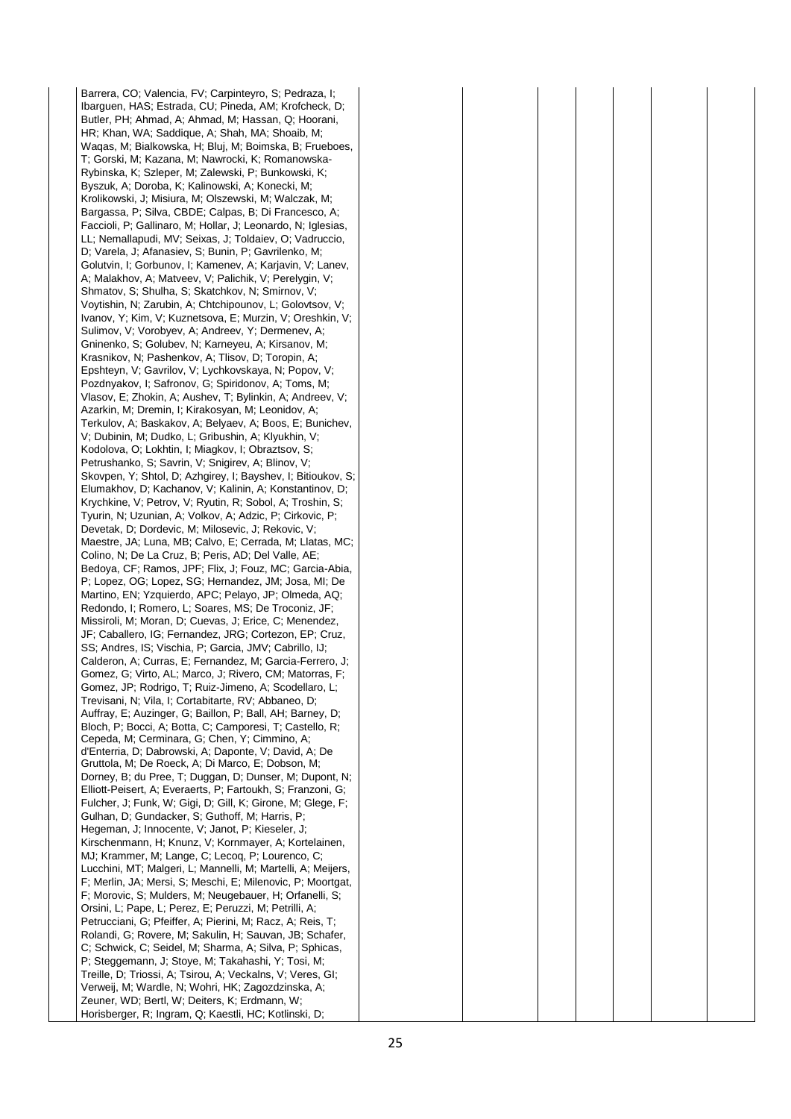Barrera, CO; Valencia, FV; Carpinteyro, S; Pedraza, I; Ibarguen, HAS; Estrada, CU; Pineda, AM; Krofcheck, D; Butler, PH; Ahmad, A; Ahmad, M; Hassan, Q; Hoorani, HR; Khan, WA; Saddique, A; Shah, MA; Shoaib, M; Waqas, M; Bialkowska, H; Bluj, M; Boimska, B; Frueboes, T; Gorski, M; Kazana, M; Nawrocki, K; Romanowska-Rybinska, K; Szleper, M; Zalewski, P; Bunkowski, K; Byszuk, A; Doroba, K; Kalinowski, A; Konecki, M; Krolikowski, J; Misiura, M; Olszewski, M; Walczak, M; Bargassa, P; Silva, CBDE; Calpas, B; Di Francesco, A; Faccioli, P; Gallinaro, M; Hollar, J; Leonardo, N; Iglesias, LL; Nemallapudi, MV; Seixas, J; Toldaiev, O; Vadruccio, D; Varela, J; Afanasiev, S; Bunin, P; Gavrilenko, M; Golutvin, I; Gorbunov, I; Kamenev, A; Karjavin, V; Lanev, A; Malakhov, A; Matveev, V; Palichik, V; Perelygin, V; Shmatov, S; Shulha, S; Skatchkov, N; Smirnov, V; Voytishin, N; Zarubin, A; Chtchipounov, L; Golovtsov, V; Ivanov, Y; Kim, V; Kuznetsova, E; Murzin, V; Oreshkin, V; Sulimov, V; Vorobyev, A; Andreev, Y; Dermenev, A; Gninenko, S; Golubev, N; Karneyeu, A; Kirsanov, M; Krasnikov, N; Pashenkov, A; Tlisov, D; Toropin, A; Epshteyn, V; Gavrilov, V; Lychkovskaya, N; Popov, V; Pozdnyakov, I; Safronov, G; Spiridonov, A; Toms, M; Vlasov, E; Zhokin, A; Aushev, T; Bylinkin, A; Andreev, V; Azarkin, M; Dremin, I; Kirakosyan, M; Leonidov, A; Terkulov, A; Baskakov, A; Belyaev, A; Boos, E; Bunichev, V; Dubinin, M; Dudko, L; Gribushin, A; Klyukhin, V; Kodolova, O; Lokhtin, I; Miagkov, I; Obraztsov, S; Petrushanko, S; Savrin, V; Snigirev, A; Blinov, V; Skovpen, Y; Shtol, D; Azhgirey, I; Bayshev, I; Bitioukov, S; Elumakhov, D; Kachanov, V; Kalinin, A; Konstantinov, D; Krychkine, V; Petrov, V; Ryutin, R; Sobol, A; Troshin, S; Tyurin, N; Uzunian, A; Volkov, A; Adzic, P; Cirkovic, P; Devetak, D; Dordevic, M; Milosevic, J; Rekovic, V; Maestre, JA; Luna, MB; Calvo, E; Cerrada, M; Llatas, MC; Colino, N; De La Cruz, B; Peris, AD; Del Valle, AE; Bedoya, CF; Ramos, JPF; Flix, J; Fouz, MC; Garcia-Abia, P; Lopez, OG; Lopez, SG; Hernandez, JM; Josa, MI; De Martino, EN; Yzquierdo, APC; Pelayo, JP; Olmeda, AQ; Redondo, I; Romero, L; Soares, MS; De Troconiz, JF; Missiroli, M; Moran, D; Cuevas, J; Erice, C; Menendez, JF; Caballero, IG; Fernandez, JRG; Cortezon, EP; Cruz, SS; Andres, IS; Vischia, P; Garcia, JMV; Cabrillo, IJ; Calderon, A; Curras, E; Fernandez, M; Garcia-Ferrero, J; Gomez, G; Virto, AL; Marco, J; Rivero, CM; Matorras, F; Gomez, JP; Rodrigo, T; Ruiz-Jimeno, A; Scodellaro, L; Trevisani, N; Vila, I; Cortabitarte, RV; Abbaneo, D; Auffray, E; Auzinger, G; Baillon, P; Ball, AH; Barney, D; Bloch, P; Bocci, A; Botta, C; Camporesi, T; Castello, R; Cepeda, M; Cerminara, G; Chen, Y; Cimmino, A; d'Enterria, D; Dabrowski, A; Daponte, V; David, A; De Gruttola, M; De Roeck, A; Di Marco, E; Dobson, M; Dorney, B; du Pree, T; Duggan, D; Dunser, M; Dupont, N; Elliott-Peisert, A; Everaerts, P; Fartoukh, S; Franzoni, G; Fulcher, J; Funk, W; Gigi, D; Gill, K; Girone, M; Glege, F; Gulhan, D; Gundacker, S; Guthoff, M; Harris, P; Hegeman, J; Innocente, V; Janot, P; Kieseler, J; Kirschenmann, H; Knunz, V; Kornmayer, A; Kortelainen, MJ; Krammer, M; Lange, C; Lecoq, P; Lourenco, C; Lucchini, MT; Malgeri, L; Mannelli, M; Martelli, A; Meijers, F; Merlin, JA; Mersi, S; Meschi, E; Milenovic, P; Moortgat, F; Morovic, S; Mulders, M; Neugebauer, H; Orfanelli, S; Orsini, L; Pape, L; Perez, E; Peruzzi, M; Petrilli, A; Petrucciani, G; Pfeiffer, A; Pierini, M; Racz, A; Reis, T; Rolandi, G; Rovere, M; Sakulin, H; Sauvan, JB; Schafer, C; Schwick, C; Seidel, M; Sharma, A; Silva, P; Sphicas, P; Steggemann, J; Stoye, M; Takahashi, Y; Tosi, M; Treille, D; Triossi, A; Tsirou, A; Veckalns, V; Veres, GI; Verweij, M; Wardle, N; Wohri, HK; Zagozdzinska, A; Zeuner, WD; Bertl, W; Deiters, K; Erdmann, W; Horisberger, R; Ingram, Q; Kaestli, HC; Kotlinski, D;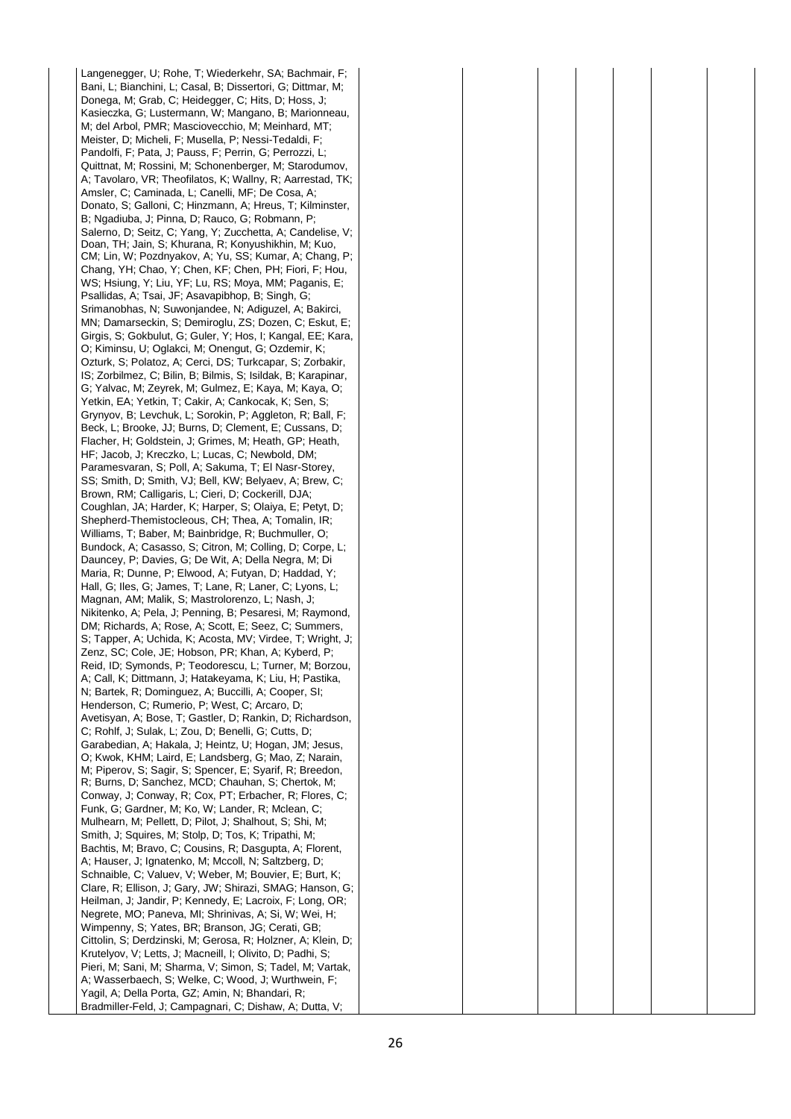Langenegger, U; Rohe, T; Wiederkehr, SA; Bachmair, F; Bani, L; Bianchini, L; Casal, B; Dissertori, G; Dittmar, M; Donega, M; Grab, C; Heidegger, C; Hits, D; Hoss, J; Kasieczka, G; Lustermann, W; Mangano, B; Marionneau, M; del Arbol, PMR; Masciovecchio, M; Meinhard, MT; Meister, D; Micheli, F; Musella, P; Nessi-Tedaldi, F; Pandolfi, F; Pata, J; Pauss, F; Perrin, G; Perrozzi, L; Quittnat, M; Rossini, M; Schonenberger, M; Starodumov, A; Tavolaro, VR; Theofilatos, K; Wallny, R; Aarrestad, TK; Amsler, C; Caminada, L; Canelli, MF; De Cosa, A; Donato, S; Galloni, C; Hinzmann, A; Hreus, T; Kilminster, B; Ngadiuba, J; Pinna, D; Rauco, G; Robmann, P; Salerno, D; Seitz, C; Yang, Y; Zucchetta, A; Candelise, V; Doan, TH; Jain, S; Khurana, R; Konyushikhin, M; Kuo, CM; Lin, W; Pozdnyakov, A; Yu, SS; Kumar, A; Chang, P; Chang, YH; Chao, Y; Chen, KF; Chen, PH; Fiori, F; Hou, WS; Hsiung, Y; Liu, YF; Lu, RS; Moya, MM; Paganis, E; Psallidas, A; Tsai, JF; Asavapibhop, B; Singh, G; Srimanobhas, N; Suwonjandee, N; Adiguzel, A; Bakirci, MN; Damarseckin, S; Demiroglu, ZS; Dozen, C; Eskut, E; Girgis, S; Gokbulut, G; Guler, Y; Hos, I; Kangal, EE; Kara, O; Kiminsu, U; Oglakci, M; Onengut, G; Ozdemir, K; Ozturk, S; Polatoz, A; Cerci, DS; Turkcapar, S; Zorbakir, IS; Zorbilmez, C; Bilin, B; Bilmis, S; Isildak, B; Karapinar, G; Yalvac, M; Zeyrek, M; Gulmez, E; Kaya, M; Kaya, O; Yetkin, EA; Yetkin, T; Cakir, A; Cankocak, K; Sen, S; Grynyov, B; Levchuk, L; Sorokin, P; Aggleton, R; Ball, F; Beck, L; Brooke, JJ; Burns, D; Clement, E; Cussans, D; Flacher, H; Goldstein, J; Grimes, M; Heath, GP; Heath, HF; Jacob, J; Kreczko, L; Lucas, C; Newbold, DM; Paramesvaran, S; Poll, A; Sakuma, T; El Nasr-Storey, SS; Smith, D; Smith, VJ; Bell, KW; Belyaev, A; Brew, C; Brown, RM; Calligaris, L; Cieri, D; Cockerill, DJA; Coughlan, JA; Harder, K; Harper, S; Olaiya, E; Petyt, D; Shepherd-Themistocleous, CH; Thea, A; Tomalin, IR; Williams, T; Baber, M; Bainbridge, R; Buchmuller, O; Bundock, A; Casasso, S; Citron, M; Colling, D; Corpe, L; Dauncey, P; Davies, G; De Wit, A; Della Negra, M; Di Maria, R; Dunne, P; Elwood, A; Futyan, D; Haddad, Y; Hall, G; Iles, G; James, T; Lane, R; Laner, C; Lyons, L; Magnan, AM; Malik, S; Mastrolorenzo, L; Nash, J; Nikitenko, A; Pela, J; Penning, B; Pesaresi, M; Raymond, DM; Richards, A; Rose, A; Scott, E; Seez, C; Summers, S: Tapper, A: Uchida, K: Acosta, MV: Virdee, T: Wright, J: Zenz, SC; Cole, JE; Hobson, PR; Khan, A; Kyberd, P; Reid, ID; Symonds, P; Teodorescu, L; Turner, M; Borzou, A; Call, K; Dittmann, J; Hatakeyama, K; Liu, H; Pastika, N; Bartek, R; Dominguez, A; Buccilli, A; Cooper, SI; Henderson, C; Rumerio, P; West, C; Arcaro, D; Avetisyan, A; Bose, T; Gastler, D; Rankin, D; Richardson, C; Rohlf, J; Sulak, L; Zou, D; Benelli, G; Cutts, D; Garabedian, A; Hakala, J; Heintz, U; Hogan, JM; Jesus, O; Kwok, KHM; Laird, E; Landsberg, G; Mao, Z; Narain, M; Piperov, S; Sagir, S; Spencer, E; Syarif, R; Breedon, R; Burns, D; Sanchez, MCD; Chauhan, S; Chertok, M; Conway, J; Conway, R; Cox, PT; Erbacher, R; Flores, C; Funk, G; Gardner, M; Ko, W; Lander, R; Mclean, C; Mulhearn, M; Pellett, D; Pilot, J; Shalhout, S; Shi, M; Smith, J; Squires, M; Stolp, D; Tos, K; Tripathi, M; Bachtis, M; Bravo, C; Cousins, R; Dasgupta, A; Florent, A; Hauser, J; Ignatenko, M; Mccoll, N; Saltzberg, D; Schnaible, C; Valuev, V; Weber, M; Bouvier, E; Burt, K; Clare, R; Ellison, J; Gary, JW; Shirazi, SMAG; Hanson, G; Heilman, J; Jandir, P; Kennedy, E; Lacroix, F; Long, OR; Negrete, MO; Paneva, MI; Shrinivas, A; Si, W; Wei, H; Wimpenny, S; Yates, BR; Branson, JG; Cerati, GB; Cittolin, S; Derdzinski, M; Gerosa, R; Holzner, A; Klein, D; Krutelyov, V; Letts, J; Macneill, I; Olivito, D; Padhi, S; Pieri, M; Sani, M; Sharma, V; Simon, S; Tadel, M; Vartak, A; Wasserbaech, S; Welke, C; Wood, J; Wurthwein, F; Yagil, A; Della Porta, GZ; Amin, N; Bhandari, R; Bradmiller-Feld, J; Campagnari, C; Dishaw, A; Dutta, V;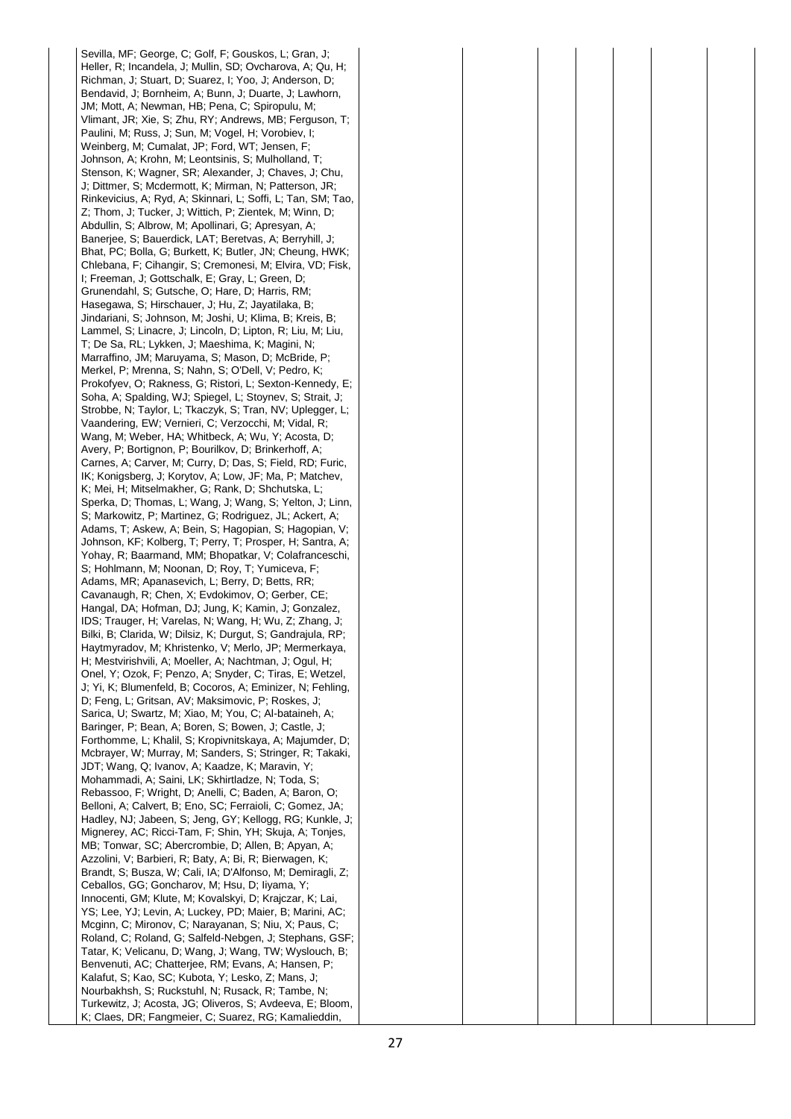Sevilla, MF; George, C; Golf, F; Gouskos, L; Gran, J; Heller, R; Incandela, J; Mullin, SD; Ovcharova, A; Qu, H; Richman, J; Stuart, D; Suarez, I; Yoo, J; Anderson, D; Bendavid, J; Bornheim, A; Bunn, J; Duarte, J; Lawhorn, JM; Mott, A; Newman, HB; Pena, C; Spiropulu, M; Vlimant, JR; Xie, S; Zhu, RY; Andrews, MB; Ferguson, T; Paulini, M; Russ, J; Sun, M; Vogel, H; Vorobiev, I; Weinberg, M; Cumalat, JP; Ford, WT; Jensen, F; Johnson, A; Krohn, M; Leontsinis, S; Mulholland, T; Stenson, K; Wagner, SR; Alexander, J; Chaves, J; Chu, J; Dittmer, S; Mcdermott, K; Mirman, N; Patterson, JR; Rinkevicius, A; Ryd, A; Skinnari, L; Soffi, L; Tan, SM; Tao, Z; Thom, J; Tucker, J; Wittich, P; Zientek, M; Winn, D; Abdullin, S; Albrow, M; Apollinari, G; Apresyan, A; Banerjee, S; Bauerdick, LAT; Beretvas, A; Berryhill, J; Bhat, PC; Bolla, G; Burkett, K; Butler, JN; Cheung, HWK; Chlebana, F; Cihangir, S; Cremonesi, M; Elvira, VD; Fisk, I; Freeman, J; Gottschalk, E; Gray, L; Green, D; Grunendahl, S; Gutsche, O; Hare, D; Harris, RM; Hasegawa, S; Hirschauer, J; Hu, Z; Jayatilaka, B; Jindariani, S; Johnson, M; Joshi, U; Klima, B; Kreis, B; Lammel, S; Linacre, J; Lincoln, D; Lipton, R; Liu, M; Liu, T; De Sa, RL; Lykken, J; Maeshima, K; Magini, N; Marraffino, JM; Maruyama, S; Mason, D; McBride, P; Merkel, P; Mrenna, S; Nahn, S; O'Dell, V; Pedro, K; Prokofyev, O; Rakness, G; Ristori, L; Sexton-Kennedy, E; Soha, A; Spalding, WJ; Spiegel, L; Stoynev, S; Strait, J; Strobbe, N; Taylor, L; Tkaczyk, S; Tran, NV; Uplegger, L; Vaandering, EW; Vernieri, C; Verzocchi, M; Vidal, R; Wang, M; Weber, HA; Whitbeck, A; Wu, Y; Acosta, D; Avery, P; Bortignon, P; Bourilkov, D; Brinkerhoff, A; Carnes, A; Carver, M; Curry, D; Das, S; Field, RD; Furic, IK; Konigsberg, J; Korytov, A; Low, JF; Ma, P; Matchev, K; Mei, H; Mitselmakher, G; Rank, D; Shchutska, L; Sperka, D; Thomas, L; Wang, J; Wang, S; Yelton, J; Linn, S; Markowitz, P; Martinez, G; Rodriguez, JL; Ackert, A; Adams, T; Askew, A; Bein, S; Hagopian, S; Hagopian, V; Johnson, KF; Kolberg, T; Perry, T; Prosper, H; Santra, A; Yohay, R; Baarmand, MM; Bhopatkar, V; Colafranceschi, S; Hohlmann, M; Noonan, D; Roy, T; Yumiceva, F; Adams, MR; Apanasevich, L; Berry, D; Betts, RR; Cavanaugh, R; Chen, X; Evdokimov, O; Gerber, CE; Hangal, DA; Hofman, DJ; Jung, K; Kamin, J; Gonzalez, IDS; Trauger, H; Varelas, N; Wang, H; Wu, Z; Zhang, J; Bilki, B; Clarida, W; Dilsiz, K; Durgut, S; Gandrajula, RP; Haytmyradov, M; Khristenko, V; Merlo, JP; Mermerkaya, H; Mestvirishvili, A; Moeller, A; Nachtman, J; Ogul, H; Onel, Y; Ozok, F; Penzo, A; Snyder, C; Tiras, E; Wetzel, J; Yi, K; Blumenfeld, B; Cocoros, A; Eminizer, N; Fehling, D; Feng, L; Gritsan, AV; Maksimovic, P; Roskes, J; Sarica, U; Swartz, M; Xiao, M; You, C; Al-bataineh, A; Baringer, P; Bean, A; Boren, S; Bowen, J; Castle, J; Forthomme, L; Khalil, S; Kropivnitskaya, A; Majumder, D; Mcbrayer, W; Murray, M; Sanders, S; Stringer, R; Takaki, JDT; Wang, Q; Ivanov, A; Kaadze, K; Maravin, Y; Mohammadi, A; Saini, LK; Skhirtladze, N; Toda, S; Rebassoo, F; Wright, D; Anelli, C; Baden, A; Baron, O; Belloni, A; Calvert, B; Eno, SC; Ferraioli, C; Gomez, JA; Hadley, NJ; Jabeen, S; Jeng, GY; Kellogg, RG; Kunkle, J; Mignerey, AC; Ricci-Tam, F; Shin, YH; Skuja, A; Tonjes, MB; Tonwar, SC; Abercrombie, D; Allen, B; Apyan, A; Azzolini, V; Barbieri, R; Baty, A; Bi, R; Bierwagen, K; Brandt, S; Busza, W; Cali, IA; D'Alfonso, M; Demiragli, Z; Ceballos, GG; Goncharov, M; Hsu, D; Iiyama, Y; Innocenti, GM; Klute, M; Kovalskyi, D; Krajczar, K; Lai, YS; Lee, YJ; Levin, A; Luckey, PD; Maier, B; Marini, AC; Mcginn, C; Mironov, C; Narayanan, S; Niu, X; Paus, C; Roland, C; Roland, G; Salfeld-Nebgen, J; Stephans, GSF; Tatar, K; Velicanu, D; Wang, J; Wang, TW; Wyslouch, B; Benvenuti, AC; Chatterjee, RM; Evans, A; Hansen, P; Kalafut, S; Kao, SC; Kubota, Y; Lesko, Z; Mans, J; Nourbakhsh, S; Ruckstuhl, N; Rusack, R; Tambe, N; Turkewitz, J; Acosta, JG; Oliveros, S; Avdeeva, E; Bloom, K; Claes, DR; Fangmeier, C; Suarez, RG; Kamalieddin,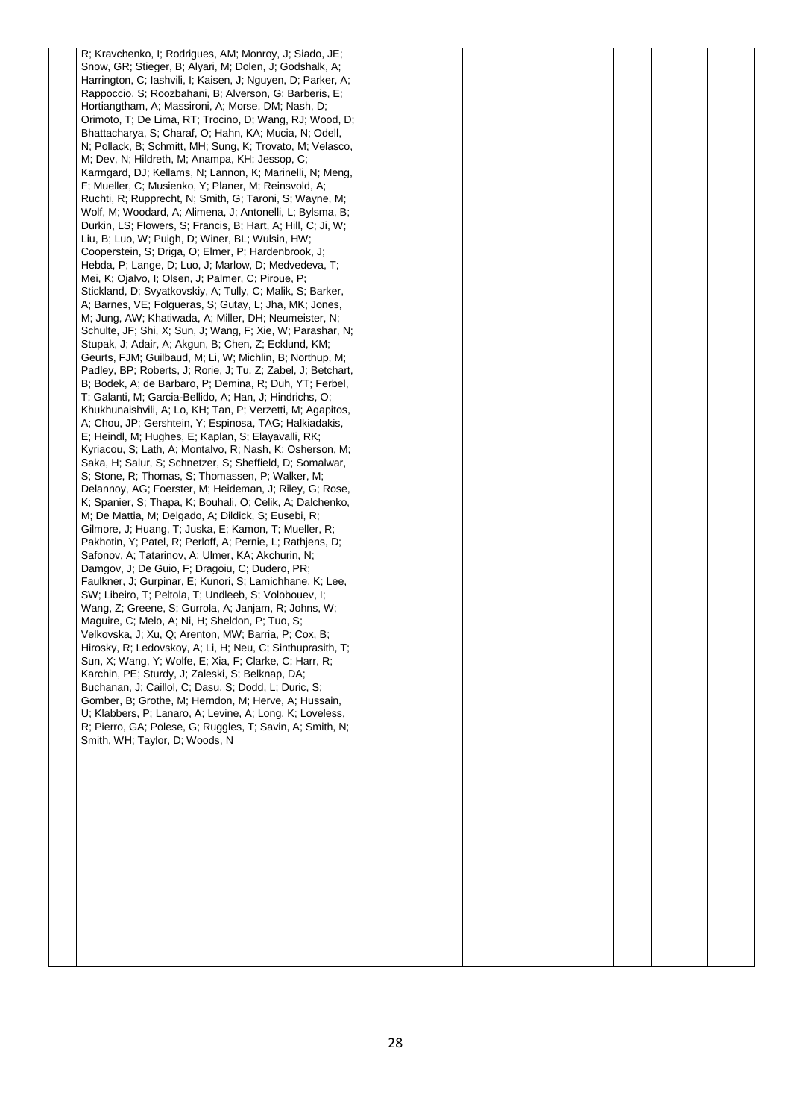R; Kravchenko, I; Rodrigues, AM; Monroy, J; Siado, JE; Snow, GR; Stieger, B; Alyari, M; Dolen, J; Godshalk, A; Harrington, C; Iashvili, I; Kaisen, J; Nguyen, D; Parker, A; Rappoccio, S; Roozbahani, B; Alverson, G; Barberis, E; Hortiangtham, A; Massironi, A; Morse, DM; Nash, D; Orimoto, T; De Lima, RT; Trocino, D; Wang, RJ; Wood, D; Bhattacharya, S; Charaf, O; Hahn, KA; Mucia, N; Odell, N; Pollack, B; Schmitt, MH; Sung, K; Trovato, M; Velasco, M; Dev, N; Hildreth, M; Anampa, KH; Jessop, C; Karmgard, DJ; Kellams, N; Lannon, K; Marinelli, N; Meng, F; Mueller, C; Musienko, Y; Planer, M; Reinsvold, A; Ruchti, R; Rupprecht, N; Smith, G; Taroni, S; Wayne, M; Wolf, M; Woodard, A; Alimena, J; Antonelli, L; Bylsma, B; Durkin, LS; Flowers, S; Francis, B; Hart, A; Hill, C; Ji, W; Liu, B; Luo, W; Puigh, D; Winer, BL; Wulsin, HW; Cooperstein, S; Driga, O; Elmer, P; Hardenbrook, J; Hebda, P; Lange, D; Luo, J; Marlow, D; Medvedeva, T; Mei, K; Ojalvo, I; Olsen, J; Palmer, C; Piroue, P; Stickland, D; Svyatkovskiy, A; Tully, C; Malik, S; Barker, A; Barnes, VE; Folgueras, S; Gutay, L; Jha, MK; Jones, M; Jung, AW; Khatiwada, A; Miller, DH; Neumeister, N; Schulte, JF; Shi, X; Sun, J; Wang, F; Xie, W; Parashar, N; Stupak, J; Adair, A; Akgun, B; Chen, Z; Ecklund, KM; Geurts, FJM; Guilbaud, M; Li, W; Michlin, B; Northup, M; Padley, BP; Roberts, J; Rorie, J; Tu, Z; Zabel, J; Betchart, B; Bodek, A; de Barbaro, P; Demina, R; Duh, YT; Ferbel, T; Galanti, M; Garcia-Bellido, A; Han, J; Hindrichs, O; Khukhunaishvili, A; Lo, KH; Tan, P; Verzetti, M; Agapitos, A; Chou, JP; Gershtein, Y; Espinosa, TAG; Halkiadakis, E; Heindl, M; Hughes, E; Kaplan, S; Elayavalli, RK; Kyriacou, S; Lath, A; Montalvo, R; Nash, K; Osherson, M; Saka, H; Salur, S; Schnetzer, S; Sheffield, D; Somalwar, S; Stone, R; Thomas, S; Thomassen, P; Walker, M; Delannoy, AG; Foerster, M; Heideman, J; Riley, G; Rose, K; Spanier, S; Thapa, K; Bouhali, O; Celik, A; Dalchenko, M; De Mattia, M; Delgado, A; Dildick, S; Eusebi, R; Gilmore, J; Huang, T; Juska, E; Kamon, T; Mueller, R; Pakhotin, Y; Patel, R; Perloff, A; Pernie, L; Rathjens, D; Safonov, A; Tatarinov, A; Ulmer, KA; Akchurin, N; Damgov, J; De Guio, F; Dragoiu, C; Dudero, PR; Faulkner, J; Gurpinar, E; Kunori, S; Lamichhane, K; Lee, SW; Libeiro, T; Peltola, T; Undleeb, S; Volobouev, I; Wang, Z; Greene, S; Gurrola, A; Janjam, R; Johns, W; Maguire, C; Melo, A; Ni, H; Sheldon, P; Tuo, S; Velkovska, J; Xu, Q; Arenton, MW; Barria, P; Cox, B; Hirosky, R; Ledovskoy, A; Li, H; Neu, C; Sinthuprasith, T; Sun, X; Wang, Y; Wolfe, E; Xia, F; Clarke, C; Harr, R; Karchin, PE; Sturdy, J; Zaleski, S; Belknap, DA; Buchanan, J; Caillol, C; Dasu, S; Dodd, L; Duric, S; Gomber, B; Grothe, M; Herndon, M; Herve, A; Hussain, U; Klabbers, P; Lanaro, A; Levine, A; Long, K; Loveless, R; Pierro, GA; Polese, G; Ruggles, T; Savin, A; Smith, N; Smith, WH; Taylor, D; Woods, N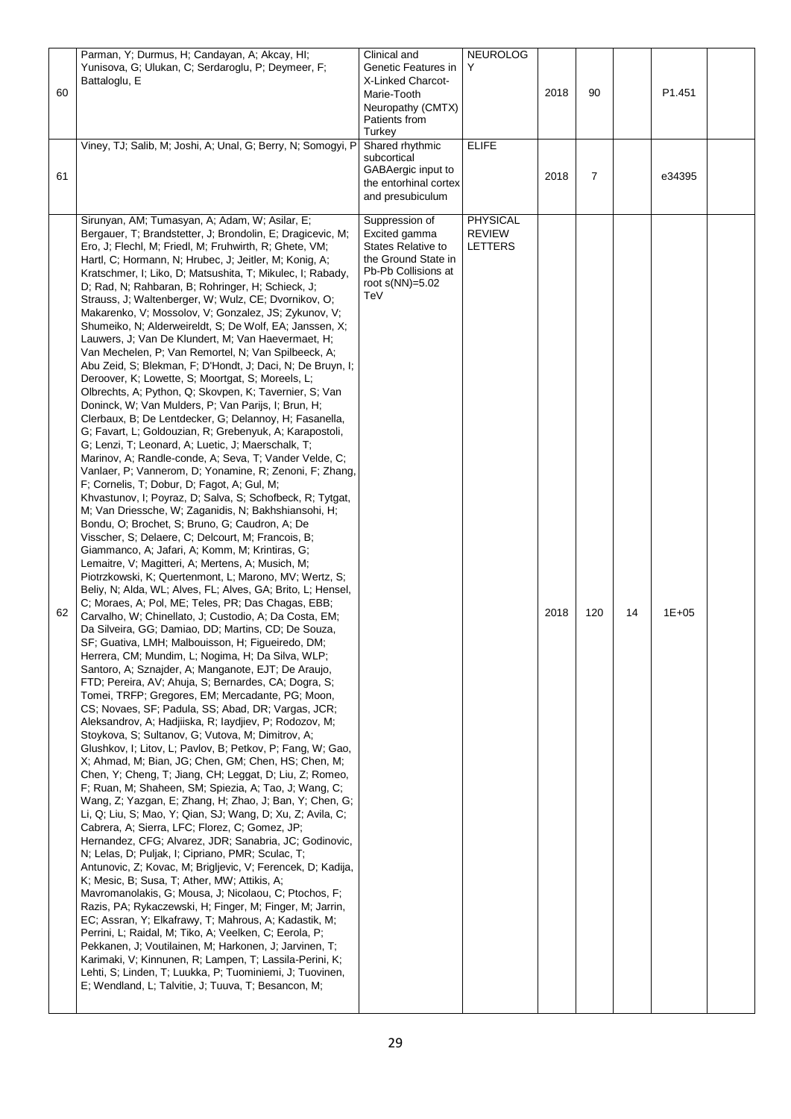|    | Parman, Y; Durmus, H; Candayan, A; Akcay, HI;                                                            | Clinical and                             | <b>NEUROLOG</b> |      |     |    |           |  |
|----|----------------------------------------------------------------------------------------------------------|------------------------------------------|-----------------|------|-----|----|-----------|--|
|    | Yunisova, G; Ulukan, C; Serdaroglu, P; Deymeer, F;                                                       | Genetic Features in                      | Y               |      |     |    |           |  |
|    | Battaloglu, E                                                                                            | X-Linked Charcot-                        |                 |      |     |    |           |  |
| 60 |                                                                                                          | Marie-Tooth                              |                 | 2018 | 90  |    | P1.451    |  |
|    |                                                                                                          | Neuropathy (CMTX)                        |                 |      |     |    |           |  |
|    |                                                                                                          | Patients from                            |                 |      |     |    |           |  |
|    |                                                                                                          | Turkey                                   |                 |      |     |    |           |  |
|    | Viney, TJ; Salib, M; Joshi, A; Unal, G; Berry, N; Somogyi, P                                             | Shared rhythmic                          | <b>ELIFE</b>    |      |     |    |           |  |
|    |                                                                                                          | subcortical                              |                 |      |     |    |           |  |
| 61 |                                                                                                          | GABAergic input to                       |                 | 2018 | 7   |    | e34395    |  |
|    |                                                                                                          | the entorhinal cortex                    |                 |      |     |    |           |  |
|    |                                                                                                          | and presubiculum                         |                 |      |     |    |           |  |
|    |                                                                                                          |                                          |                 |      |     |    |           |  |
|    | Sirunyan, AM; Tumasyan, A; Adam, W; Asilar, E;                                                           | Suppression of                           | <b>PHYSICAL</b> |      |     |    |           |  |
|    | Bergauer, T; Brandstetter, J; Brondolin, E; Dragicevic, M;                                               | Excited gamma                            | <b>REVIEW</b>   |      |     |    |           |  |
|    | Ero, J; Flechl, M; Friedl, M; Fruhwirth, R; Ghete, VM;                                                   | <b>States Relative to</b>                | <b>LETTERS</b>  |      |     |    |           |  |
|    | Hartl, C; Hormann, N; Hrubec, J; Jeitler, M; Konig, A;                                                   | the Ground State in                      |                 |      |     |    |           |  |
|    | Kratschmer, I; Liko, D; Matsushita, T; Mikulec, I; Rabady,                                               | Pb-Pb Collisions at<br>root $s(NN)=5.02$ |                 |      |     |    |           |  |
|    | D; Rad, N; Rahbaran, B; Rohringer, H; Schieck, J;                                                        | TeV                                      |                 |      |     |    |           |  |
|    | Strauss, J; Waltenberger, W; Wulz, CE; Dvornikov, O;                                                     |                                          |                 |      |     |    |           |  |
|    | Makarenko, V; Mossolov, V; Gonzalez, JS; Zykunov, V;                                                     |                                          |                 |      |     |    |           |  |
|    | Shumeiko, N; Alderweireldt, S; De Wolf, EA; Janssen, X;                                                  |                                          |                 |      |     |    |           |  |
|    | Lauwers, J; Van De Klundert, M; Van Haevermaet, H;                                                       |                                          |                 |      |     |    |           |  |
|    | Van Mechelen, P; Van Remortel, N; Van Spilbeeck, A;                                                      |                                          |                 |      |     |    |           |  |
|    | Abu Zeid, S; Blekman, F; D'Hondt, J; Daci, N; De Bruyn, I;                                               |                                          |                 |      |     |    |           |  |
|    | Deroover, K; Lowette, S; Moortgat, S; Moreels, L;                                                        |                                          |                 |      |     |    |           |  |
|    | Olbrechts, A; Python, Q; Skovpen, K; Tavernier, S; Van                                                   |                                          |                 |      |     |    |           |  |
|    | Doninck, W; Van Mulders, P; Van Parijs, I; Brun, H;                                                      |                                          |                 |      |     |    |           |  |
|    | Clerbaux, B; De Lentdecker, G; Delannoy, H; Fasanella,                                                   |                                          |                 |      |     |    |           |  |
|    | G; Favart, L; Goldouzian, R; Grebenyuk, A; Karapostoli,                                                  |                                          |                 |      |     |    |           |  |
|    | G; Lenzi, T; Leonard, A; Luetic, J; Maerschalk, T;                                                       |                                          |                 |      |     |    |           |  |
|    | Marinov, A; Randle-conde, A; Seva, T; Vander Velde, C;                                                   |                                          |                 |      |     |    |           |  |
|    | Vanlaer, P; Vannerom, D; Yonamine, R; Zenoni, F; Zhang,                                                  |                                          |                 |      |     |    |           |  |
|    | F; Cornelis, T; Dobur, D; Fagot, A; Gul, M;                                                              |                                          |                 |      |     |    |           |  |
|    | Khvastunov, I; Poyraz, D; Salva, S; Schofbeck, R; Tytgat,                                                |                                          |                 |      |     |    |           |  |
|    | M; Van Driessche, W; Zaganidis, N; Bakhshiansohi, H;                                                     |                                          |                 |      |     |    |           |  |
|    | Bondu, O; Brochet, S; Bruno, G; Caudron, A; De                                                           |                                          |                 |      |     |    |           |  |
|    | Visscher, S; Delaere, C; Delcourt, M; Francois, B;                                                       |                                          |                 |      |     |    |           |  |
|    | Giammanco, A; Jafari, A; Komm, M; Krintiras, G;                                                          |                                          |                 |      |     |    |           |  |
|    | Lemaitre, V; Magitteri, A; Mertens, A; Musich, M;                                                        |                                          |                 |      |     |    |           |  |
|    | Piotrzkowski, K; Quertenmont, L; Marono, MV; Wertz, S;                                                   |                                          |                 |      |     |    |           |  |
|    | Beliy, N; Alda, WL; Alves, FL; Alves, GA; Brito, L; Hensel,                                              |                                          |                 |      |     |    |           |  |
| 62 | C; Moraes, A; Pol, ME; Teles, PR; Das Chagas, EBB;                                                       |                                          |                 | 2018 | 120 | 14 | $1E + 05$ |  |
|    | Carvalho, W; Chinellato, J; Custodio, A; Da Costa, EM;                                                   |                                          |                 |      |     |    |           |  |
|    | Da Silveira, GG; Damiao, DD; Martins, CD; De Souza,                                                      |                                          |                 |      |     |    |           |  |
|    | SF; Guativa, LMH; Malbouisson, H; Figueiredo, DM;                                                        |                                          |                 |      |     |    |           |  |
|    | Herrera, CM; Mundim, L; Nogima, H; Da Silva, WLP;<br>Santoro, A; Sznajder, A; Manganote, EJT; De Araujo, |                                          |                 |      |     |    |           |  |
|    | FTD; Pereira, AV; Ahuja, S; Bernardes, CA; Dogra, S;                                                     |                                          |                 |      |     |    |           |  |
|    | Tomei, TRFP; Gregores, EM; Mercadante, PG; Moon,                                                         |                                          |                 |      |     |    |           |  |
|    | CS; Novaes, SF; Padula, SS; Abad, DR; Vargas, JCR;                                                       |                                          |                 |      |     |    |           |  |
|    | Aleksandrov, A; Hadiiiska, R; laydiiev, P; Rodozov, M;                                                   |                                          |                 |      |     |    |           |  |
|    | Stoykova, S; Sultanov, G; Vutova, M; Dimitrov, A;                                                        |                                          |                 |      |     |    |           |  |
|    | Glushkov, I; Litov, L; Pavlov, B; Petkov, P; Fang, W; Gao,                                               |                                          |                 |      |     |    |           |  |
|    | X; Ahmad, M; Bian, JG; Chen, GM; Chen, HS; Chen, M;                                                      |                                          |                 |      |     |    |           |  |
|    | Chen, Y; Cheng, T; Jiang, CH; Leggat, D; Liu, Z; Romeo,                                                  |                                          |                 |      |     |    |           |  |
|    | F; Ruan, M; Shaheen, SM; Spiezia, A; Tao, J; Wang, C;                                                    |                                          |                 |      |     |    |           |  |
|    | Wang, Z; Yazgan, E; Zhang, H; Zhao, J; Ban, Y; Chen, G;                                                  |                                          |                 |      |     |    |           |  |
|    | Li, Q; Liu, S; Mao, Y; Qian, SJ; Wang, D; Xu, Z; Avila, C;                                               |                                          |                 |      |     |    |           |  |
|    | Cabrera, A; Sierra, LFC; Florez, C; Gomez, JP;                                                           |                                          |                 |      |     |    |           |  |
|    | Hernandez, CFG; Alvarez, JDR; Sanabria, JC; Godinovic,                                                   |                                          |                 |      |     |    |           |  |
|    | N; Lelas, D; Puljak, I; Cipriano, PMR; Sculac, T;                                                        |                                          |                 |      |     |    |           |  |
|    | Antunovic, Z; Kovac, M; Brigljevic, V; Ferencek, D; Kadija,                                              |                                          |                 |      |     |    |           |  |
|    | K; Mesic, B; Susa, T; Ather, MW; Attikis, A;                                                             |                                          |                 |      |     |    |           |  |
|    | Mavromanolakis, G; Mousa, J; Nicolaou, C; Ptochos, F;                                                    |                                          |                 |      |     |    |           |  |
|    | Razis, PA; Rykaczewski, H; Finger, M; Finger, M; Jarrin,                                                 |                                          |                 |      |     |    |           |  |
|    | EC; Assran, Y; Elkafrawy, T; Mahrous, A; Kadastik, M;                                                    |                                          |                 |      |     |    |           |  |
|    | Perrini, L; Raidal, M; Tiko, A; Veelken, C; Eerola, P;                                                   |                                          |                 |      |     |    |           |  |
|    | Pekkanen, J; Voutilainen, M; Harkonen, J; Jarvinen, T;                                                   |                                          |                 |      |     |    |           |  |
|    | Karimaki, V; Kinnunen, R; Lampen, T; Lassila-Perini, K;                                                  |                                          |                 |      |     |    |           |  |
|    | Lehti, S; Linden, T; Luukka, P; Tuominiemi, J; Tuovinen,                                                 |                                          |                 |      |     |    |           |  |
|    | E; Wendland, L; Talvitie, J; Tuuva, T; Besancon, M;                                                      |                                          |                 |      |     |    |           |  |
|    |                                                                                                          |                                          |                 |      |     |    |           |  |
|    |                                                                                                          |                                          |                 |      |     |    |           |  |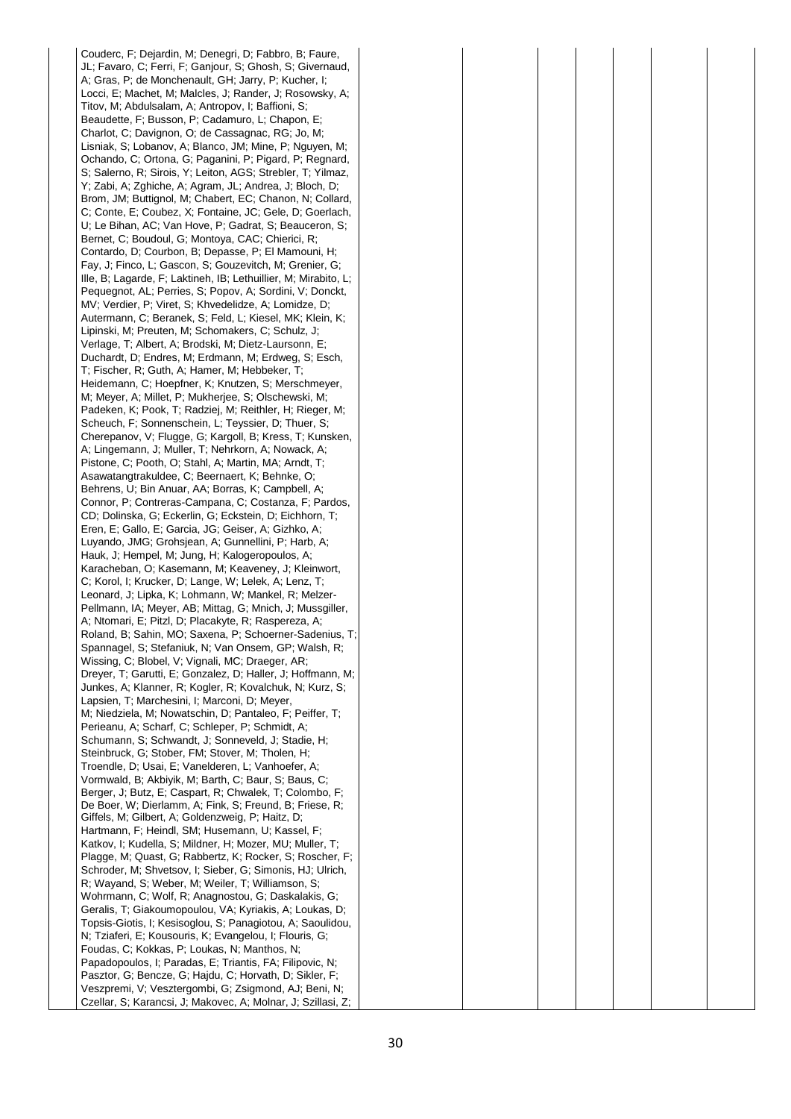Couderc, F; Dejardin, M; Denegri, D; Fabbro, B; Faure, JL; Favaro, C; Ferri, F; Ganjour, S; Ghosh, S; Givernaud, A; Gras, P; de Monchenault, GH; Jarry, P; Kucher, I; Locci, E; Machet, M; Malcles, J; Rander, J; Rosowsky, A; Titov, M; Abdulsalam, A; Antropov, I; Baffioni, S; Beaudette, F; Busson, P; Cadamuro, L; Chapon, E; Charlot, C; Davignon, O; de Cassagnac, RG; Jo, M; Lisniak, S; Lobanov, A; Blanco, JM; Mine, P; Nguyen, M; Ochando, C; Ortona, G; Paganini, P; Pigard, P; Regnard, S; Salerno, R; Sirois, Y; Leiton, AGS; Strebler, T; Yilmaz, Y; Zabi, A; Zghiche, A; Agram, JL; Andrea, J; Bloch, D; Brom, JM; Buttignol, M; Chabert, EC; Chanon, N; Collard, C; Conte, E; Coubez, X; Fontaine, JC; Gele, D; Goerlach, U; Le Bihan, AC; Van Hove, P; Gadrat, S; Beauceron, S; Bernet, C; Boudoul, G; Montoya, CAC; Chierici, R; Contardo, D; Courbon, B; Depasse, P; El Mamouni, H; Fay, J; Finco, L; Gascon, S; Gouzevitch, M; Grenier, G; Ille, B; Lagarde, F; Laktineh, IB; Lethuillier, M; Mirabito, L; Pequegnot, AL; Perries, S; Popov, A; Sordini, V; Donckt, MV; Verdier, P; Viret, S; Khvedelidze, A; Lomidze, D; Autermann, C; Beranek, S; Feld, L; Kiesel, MK; Klein, K; Lipinski, M; Preuten, M; Schomakers, C; Schulz, J; Verlage, T; Albert, A; Brodski, M; Dietz-Laursonn, E; Duchardt, D; Endres, M; Erdmann, M; Erdweg, S; Esch, T; Fischer, R; Guth, A; Hamer, M; Hebbeker, T; Heidemann, C; Hoepfner, K; Knutzen, S; Merschmeyer, M; Meyer, A; Millet, P; Mukherjee, S; Olschewski, M; Padeken, K; Pook, T; Radziej, M; Reithler, H; Rieger, M; Scheuch, F; Sonnenschein, L; Teyssier, D; Thuer, S; Cherepanov, V; Flugge, G; Kargoll, B; Kress, T; Kunsken, A; Lingemann, J; Muller, T; Nehrkorn, A; Nowack, A; Pistone, C; Pooth, O; Stahl, A; Martin, MA; Arndt, T; Asawatangtrakuldee, C; Beernaert, K; Behnke, O; Behrens, U; Bin Anuar, AA; Borras, K; Campbell, A; Connor, P; Contreras-Campana, C; Costanza, F; Pardos, CD; Dolinska, G; Eckerlin, G; Eckstein, D; Eichhorn, T; Eren, E; Gallo, E; Garcia, JG; Geiser, A; Gizhko, A; Luyando, JMG; Grohsjean, A; Gunnellini, P; Harb, A; Hauk, J; Hempel, M; Jung, H; Kalogeropoulos, A; Karacheban, O; Kasemann, M; Keaveney, J; Kleinwort, C; Korol, I; Krucker, D; Lange, W; Lelek, A; Lenz, T; Leonard, J; Lipka, K; Lohmann, W; Mankel, R; Melzer-Pellmann, IA; Meyer, AB; Mittag, G; Mnich, J; Mussgiller, A; Ntomari, E; Pitzl, D; Placakyte, R; Raspereza, A; Roland, B; Sahin, MO; Saxena, P; Schoerner-Sadenius, T; Spannagel, S; Stefaniuk, N; Van Onsem, GP; Walsh, R; Wissing, C; Blobel, V; Vignali, MC; Draeger, AR; Dreyer, T; Garutti, E; Gonzalez, D; Haller, J; Hoffmann, M; Junkes, A; Klanner, R; Kogler, R; Kovalchuk, N; Kurz, S; Lapsien, T; Marchesini, I; Marconi, D; Meyer, M; Niedziela, M; Nowatschin, D; Pantaleo, F; Peiffer, T; Perieanu, A; Scharf, C; Schleper, P; Schmidt, A; Schumann, S; Schwandt, J; Sonneveld, J; Stadie, H; Steinbruck, G; Stober, FM; Stover, M; Tholen, H; Troendle, D; Usai, E; Vanelderen, L; Vanhoefer, A; Vormwald, B; Akbiyik, M; Barth, C; Baur, S; Baus, C; Berger, J; Butz, E; Caspart, R; Chwalek, T; Colombo, F; De Boer, W; Dierlamm, A; Fink, S; Freund, B; Friese, R; Giffels, M; Gilbert, A; Goldenzweig, P; Haitz, D; Hartmann, F; Heindl, SM; Husemann, U; Kassel, F; Katkov, I; Kudella, S; Mildner, H; Mozer, MU; Muller, T; Plagge, M; Quast, G; Rabbertz, K; Rocker, S; Roscher, F; Schroder, M; Shvetsov, I; Sieber, G; Simonis, HJ; Ulrich, R; Wayand, S; Weber, M; Weiler, T; Williamson, S; Wohrmann, C; Wolf, R; Anagnostou, G; Daskalakis, G; Geralis, T; Giakoumopoulou, VA; Kyriakis, A; Loukas, D; Topsis-Giotis, I; Kesisoglou, S; Panagiotou, A; Saoulidou, N; Tziaferi, E; Kousouris, K; Evangelou, I; Flouris, G; Foudas, C; Kokkas, P; Loukas, N; Manthos, N; Papadopoulos, I; Paradas, E; Triantis, FA; Filipovic, N; Pasztor, G; Bencze, G; Hajdu, C; Horvath, D; Sikler, F; Veszpremi, V; Vesztergombi, G; Zsigmond, AJ; Beni, N; Czellar, S; Karancsi, J; Makovec, A; Molnar, J; Szillasi, Z;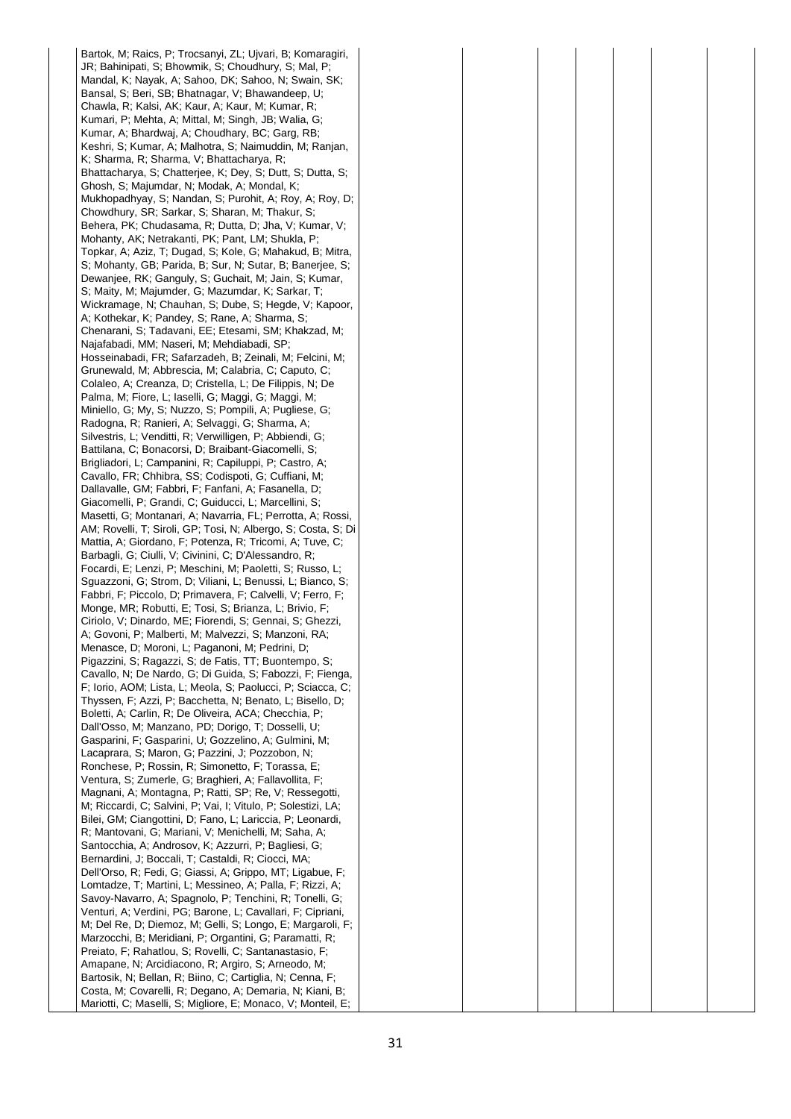Bartok, M; Raics, P; Trocsanyi, ZL; Ujvari, B; Komaragiri, JR; Bahinipati, S; Bhowmik, S; Choudhury, S; Mal, P; Mandal, K; Nayak, A; Sahoo, DK; Sahoo, N; Swain, SK; Bansal, S; Beri, SB; Bhatnagar, V; Bhawandeep, U; Chawla, R; Kalsi, AK; Kaur, A; Kaur, M; Kumar, R; Kumari, P; Mehta, A; Mittal, M; Singh, JB; Walia, G; Kumar, A; Bhardwaj, A; Choudhary, BC; Garg, RB; Keshri, S; Kumar, A; Malhotra, S; Naimuddin, M; Ranjan, K; Sharma, R; Sharma, V; Bhattacharya, R; Bhattacharya, S; Chatterjee, K; Dey, S; Dutt, S; Dutta, S; Ghosh, S; Majumdar, N; Modak, A; Mondal, K; Mukhopadhyay, S; Nandan, S; Purohit, A; Roy, A; Roy, D; Chowdhury, SR; Sarkar, S; Sharan, M; Thakur, S; Behera, PK; Chudasama, R; Dutta, D; Jha, V; Kumar, V; Mohanty, AK; Netrakanti, PK; Pant, LM; Shukla, P; Topkar, A; Aziz, T; Dugad, S; Kole, G; Mahakud, B; Mitra, S; Mohanty, GB; Parida, B; Sur, N; Sutar, B; Banerjee, S; Dewanjee, RK; Ganguly, S; Guchait, M; Jain, S; Kumar, S; Maity, M; Majumder, G; Mazumdar, K; Sarkar, T; Wickramage, N; Chauhan, S; Dube, S; Hegde, V; Kapoor, A; Kothekar, K; Pandey, S; Rane, A; Sharma, S; Chenarani, S; Tadavani, EE; Etesami, SM; Khakzad, M; Najafabadi, MM; Naseri, M; Mehdiabadi, SP; Hosseinabadi, FR; Safarzadeh, B; Zeinali, M; Felcini, M; Grunewald, M; Abbrescia, M; Calabria, C; Caputo, C; Colaleo, A; Creanza, D; Cristella, L; De Filippis, N; De Palma, M; Fiore, L; Iaselli, G; Maggi, G; Maggi, M; Miniello, G; My, S; Nuzzo, S; Pompili, A; Pugliese, G; Radogna, R; Ranieri, A; Selvaggi, G; Sharma, A; Silvestris, L; Venditti, R; Verwilligen, P; Abbiendi, G; Battilana, C; Bonacorsi, D; Braibant-Giacomelli, S; Brigliadori, L; Campanini, R; Capiluppi, P; Castro, A; Cavallo, FR; Chhibra, SS; Codispoti, G; Cuffiani, M; Dallavalle, GM; Fabbri, F; Fanfani, A; Fasanella, D; Giacomelli, P; Grandi, C; Guiducci, L; Marcellini, S; Masetti, G; Montanari, A; Navarria, FL; Perrotta, A; Rossi, AM; Rovelli, T; Siroli, GP; Tosi, N; Albergo, S; Costa, S; Di Mattia, A; Giordano, F; Potenza, R; Tricomi, A; Tuve, C; Barbagli, G; Ciulli, V; Civinini, C; D'Alessandro, R; Focardi, E; Lenzi, P; Meschini, M; Paoletti, S; Russo, L; Sguazzoni, G; Strom, D; Viliani, L; Benussi, L; Bianco, S; Fabbri, F; Piccolo, D; Primavera, F; Calvelli, V; Ferro, F; Monge, MR; Robutti, E; Tosi, S; Brianza, L; Brivio, F; Ciriolo, V; Dinardo, ME; Fiorendi, S; Gennai, S; Ghezzi, A; Govoni, P; Malberti, M; Malvezzi, S; Manzoni, RA; Menasce, D; Moroni, L; Paganoni, M; Pedrini, D; Pigazzini, S; Ragazzi, S; de Fatis, TT; Buontempo, S; Cavallo, N; De Nardo, G; Di Guida, S; Fabozzi, F; Fienga, F; Iorio, AOM; Lista, L; Meola, S; Paolucci, P; Sciacca, C; Thyssen, F; Azzi, P; Bacchetta, N; Benato, L; Bisello, D; Boletti, A; Carlin, R; De Oliveira, ACA; Checchia, P; Dall'Osso, M; Manzano, PD; Dorigo, T; Dosselli, U; Gasparini, F; Gasparini, U; Gozzelino, A; Gulmini, M; Lacaprara, S; Maron, G; Pazzini, J; Pozzobon, N; Ronchese, P; Rossin, R; Simonetto, F; Torassa, E; Ventura, S; Zumerle, G; Braghieri, A; Fallavollita, F; Magnani, A; Montagna, P; Ratti, SP; Re, V; Ressegotti, M; Riccardi, C; Salvini, P; Vai, I; Vitulo, P; Solestizi, LA; Bilei, GM; Ciangottini, D; Fano, L; Lariccia, P; Leonardi, R; Mantovani, G; Mariani, V; Menichelli, M; Saha, A; Santocchia, A; Androsov, K; Azzurri, P; Bagliesi, G; Bernardini, J; Boccali, T; Castaldi, R; Ciocci, MA; Dell'Orso, R; Fedi, G; Giassi, A; Grippo, MT; Ligabue, F; Lomtadze, T; Martini, L; Messineo, A; Palla, F; Rizzi, A; Savoy-Navarro, A; Spagnolo, P; Tenchini, R; Tonelli, G; Venturi, A; Verdini, PG; Barone, L; Cavallari, F; Cipriani, M; Del Re, D; Diemoz, M; Gelli, S; Longo, E; Margaroli, F; Marzocchi, B; Meridiani, P; Organtini, G; Paramatti, R; Preiato, F; Rahatlou, S; Rovelli, C; Santanastasio, F; Amapane, N; Arcidiacono, R; Argiro, S; Arneodo, M; Bartosik, N; Bellan, R; Biino, C; Cartiglia, N; Cenna, F; Costa, M; Covarelli, R; Degano, A; Demaria, N; Kiani, B; Mariotti, C; Maselli, S; Migliore, E; Monaco, V; Monteil, E;

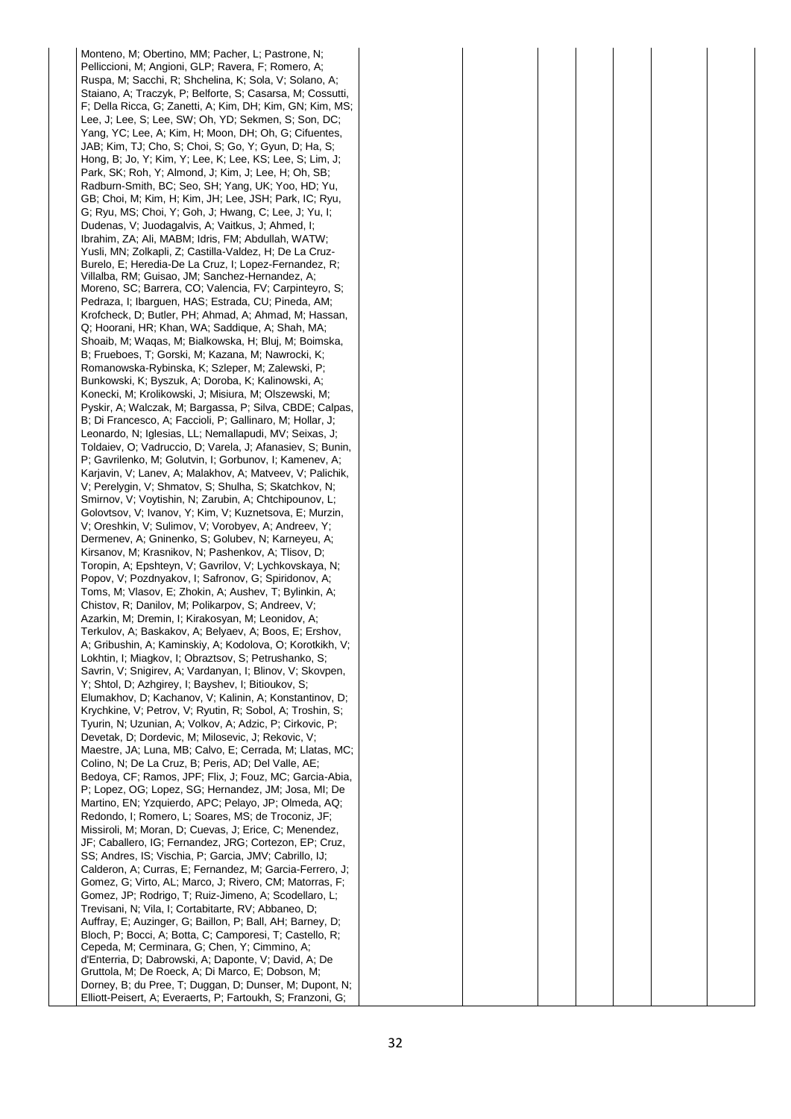Monteno, M; Obertino, MM; Pacher, L; Pastrone, N; Pelliccioni, M; Angioni, GLP; Ravera, F; Romero, A; Ruspa, M; Sacchi, R; Shchelina, K; Sola, V; Solano, A; Staiano, A; Traczyk, P; Belforte, S; Casarsa, M; Cossutti, F; Della Ricca, G; Zanetti, A; Kim, DH; Kim, GN; Kim, MS; Lee, J; Lee, S; Lee, SW; Oh, YD; Sekmen, S; Son, DC; Yang, YC; Lee, A; Kim, H; Moon, DH; Oh, G; Cifuentes, JAB; Kim, TJ; Cho, S; Choi, S; Go, Y; Gyun, D; Ha, S; Hong, B; Jo, Y; Kim, Y; Lee, K; Lee, KS; Lee, S; Lim, J; Park, SK; Roh, Y; Almond, J; Kim, J; Lee, H; Oh, SB; Radburn-Smith, BC; Seo, SH; Yang, UK; Yoo, HD; Yu, GB; Choi, M; Kim, H; Kim, JH; Lee, JSH; Park, IC; Ryu, G; Ryu, MS; Choi, Y; Goh, J; Hwang, C; Lee, J; Yu, I; Dudenas, V; Juodagalvis, A; Vaitkus, J; Ahmed, I; Ibrahim, ZA; Ali, MABM; Idris, FM; Abdullah, WATW; Yusli, MN; Zolkapli, Z; Castilla-Valdez, H; De La Cruz-Burelo, E; Heredia-De La Cruz, I; Lopez-Fernandez, R; Villalba, RM; Guisao, JM; Sanchez-Hernandez, A; Moreno, SC; Barrera, CO; Valencia, FV; Carpinteyro, S; Pedraza, I; Ibarguen, HAS; Estrada, CU; Pineda, AM; Krofcheck, D; Butler, PH; Ahmad, A; Ahmad, M; Hassan, Q; Hoorani, HR; Khan, WA; Saddique, A; Shah, MA; Shoaib, M; Waqas, M; Bialkowska, H; Bluj, M; Boimska, B; Frueboes, T; Gorski, M; Kazana, M; Nawrocki, K; Romanowska-Rybinska, K; Szleper, M; Zalewski, P; Bunkowski, K; Byszuk, A; Doroba, K; Kalinowski, A; Konecki, M; Krolikowski, J; Misiura, M; Olszewski, M; Pyskir, A; Walczak, M; Bargassa, P; Silva, CBDE; Calpas, B; Di Francesco, A; Faccioli, P; Gallinaro, M; Hollar, J; Leonardo, N; Iglesias, LL; Nemallapudi, MV; Seixas, J; Toldaiev, O; Vadruccio, D; Varela, J; Afanasiev, S; Bunin, P; Gavrilenko, M; Golutvin, I; Gorbunov, I; Kamenev, A; Karjavin, V; Lanev, A; Malakhov, A; Matveev, V; Palichik, V; Perelygin, V; Shmatov, S; Shulha, S; Skatchkov, N; Smirnov, V; Voytishin, N; Zarubin, A; Chtchipounov, L; Golovtsov, V; Ivanov, Y; Kim, V; Kuznetsova, E; Murzin, V; Oreshkin, V; Sulimov, V; Vorobyev, A; Andreev, Y; Dermenev, A; Gninenko, S; Golubev, N; Karneyeu, A; Kirsanov, M; Krasnikov, N; Pashenkov, A; Tlisov, D; Toropin, A; Epshteyn, V; Gavrilov, V; Lychkovskaya, N; Popov, V; Pozdnyakov, I; Safronov, G; Spiridonov, A; Toms, M; Vlasov, E; Zhokin, A; Aushev, T; Bylinkin, A; Chistov, R; Danilov, M; Polikarpov, S; Andreev, V; Azarkin, M; Dremin, I; Kirakosyan, M; Leonidov, A; Terkulov, A; Baskakov, A; Belyaev, A; Boos, E; Ershov, A; Gribushin, A; Kaminskiy, A; Kodolova, O; Korotkikh, V; Lokhtin, I; Miagkov, I; Obraztsov, S; Petrushanko, S; Savrin, V; Snigirev, A; Vardanyan, I; Blinov, V; Skovpen, Y; Shtol, D; Azhgirey, I; Bayshev, I; Bitioukov, S; Elumakhov, D; Kachanov, V; Kalinin, A; Konstantinov, D; Krychkine, V; Petrov, V; Ryutin, R; Sobol, A; Troshin, S; Tyurin, N; Uzunian, A; Volkov, A; Adzic, P; Cirkovic, P; Devetak, D; Dordevic, M; Milosevic, J; Rekovic, V; Maestre, JA; Luna, MB; Calvo, E; Cerrada, M; Llatas, MC; Colino, N; De La Cruz, B; Peris, AD; Del Valle, AE; Bedoya, CF; Ramos, JPF; Flix, J; Fouz, MC; Garcia-Abia, P; Lopez, OG; Lopez, SG; Hernandez, JM; Josa, MI; De Martino, EN; Yzquierdo, APC; Pelayo, JP; Olmeda, AQ; Redondo, I; Romero, L; Soares, MS; de Troconiz, JF; Missiroli, M; Moran, D; Cuevas, J; Erice, C; Menendez, JF; Caballero, IG; Fernandez, JRG; Cortezon, EP; Cruz, SS; Andres, IS; Vischia, P; Garcia, JMV; Cabrillo, IJ; Calderon, A; Curras, E; Fernandez, M; Garcia-Ferrero, J; Gomez, G; Virto, AL; Marco, J; Rivero, CM; Matorras, F; Gomez, JP; Rodrigo, T; Ruiz-Jimeno, A; Scodellaro, L; Trevisani, N; Vila, I; Cortabitarte, RV; Abbaneo, D; Auffray, E; Auzinger, G; Baillon, P; Ball, AH; Barney, D; Bloch, P; Bocci, A; Botta, C; Camporesi, T; Castello, R; Cepeda, M; Cerminara, G; Chen, Y; Cimmino, A; d'Enterria, D; Dabrowski, A; Daponte, V; David, A; De Gruttola, M; De Roeck, A; Di Marco, E; Dobson, M; Dorney, B; du Pree, T; Duggan, D; Dunser, M; Dupont, N; Elliott-Peisert, A; Everaerts, P; Fartoukh, S; Franzoni, G;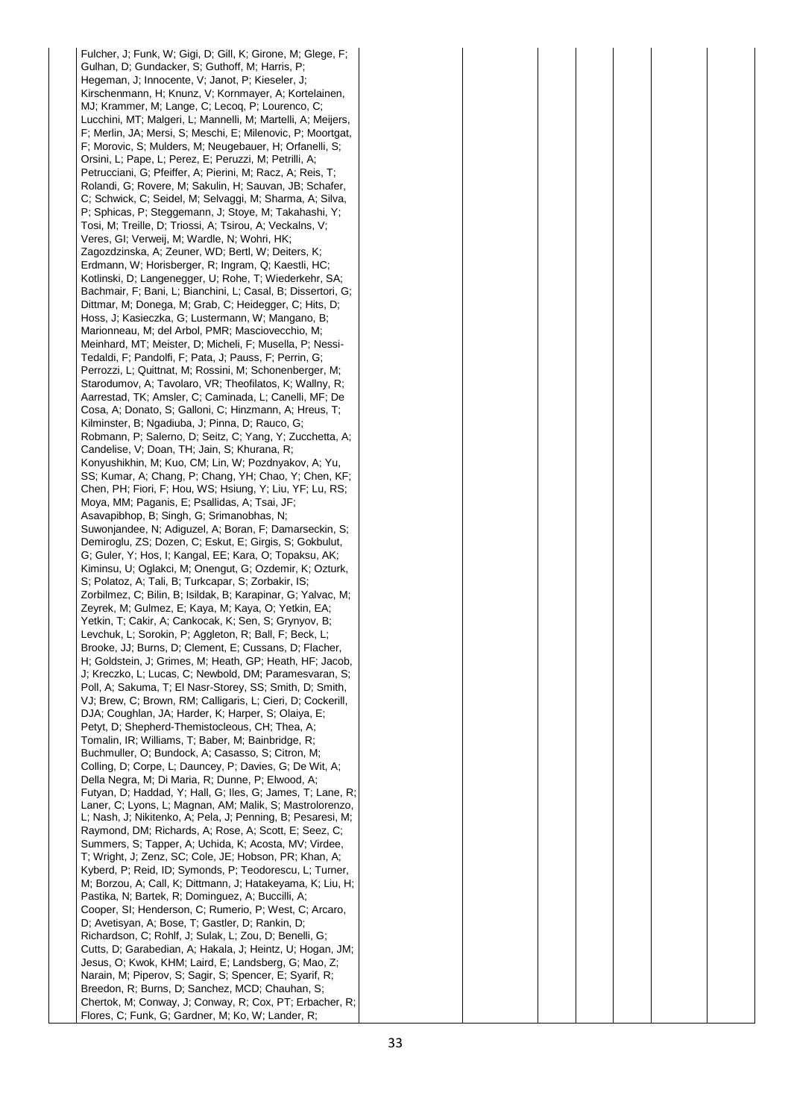Fulcher, J; Funk, W; Gigi, D; Gill, K; Girone, M; Glege, F; Gulhan, D; Gundacker, S; Guthoff, M; Harris, P; Hegeman, J; Innocente, V; Janot, P; Kieseler, J; Kirschenmann, H; Knunz, V; Kornmayer, A; Kortelainen, MJ; Krammer, M; Lange, C; Lecoq, P; Lourenco, C; Lucchini, MT; Malgeri, L; Mannelli, M; Martelli, A; Meijers, F; Merlin, JA; Mersi, S; Meschi, E; Milenovic, P; Moortgat, F; Morovic, S; Mulders, M; Neugebauer, H; Orfanelli, S; Orsini, L; Pape, L; Perez, E; Peruzzi, M; Petrilli, A; Petrucciani, G; Pfeiffer, A; Pierini, M; Racz, A; Reis, T; Rolandi, G; Rovere, M; Sakulin, H; Sauvan, JB; Schafer, C; Schwick, C; Seidel, M; Selvaggi, M; Sharma, A; Silva, P; Sphicas, P; Steggemann, J; Stoye, M; Takahashi, Y; Tosi, M; Treille, D; Triossi, A; Tsirou, A; Veckalns, V; Veres, GI; Verweij, M; Wardle, N; Wohri, HK; Zagozdzinska, A; Zeuner, WD; Bertl, W; Deiters, K; Erdmann, W; Horisberger, R; Ingram, Q; Kaestli, HC; Kotlinski, D; Langenegger, U; Rohe, T; Wiederkehr, SA; Bachmair, F; Bani, L; Bianchini, L; Casal, B; Dissertori, G; Dittmar, M; Donega, M; Grab, C; Heidegger, C; Hits, D; Hoss, J; Kasieczka, G; Lustermann, W; Mangano, B; Marionneau, M; del Arbol, PMR; Masciovecchio, M; Meinhard, MT; Meister, D; Micheli, F; Musella, P; Nessi-Tedaldi, F; Pandolfi, F; Pata, J; Pauss, F; Perrin, G; Perrozzi, L; Quittnat, M; Rossini, M; Schonenberger, M; Starodumov, A; Tavolaro, VR; Theofilatos, K; Wallny, R; Aarrestad, TK; Amsler, C; Caminada, L; Canelli, MF; De Cosa, A; Donato, S; Galloni, C; Hinzmann, A; Hreus, T; Kilminster, B; Ngadiuba, J; Pinna, D; Rauco, G; Robmann, P; Salerno, D; Seitz, C; Yang, Y; Zucchetta, A; Candelise, V; Doan, TH; Jain, S; Khurana, R; Konyushikhin, M; Kuo, CM; Lin, W; Pozdnyakov, A; Yu, SS; Kumar, A; Chang, P; Chang, YH; Chao, Y; Chen, KF; Chen, PH; Fiori, F; Hou, WS; Hsiung, Y; Liu, YF; Lu, RS; Moya, MM; Paganis, E; Psallidas, A; Tsai, JF; Asavapibhop, B; Singh, G; Srimanobhas, N; Suwonjandee, N; Adiguzel, A; Boran, F; Damarseckin, S; Demiroglu, ZS; Dozen, C; Eskut, E; Girgis, S; Gokbulut, G; Guler, Y; Hos, I; Kangal, EE; Kara, O; Topaksu, AK; Kiminsu, U; Oglakci, M; Onengut, G; Ozdemir, K; Ozturk, S; Polatoz, A; Tali, B; Turkcapar, S; Zorbakir, IS; Zorbilmez, C; Bilin, B; Isildak, B; Karapinar, G; Yalvac, M; Zeyrek, M; Gulmez, E; Kaya, M; Kaya, O; Yetkin, EA; Yetkin, T; Cakir, A; Cankocak, K; Sen, S; Grynyov, B; Levchuk, L; Sorokin, P; Aggleton, R; Ball, F; Beck, L; Brooke, JJ; Burns, D; Clement, E; Cussans, D; Flacher, H; Goldstein, J; Grimes, M; Heath, GP; Heath, HF; Jacob, J; Kreczko, L; Lucas, C; Newbold, DM; Paramesvaran, S; Poll, A; Sakuma, T; El Nasr-Storey, SS; Smith, D; Smith, VJ; Brew, C; Brown, RM; Calligaris, L; Cieri, D; Cockerill, DJA; Coughlan, JA; Harder, K; Harper, S; Olaiya, E; Petyt, D; Shepherd-Themistocleous, CH; Thea, A; Tomalin, IR; Williams, T; Baber, M; Bainbridge, R; Buchmuller, O; Bundock, A; Casasso, S; Citron, M; Colling, D; Corpe, L; Dauncey, P; Davies, G; De Wit, A; Della Negra, M; Di Maria, R; Dunne, P; Elwood, A; Futyan, D; Haddad, Y; Hall, G; Iles, G; James, T; Lane, R; Laner, C; Lyons, L; Magnan, AM; Malik, S; Mastrolorenzo, L; Nash, J; Nikitenko, A; Pela, J; Penning, B; Pesaresi, M; Raymond, DM; Richards, A; Rose, A; Scott, E; Seez, C; Summers, S; Tapper, A; Uchida, K; Acosta, MV; Virdee, T; Wright, J; Zenz, SC; Cole, JE; Hobson, PR; Khan, A; Kyberd, P; Reid, ID; Symonds, P; Teodorescu, L; Turner, M; Borzou, A; Call, K; Dittmann, J; Hatakeyama, K; Liu, H; Pastika, N; Bartek, R; Dominguez, A; Buccilli, A; Cooper, SI; Henderson, C; Rumerio, P; West, C; Arcaro, D; Avetisyan, A; Bose, T; Gastler, D; Rankin, D; Richardson, C; Rohlf, J; Sulak, L; Zou, D; Benelli, G; Cutts, D; Garabedian, A; Hakala, J; Heintz, U; Hogan, JM; Jesus, O; Kwok, KHM; Laird, E; Landsberg, G; Mao, Z; Narain, M; Piperov, S; Sagir, S; Spencer, E; Syarif, R; Breedon, R; Burns, D; Sanchez, MCD; Chauhan, S; Chertok, M; Conway, J; Conway, R; Cox, PT; Erbacher, R; Flores, C; Funk, G; Gardner, M; Ko, W; Lander, R;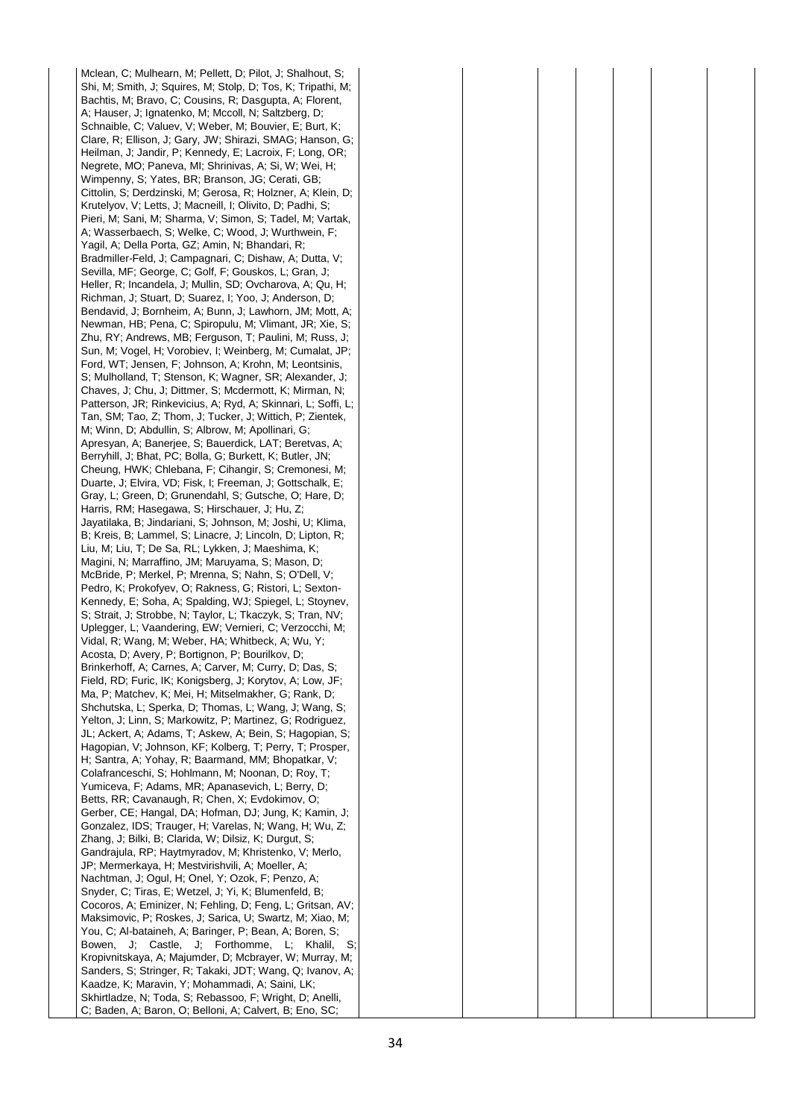Mclean, C; Mulhearn, M; Pellett, D; Pilot, J; Shalhout, S; Shi, M; Smith, J; Squires, M; Stolp, D; Tos, K; Tripathi, M; Bachtis, M; Bravo, C; Cousins, R; Dasgupta, A; Florent, A; Hauser, J; Ignatenko, M; Mccoll, N; Saltzberg, D; Schnaible, C; Valuev, V; Weber, M; Bouvier, E; Burt, K; Clare, R; Ellison, J; Gary, JW; Shirazi, SMAG; Hanson, G; Heilman, J; Jandir, P; Kennedy, E; Lacroix, F; Long, OR; Negrete, MO; Paneva, MI; Shrinivas, A; Si, W; Wei, H; Wimpenny, S; Yates, BR; Branson, JG; Cerati, GB; Cittolin, S; Derdzinski, M; Gerosa, R; Holzner, A; Klein, D; Krutelyov, V; Letts, J; Macneill, I; Olivito, D; Padhi, S; Pieri, M; Sani, M; Sharma, V; Simon, S; Tadel, M; Vartak, A; Wasserbaech, S; Welke, C; Wood, J; Wurthwein, F; Yagil, A; Della Porta, GZ; Amin, N; Bhandari, R; Bradmiller-Feld, J; Campagnari, C; Dishaw, A; Dutta, V; Sevilla, MF; George, C; Golf, F; Gouskos, L; Gran, J; Heller, R; Incandela, J; Mullin, SD; Ovcharova, A; Qu, H; Richman, J; Stuart, D; Suarez, I; Yoo, J; Anderson, D; Bendavid, J; Bornheim, A; Bunn, J; Lawhorn, JM; Mott, A; Newman, HB; Pena, C; Spiropulu, M; Vlimant, JR; Xie, S; Zhu, RY; Andrews, MB; Ferguson, T; Paulini, M; Russ, J; Sun, M; Vogel, H; Vorobiev, I; Weinberg, M; Cumalat, JP; Ford, WT; Jensen, F; Johnson, A; Krohn, M; Leontsinis, S; Mulholland, T; Stenson, K; Wagner, SR; Alexander, J; Chaves, J; Chu, J; Dittmer, S; Mcdermott, K; Mirman, N; Patterson, JR; Rinkevicius, A; Ryd, A; Skinnari, L; Soffi, L; Tan, SM; Tao, Z; Thom, J; Tucker, J; Wittich, P; Zientek, M; Winn, D; Abdullin, S; Albrow, M; Apollinari, G; Apresyan, A; Banerjee, S; Bauerdick, LAT; Beretvas, A; Berryhill, J; Bhat, PC; Bolla, G; Burkett, K; Butler, JN; Cheung, HWK; Chlebana, F; Cihangir, S; Cremonesi, M; Duarte, J; Elvira, VD; Fisk, I; Freeman, J; Gottschalk, E; Gray, L; Green, D; Grunendahl, S; Gutsche, O; Hare, D; Harris, RM; Hasegawa, S; Hirschauer, J; Hu, Z; Jayatilaka, B; Jindariani, S; Johnson, M; Joshi, U; Klima, B; Kreis, B; Lammel, S; Linacre, J; Lincoln, D; Lipton, R; Liu, M; Liu, T; De Sa, RL; Lykken, J; Maeshima, K; Magini, N; Marraffino, JM; Maruyama, S; Mason, D; McBride, P; Merkel, P; Mrenna, S; Nahn, S; O'Dell, V; Pedro, K; Prokofyev, O; Rakness, G; Ristori, L; Sexton-Kennedy, E; Soha, A; Spalding, WJ; Spiegel, L; Stoynev, S; Strait, J; Strobbe, N; Taylor, L; Tkaczyk, S; Tran, NV; Uplegger, L; Vaandering, EW; Vernieri, C; Verzocchi, M; Vidal, R; Wang, M; Weber, HA; Whitbeck, A; Wu, Y; Acosta, D; Avery, P; Bortignon, P; Bourilkov, D; Brinkerhoff, A; Carnes, A; Carver, M; Curry, D; Das, S; Field, RD; Furic, IK; Konigsberg, J; Korytov, A; Low, JF; Ma, P; Matchev, K; Mei, H; Mitselmakher, G; Rank, D; Shchutska, L; Sperka, D; Thomas, L; Wang, J; Wang, S; Yelton, J; Linn, S; Markowitz, P; Martinez, G; Rodriguez, JL; Ackert, A; Adams, T; Askew, A; Bein, S; Hagopian, S; Hagopian, V; Johnson, KF; Kolberg, T; Perry, T; Prosper, H; Santra, A; Yohay, R; Baarmand, MM; Bhopatkar, V; Colafranceschi, S; Hohlmann, M; Noonan, D; Roy, T; Yumiceva, F; Adams, MR; Apanasevich, L; Berry, D; Betts, RR; Cavanaugh, R; Chen, X; Evdokimov, O; Gerber, CE; Hangal, DA; Hofman, DJ; Jung, K; Kamin, J; Gonzalez, IDS; Trauger, H; Varelas, N; Wang, H; Wu, Z; Zhang, J; Bilki, B; Clarida, W; Dilsiz, K; Durgut, S; Gandrajula, RP; Haytmyradov, M; Khristenko, V; Merlo, JP; Mermerkaya, H; Mestvirishvili, A; Moeller, A; Nachtman, J; Ogul, H; Onel, Y; Ozok, F; Penzo, A; Snyder, C; Tiras, E; Wetzel, J; Yi, K; Blumenfeld, B; Cocoros, A; Eminizer, N; Fehling, D; Feng, L; Gritsan, AV; Maksimovic, P; Roskes, J; Sarica, U; Swartz, M; Xiao, M; You, C; Al-bataineh, A; Baringer, P; Bean, A; Boren, S; Bowen, J; Castle, J; Forthomme, L; Khalil, S; Kropivnitskaya, A; Majumder, D; Mcbrayer, W; Murray, M; Sanders, S; Stringer, R; Takaki, JDT; Wang, Q; Ivanov, A; Kaadze, K; Maravin, Y; Mohammadi, A; Saini, LK; Skhirtladze, N; Toda, S; Rebassoo, F; Wright, D; Anelli, C; Baden, A; Baron, O; Belloni, A; Calvert, B; Eno, SC;

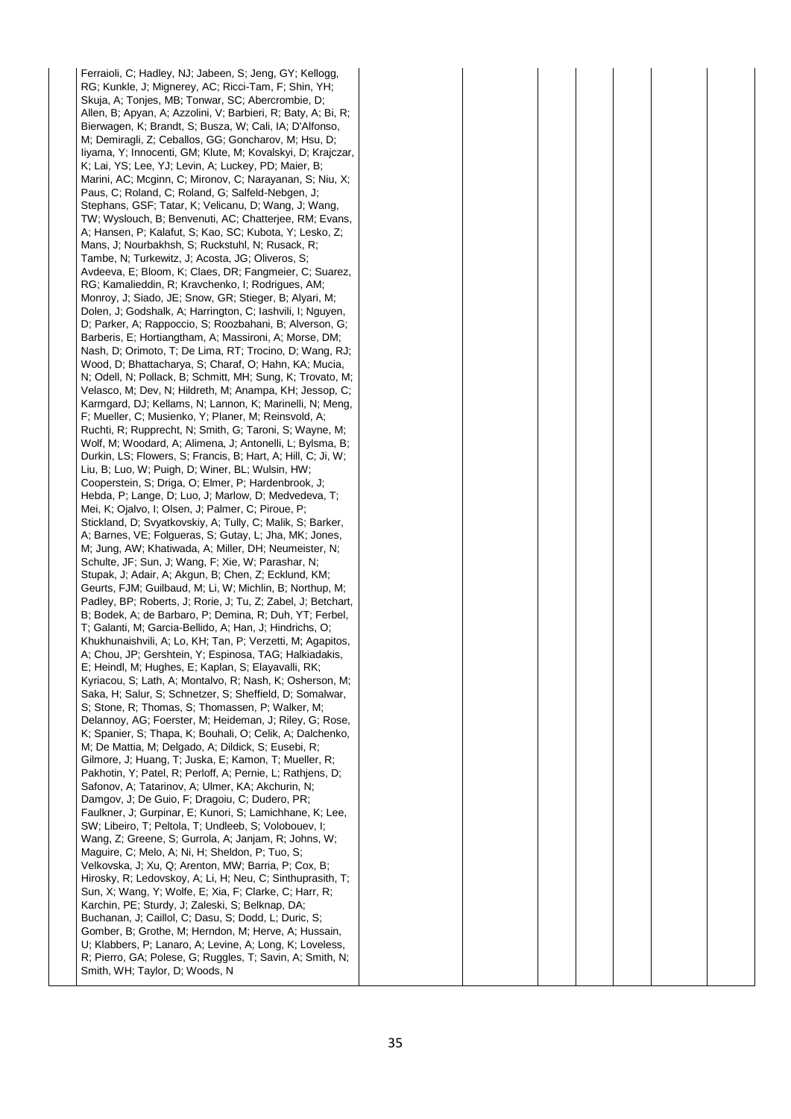Ferraioli, C; Hadley, NJ; Jabeen, S; Jeng, GY; Kellogg, RG; Kunkle, J; Mignerey, AC; Ricci-Tam, F; Shin, YH; Skuja, A; Tonjes, MB; Tonwar, SC; Abercrombie, D; Allen, B; Apyan, A; Azzolini, V; Barbieri, R; Baty, A; Bi, R; Bierwagen, K; Brandt, S; Busza, W; Cali, IA; D'Alfonso, M; Demiragli, Z; Ceballos, GG; Goncharov, M; Hsu, D; Iiyama, Y; Innocenti, GM; Klute, M; Kovalskyi, D; Krajczar, K; Lai, YS; Lee, YJ; Levin, A; Luckey, PD; Maier, B; Marini, AC; Mcginn, C; Mironov, C; Narayanan, S; Niu, X; Paus, C; Roland, C; Roland, G; Salfeld-Nebgen, J; Stephans, GSF; Tatar, K; Velicanu, D; Wang, J; Wang, TW; Wyslouch, B; Benvenuti, AC; Chatterjee, RM; Evans, A; Hansen, P; Kalafut, S; Kao, SC; Kubota, Y; Lesko, Z; Mans, J; Nourbakhsh, S; Ruckstuhl, N; Rusack, R; Tambe, N; Turkewitz, J; Acosta, JG; Oliveros, S; Avdeeva, E; Bloom, K; Claes, DR; Fangmeier, C; Suarez, RG; Kamalieddin, R; Kravchenko, I; Rodrigues, AM; Monroy, J; Siado, JE; Snow, GR; Stieger, B; Alyari, M; Dolen, J; Godshalk, A; Harrington, C; Iashvili, I; Nguyen, D; Parker, A; Rappoccio, S; Roozbahani, B; Alverson, G; Barberis, E; Hortiangtham, A; Massironi, A; Morse, DM; Nash, D; Orimoto, T; De Lima, RT; Trocino, D; Wang, RJ; Wood, D; Bhattacharya, S; Charaf, O; Hahn, KA; Mucia, N; Odell, N; Pollack, B; Schmitt, MH; Sung, K; Trovato, M; Velasco, M; Dev, N; Hildreth, M; Anampa, KH; Jessop, C; Karmgard, DJ; Kellams, N; Lannon, K; Marinelli, N; Meng, F; Mueller, C; Musienko, Y; Planer, M; Reinsvold, A; Ruchti, R; Rupprecht, N; Smith, G; Taroni, S; Wayne, M; Wolf, M; Woodard, A; Alimena, J; Antonelli, L; Bylsma, B; Durkin, LS; Flowers, S; Francis, B; Hart, A; Hill, C; Ji, W; Liu, B; Luo, W; Puigh, D; Winer, BL; Wulsin, HW; Cooperstein, S; Driga, O; Elmer, P; Hardenbrook, J; Hebda, P; Lange, D; Luo, J; Marlow, D; Medvedeva, T; Mei, K; Ojalvo, I; Olsen, J; Palmer, C; Piroue, P; Stickland, D; Svyatkovskiy, A; Tully, C; Malik, S; Barker, A; Barnes, VE; Folgueras, S; Gutay, L; Jha, MK; Jones, M; Jung, AW; Khatiwada, A; Miller, DH; Neumeister, N; Schulte, JF; Sun, J; Wang, F; Xie, W; Parashar, N; Stupak, J; Adair, A; Akgun, B; Chen, Z; Ecklund, KM; Geurts, FJM; Guilbaud, M; Li, W; Michlin, B; Northup, M; Padley, BP; Roberts, J; Rorie, J; Tu, Z; Zabel, J; Betchart, B; Bodek, A; de Barbaro, P; Demina, R; Duh, YT; Ferbel, T; Galanti, M; Garcia-Bellido, A; Han, J; Hindrichs, O; Khukhunaishvili, A; Lo, KH; Tan, P; Verzetti, M; Agapitos, A; Chou, JP; Gershtein, Y; Espinosa, TAG; Halkiadakis, E; Heindl, M; Hughes, E; Kaplan, S; Elayavalli, RK; Kyriacou, S; Lath, A; Montalvo, R; Nash, K; Osherson, M; Saka, H; Salur, S; Schnetzer, S; Sheffield, D; Somalwar, S; Stone, R; Thomas, S; Thomassen, P; Walker, M; Delannoy, AG; Foerster, M; Heideman, J; Riley, G; Rose, K; Spanier, S; Thapa, K; Bouhali, O; Celik, A; Dalchenko, M; De Mattia, M; Delgado, A; Dildick, S; Eusebi, R; Gilmore, J; Huang, T; Juska, E; Kamon, T; Mueller, R; Pakhotin, Y; Patel, R; Perloff, A; Pernie, L; Rathjens, D; Safonov, A; Tatarinov, A; Ulmer, KA; Akchurin, N; Damgov, J; De Guio, F; Dragoiu, C; Dudero, PR; Faulkner, J; Gurpinar, E; Kunori, S; Lamichhane, K; Lee, SW; Libeiro, T; Peltola, T; Undleeb, S; Volobouev, I; Wang, Z; Greene, S; Gurrola, A; Janjam, R; Johns, W; Maguire, C; Melo, A; Ni, H; Sheldon, P; Tuo, S; Velkovska, J; Xu, Q; Arenton, MW; Barria, P; Cox, B; Hirosky, R; Ledovskoy, A; Li, H; Neu, C; Sinthuprasith, T; Sun, X; Wang, Y; Wolfe, E; Xia, F; Clarke, C; Harr, R; Karchin, PE; Sturdy, J; Zaleski, S; Belknap, DA; Buchanan, J; Caillol, C; Dasu, S; Dodd, L; Duric, S; Gomber, B; Grothe, M; Herndon, M; Herve, A; Hussain, U; Klabbers, P; Lanaro, A; Levine, A; Long, K; Loveless, R; Pierro, GA; Polese, G; Ruggles, T; Savin, A; Smith, N; Smith, WH; Taylor, D; Woods, N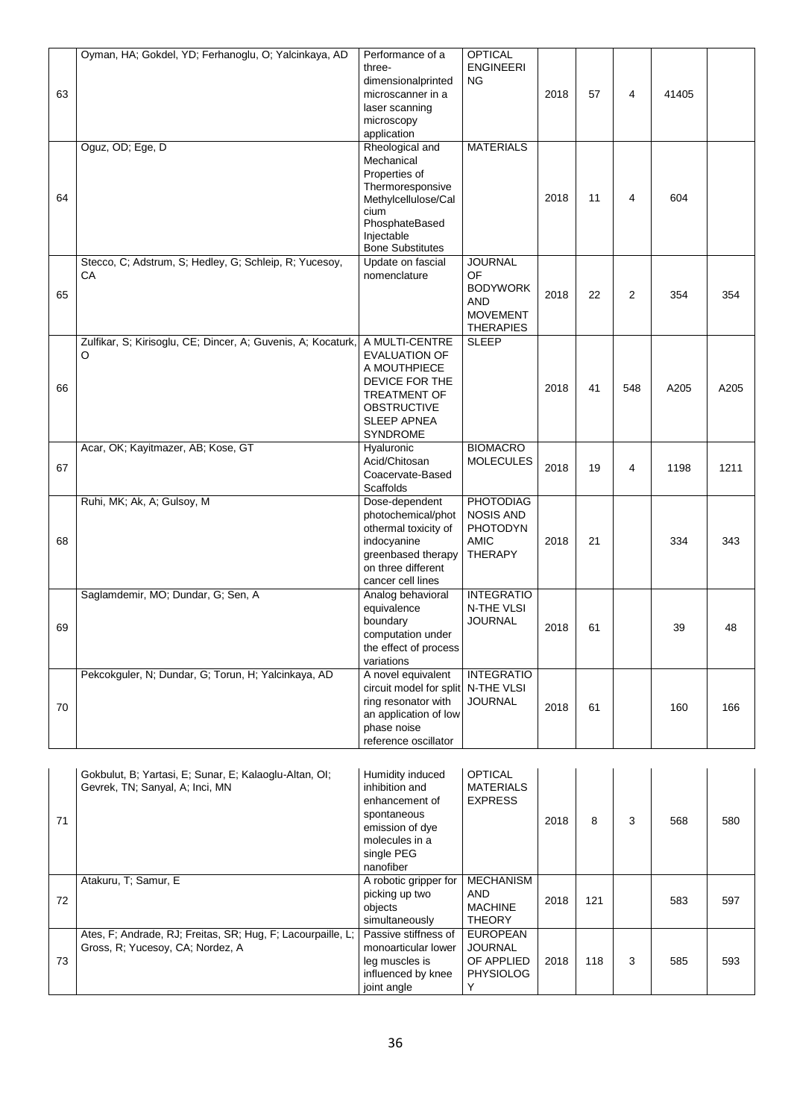|    | Oyman, HA; Gokdel, YD; Ferhanoglu, O; Yalcinkaya, AD         | Performance of a                   | <b>OPTICAL</b>    |      |    |                |       |      |
|----|--------------------------------------------------------------|------------------------------------|-------------------|------|----|----------------|-------|------|
|    |                                                              | three-                             | <b>ENGINEERI</b>  |      |    |                |       |      |
|    |                                                              | dimensionalprinted                 | <b>NG</b>         |      |    |                |       |      |
| 63 |                                                              | microscanner in a                  |                   | 2018 | 57 | 4              | 41405 |      |
|    |                                                              | laser scanning                     |                   |      |    |                |       |      |
|    |                                                              | microscopy                         |                   |      |    |                |       |      |
|    |                                                              | application                        |                   |      |    |                |       |      |
|    | Oguz, OD; Ege, D                                             | Rheological and                    | <b>MATERIALS</b>  |      |    |                |       |      |
|    |                                                              | Mechanical                         |                   |      |    |                |       |      |
|    |                                                              | Properties of                      |                   |      |    |                |       |      |
|    |                                                              |                                    |                   |      |    |                |       |      |
| 64 |                                                              | Thermoresponsive                   |                   | 2018 | 11 | 4              | 604   |      |
|    |                                                              | Methylcellulose/Cal                |                   |      |    |                |       |      |
|    |                                                              | cium                               |                   |      |    |                |       |      |
|    |                                                              | PhosphateBased                     |                   |      |    |                |       |      |
|    |                                                              | Injectable                         |                   |      |    |                |       |      |
|    |                                                              | <b>Bone Substitutes</b>            |                   |      |    |                |       |      |
|    | Stecco, C; Adstrum, S; Hedley, G; Schleip, R; Yucesoy,       | Update on fascial                  | <b>JOURNAL</b>    |      |    |                |       |      |
|    | CA                                                           | nomenclature                       | OF.               |      |    |                |       |      |
| 65 |                                                              |                                    | <b>BODYWORK</b>   | 2018 | 22 | $\overline{2}$ | 354   | 354  |
|    |                                                              |                                    | <b>AND</b>        |      |    |                |       |      |
|    |                                                              |                                    | <b>MOVEMENT</b>   |      |    |                |       |      |
|    |                                                              |                                    | <b>THERAPIES</b>  |      |    |                |       |      |
|    | Zulfikar, S; Kirisoglu, CE; Dincer, A; Guvenis, A; Kocaturk, | A MULTI-CENTRE                     | <b>SLEEP</b>      |      |    |                |       |      |
|    | O                                                            | <b>EVALUATION OF</b>               |                   |      |    |                |       |      |
|    |                                                              | A MOUTHPIECE                       |                   |      |    |                |       |      |
|    |                                                              | DEVICE FOR THE                     |                   |      |    |                |       |      |
| 66 |                                                              | <b>TREATMENT OF</b>                |                   | 2018 | 41 | 548            | A205  | A205 |
|    |                                                              | <b>OBSTRUCTIVE</b>                 |                   |      |    |                |       |      |
|    |                                                              | <b>SLEEP APNEA</b>                 |                   |      |    |                |       |      |
|    |                                                              | <b>SYNDROME</b>                    |                   |      |    |                |       |      |
|    | Acar, OK; Kayitmazer, AB; Kose, GT                           | Hyaluronic                         | <b>BIOMACRO</b>   |      |    |                |       |      |
|    |                                                              | Acid/Chitosan                      | <b>MOLECULES</b>  |      |    |                |       |      |
| 67 |                                                              |                                    |                   | 2018 | 19 | 4              | 1198  | 1211 |
|    |                                                              | Coacervate-Based                   |                   |      |    |                |       |      |
|    |                                                              | <b>Scaffolds</b>                   |                   |      |    |                |       |      |
|    | Ruhi, MK; Ak, A; Gulsoy, M                                   | Dose-dependent                     | <b>PHOTODIAG</b>  |      |    |                |       |      |
|    |                                                              | photochemical/phot                 | <b>NOSIS AND</b>  |      |    |                |       |      |
|    |                                                              | othermal toxicity of               | <b>PHOTODYN</b>   |      |    |                |       |      |
| 68 |                                                              | indocyanine                        | <b>AMIC</b>       | 2018 | 21 |                | 334   | 343  |
|    |                                                              | greenbased therapy                 | <b>THERAPY</b>    |      |    |                |       |      |
|    |                                                              | on three different                 |                   |      |    |                |       |      |
|    |                                                              | cancer cell lines                  |                   |      |    |                |       |      |
|    | Saglamdemir, MO; Dundar, G; Sen, A                           | Analog behavioral                  | <b>INTEGRATIO</b> |      |    |                |       |      |
|    |                                                              | equivalence                        | N-THE VLSI        |      |    |                |       |      |
|    |                                                              | boundary                           | <b>JOURNAL</b>    |      |    |                |       |      |
| 69 |                                                              | computation under                  |                   | 2018 | 61 |                | 39    | 48   |
|    |                                                              | the effect of process              |                   |      |    |                |       |      |
|    |                                                              | variations                         |                   |      |    |                |       |      |
|    | Pekcokguler, N; Dundar, G; Torun, H; Yalcinkaya, AD          | A novel equivalent                 | <b>INTEGRATIO</b> |      |    |                |       |      |
|    |                                                              |                                    |                   |      |    |                |       |      |
|    |                                                              | circuit model for split N-THE VLSI |                   |      |    |                |       |      |
| 70 |                                                              | ring resonator with                | <b>JOURNAL</b>    | 2018 | 61 |                | 160   | 166  |
|    |                                                              | an application of low              |                   |      |    |                |       |      |
|    |                                                              | phase noise                        |                   |      |    |                |       |      |
|    |                                                              | reference oscillator               |                   |      |    |                |       |      |
|    |                                                              |                                    |                   |      |    |                |       |      |
|    |                                                              |                                    |                   |      |    |                |       |      |
|    |                                                              |                                    |                   |      |    |                |       |      |
|    | Gokbulut, B; Yartasi, E; Sunar, E; Kalaoglu-Altan, OI;       | Humidity induced                   | <b>OPTICAL</b>    |      |    |                |       |      |
|    | Gevrek, TN; Sanyal, A; Inci, MN                              | inhibition and                     | <b>MATERIALS</b>  |      |    |                |       |      |
|    |                                                              | enhancement of                     | <b>EXPRESS</b>    |      |    |                |       |      |
| 71 |                                                              | spontaneous<br>emission of dye     |                   | 2018 | 8  | 3              | 568   | 580  |

| -71 |                                                                                                   | ------------<br>emission of dye<br>molecules in a<br>single PEG<br>nanofiber                       |                                                                     | 2018 | 8   |   | 568 | 580 |
|-----|---------------------------------------------------------------------------------------------------|----------------------------------------------------------------------------------------------------|---------------------------------------------------------------------|------|-----|---|-----|-----|
| 72  | Atakuru, T; Samur, E                                                                              | A robotic gripper for<br>picking up two<br>objects<br>simultaneously                               | <b>MECHANISM</b><br>AND<br><b>MACHINE</b><br><b>THEORY</b>          | 2018 | 121 |   | 583 | 597 |
| 73  | Ates, F; Andrade, RJ; Freitas, SR; Hug, F; Lacourpaille, L;  <br>Gross, R; Yucesoy, CA; Nordez, A | Passive stiffness of<br>monoarticular lower<br>leg muscles is<br>influenced by knee<br>joint angle | <b>EUROPEAN</b><br><b>JOURNAL</b><br>OF APPLIED<br><b>PHYSIOLOG</b> | 2018 | 118 | 3 | 585 | 593 |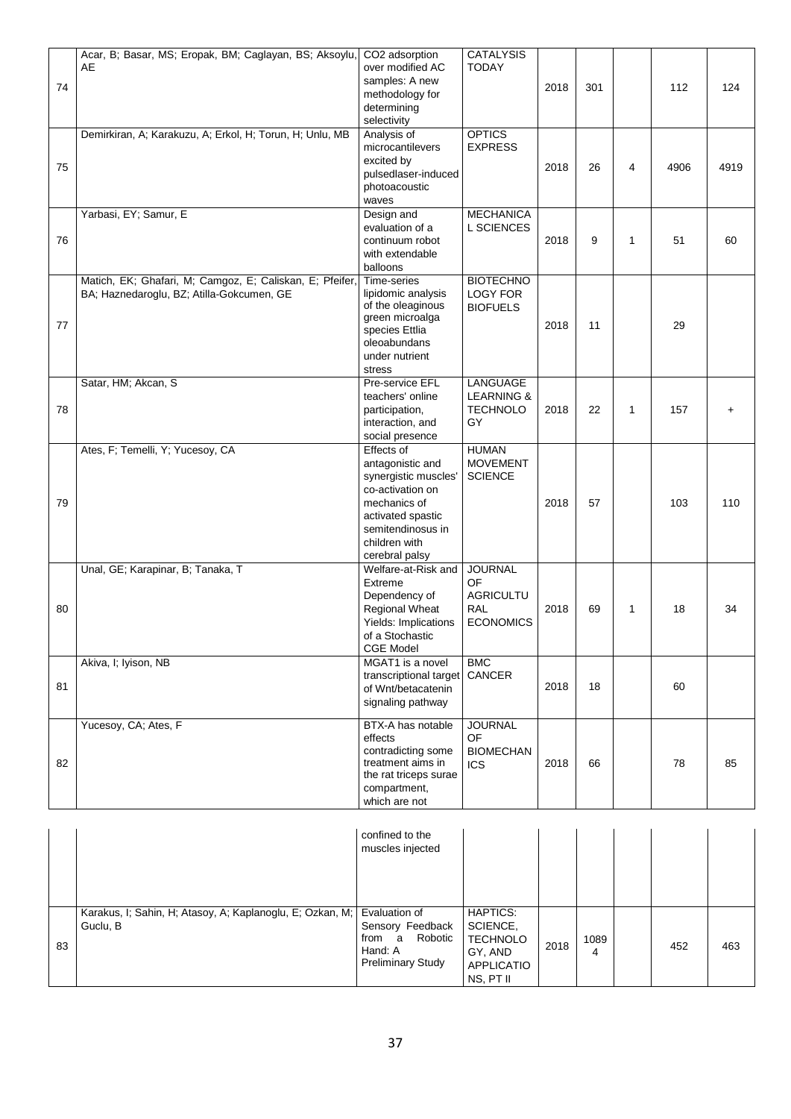|    | Acar, B; Basar, MS; Eropak, BM; Caglayan, BS; Aksoylu, CO2 adsorption |                                      | <b>CATALYSIS</b>      |      |     |                |      |      |
|----|-----------------------------------------------------------------------|--------------------------------------|-----------------------|------|-----|----------------|------|------|
|    | AE                                                                    | over modified AC                     | <b>TODAY</b>          |      |     |                |      |      |
|    |                                                                       | samples: A new                       |                       |      |     |                |      |      |
| 74 |                                                                       | methodology for                      |                       | 2018 | 301 |                | 112  | 124  |
|    |                                                                       | determining                          |                       |      |     |                |      |      |
|    |                                                                       | selectivity                          |                       |      |     |                |      |      |
|    | Demirkiran, A; Karakuzu, A; Erkol, H; Torun, H; Unlu, MB              | Analysis of                          | <b>OPTICS</b>         |      |     |                |      |      |
|    |                                                                       | microcantilevers                     | <b>EXPRESS</b>        |      |     |                |      |      |
|    |                                                                       |                                      |                       |      |     |                |      |      |
| 75 |                                                                       | excited by                           |                       | 2018 | 26  | $\overline{4}$ | 4906 | 4919 |
|    |                                                                       | pulsedlaser-induced<br>photoacoustic |                       |      |     |                |      |      |
|    |                                                                       |                                      |                       |      |     |                |      |      |
|    |                                                                       | waves                                |                       |      |     |                |      |      |
|    | Yarbasi, EY; Samur, E                                                 | Design and                           | <b>MECHANICA</b>      |      |     |                |      |      |
|    |                                                                       | evaluation of a                      | <b>L SCIENCES</b>     |      |     |                |      |      |
| 76 |                                                                       | continuum robot                      |                       | 2018 | 9   | 1              | 51   | 60   |
|    |                                                                       | with extendable                      |                       |      |     |                |      |      |
|    |                                                                       | balloons                             |                       |      |     |                |      |      |
|    | Matich, EK; Ghafari, M; Camgoz, E; Caliskan, E; Pfeifer,              | Time-series                          | <b>BIOTECHNO</b>      |      |     |                |      |      |
|    | BA; Haznedaroglu, BZ; Atilla-Gokcumen, GE                             | lipidomic analysis                   | <b>LOGY FOR</b>       |      |     |                |      |      |
|    |                                                                       | of the oleaginous                    | <b>BIOFUELS</b>       |      |     |                |      |      |
| 77 |                                                                       | green microalga                      |                       | 2018 | 11  |                | 29   |      |
|    |                                                                       | species Ettlia                       |                       |      |     |                |      |      |
|    |                                                                       | oleoabundans                         |                       |      |     |                |      |      |
|    |                                                                       | under nutrient                       |                       |      |     |                |      |      |
|    |                                                                       | stress                               |                       |      |     |                |      |      |
|    | Satar, HM; Akcan, S                                                   | Pre-service EFL                      | LANGUAGE              |      |     |                |      |      |
|    |                                                                       | teachers' online                     | <b>LEARNING &amp;</b> |      |     |                |      |      |
| 78 |                                                                       | participation,                       | <b>TECHNOLO</b>       | 2018 | 22  | 1              | 157  |      |
|    |                                                                       | interaction, and                     | GY                    |      |     |                |      |      |
|    |                                                                       | social presence                      |                       |      |     |                |      |      |
|    | Ates, F; Temelli, Y; Yucesoy, CA                                      | Effects of                           | <b>HUMAN</b>          |      |     |                |      |      |
|    |                                                                       | antagonistic and                     | <b>MOVEMENT</b>       |      |     |                |      |      |
|    |                                                                       | synergistic muscles'                 | <b>SCIENCE</b>        |      |     |                |      |      |
|    |                                                                       | co-activation on                     |                       |      |     |                |      |      |
| 79 |                                                                       | mechanics of                         |                       | 2018 | 57  |                | 103  | 110  |
|    |                                                                       | activated spastic                    |                       |      |     |                |      |      |
|    |                                                                       | semitendinosus in                    |                       |      |     |                |      |      |
|    |                                                                       | children with                        |                       |      |     |                |      |      |
|    |                                                                       | cerebral palsy                       |                       |      |     |                |      |      |
|    | Unal, GE; Karapinar, B; Tanaka, T                                     | Welfare-at-Risk and                  | <b>JOURNAL</b>        |      |     |                |      |      |
|    |                                                                       | Extreme                              | OF                    |      |     |                |      |      |
|    |                                                                       | Dependency of                        | <b>AGRICULTU</b>      |      |     |                |      |      |
| 80 |                                                                       | Regional Wheat                       | <b>RAL</b>            | 2018 | 69  | 1              | 18   | 34   |
|    |                                                                       | Yields: Implications                 | <b>ECONOMICS</b>      |      |     |                |      |      |
|    |                                                                       | of a Stochastic                      |                       |      |     |                |      |      |
|    |                                                                       | <b>CGE Model</b>                     |                       |      |     |                |      |      |
|    | Akiva, I; Iyison, NB                                                  | MGAT1 is a novel                     | <b>BMC</b>            |      |     |                |      |      |
|    |                                                                       | transcriptional target               | CANCER                |      |     |                |      |      |
| 81 |                                                                       | of Wnt/betacatenin                   |                       | 2018 | 18  |                | 60   |      |
|    |                                                                       | signaling pathway                    |                       |      |     |                |      |      |
|    |                                                                       |                                      |                       |      |     |                |      |      |
|    | Yucesoy, CA; Ates, F                                                  | BTX-A has notable                    | <b>JOURNAL</b>        |      |     |                |      |      |
|    |                                                                       | effects                              | OF.                   |      |     |                |      |      |
|    |                                                                       | contradicting some                   | <b>BIOMECHAN</b>      |      |     |                |      |      |
| 82 |                                                                       | treatment aims in                    | ICS.                  | 2018 | 66  |                | 78   | 85   |
|    |                                                                       | the rat triceps surae                |                       |      |     |                |      |      |
|    |                                                                       | compartment,                         |                       |      |     |                |      |      |
|    |                                                                       | which are not                        |                       |      |     |                |      |      |
|    |                                                                       |                                      |                       |      |     |                |      |      |
|    |                                                                       |                                      |                       |      |     |                |      |      |

|    |                                                                                     | confined to the<br>muscles injected                                          |                                                                                      |      |           |     |     |
|----|-------------------------------------------------------------------------------------|------------------------------------------------------------------------------|--------------------------------------------------------------------------------------|------|-----------|-----|-----|
| 83 | Karakus, I; Sahin, H; Atasoy, A; Kaplanoglu, E; Ozkan, M; Evaluation of<br>Guclu, B | Sensory Feedback<br>Robotic<br>from a<br>Hand: A<br><b>Preliminary Study</b> | <b>HAPTICS:</b><br>SCIENCE,<br><b>TECHNOLO</b><br>GY, AND<br>APPLICATIO<br>NS, PT II | 2018 | 1089<br>4 | 452 | 463 |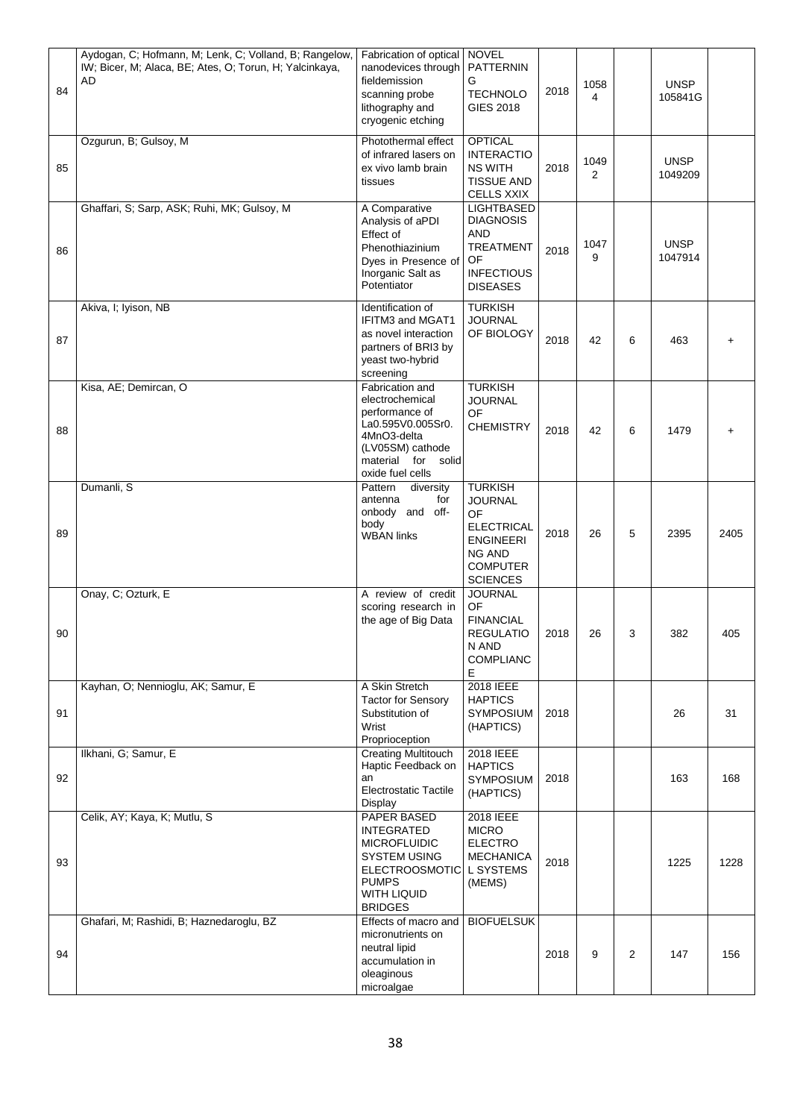| 84 | Aydogan, C; Hofmann, M; Lenk, C; Volland, B; Rangelow,<br>IW; Bicer, M; Alaca, BE; Ates, O; Torun, H; Yalcinkaya,<br>AD | Fabrication of optical NOVEL<br>nanodevices through<br>fieldemission<br>scanning probe<br>lithography and<br>cryogenic etching                                  | PATTERNIN<br>G<br><b>TECHNOLO</b><br><b>GIES 2018</b>                                                                                  | 2018 | 1058<br>4 |                | <b>UNSP</b><br>105841G |      |
|----|-------------------------------------------------------------------------------------------------------------------------|-----------------------------------------------------------------------------------------------------------------------------------------------------------------|----------------------------------------------------------------------------------------------------------------------------------------|------|-----------|----------------|------------------------|------|
| 85 | Ozgurun, B; Gulsoy, M                                                                                                   | Photothermal effect<br>of infrared lasers on<br>ex vivo lamb brain<br>tissues                                                                                   | <b>OPTICAL</b><br><b>INTERACTIO</b><br><b>NS WITH</b><br><b>TISSUE AND</b><br><b>CELLS XXIX</b>                                        | 2018 | 1049<br>2 |                | <b>UNSP</b><br>1049209 |      |
| 86 | Ghaffari, S; Sarp, ASK; Ruhi, MK; Gulsoy, M                                                                             | A Comparative<br>Analysis of aPDI<br>Effect of<br>Phenothiazinium<br>Dyes in Presence of<br>Inorganic Salt as<br>Potentiator                                    | LIGHTBASED<br><b>DIAGNOSIS</b><br><b>AND</b><br><b>TREATMENT</b><br>OF<br><b>INFECTIOUS</b><br><b>DISEASES</b>                         | 2018 | 1047<br>9 |                | <b>UNSP</b><br>1047914 |      |
| 87 | Akiva, I; Iyison, NB                                                                                                    | Identification of<br>IFITM3 and MGAT1<br>as novel interaction<br>partners of BRI3 by<br>yeast two-hybrid<br>screening                                           | <b>TURKISH</b><br><b>JOURNAL</b><br>OF BIOLOGY                                                                                         | 2018 | 42        | 6              | 463                    |      |
| 88 | Kisa, AE; Demircan, O                                                                                                   | Fabrication and<br>electrochemical<br>performance of<br>La0.595V0.005Sr0.<br>4MnO3-delta<br>(LV05SM) cathode<br>material<br>for<br>solid<br>oxide fuel cells    | <b>TURKISH</b><br><b>JOURNAL</b><br>OF<br><b>CHEMISTRY</b>                                                                             | 2018 | 42        | 6              | 1479                   |      |
| 89 | Dumanli, S                                                                                                              | diversity<br>Pattern<br>for<br>antenna<br>onbody and off-<br>body<br><b>WBAN links</b>                                                                          | <b>TURKISH</b><br><b>JOURNAL</b><br>OF<br><b>ELECTRICAL</b><br><b>ENGINEERI</b><br><b>NG AND</b><br><b>COMPUTER</b><br><b>SCIENCES</b> | 2018 | 26        | 5              | 2395                   | 2405 |
| 90 | Onay, C; Ozturk, E                                                                                                      | A review of credit<br>scoring research in<br>the age of Big Data                                                                                                | <b>JOURNAL</b><br>OF<br><b>FINANCIAL</b><br><b>REGULATIO</b><br>N AND<br><b>COMPLIANC</b><br>E                                         | 2018 | 26        | 3              | 382                    | 405  |
| 91 | Kayhan, O; Nennioglu, AK; Samur, E                                                                                      | A Skin Stretch<br><b>Tactor for Sensory</b><br>Substitution of<br>Wrist<br>Proprioception                                                                       | 2018 IEEE<br><b>HAPTICS</b><br><b>SYMPOSIUM</b><br>(HAPTICS)                                                                           | 2018 |           |                | 26                     | 31   |
| 92 | Ilkhani, G; Samur, E                                                                                                    | <b>Creating Multitouch</b><br>Haptic Feedback on<br>an<br><b>Electrostatic Tactile</b><br>Display                                                               | 2018 IEEE<br><b>HAPTICS</b><br><b>SYMPOSIUM</b><br>(HAPTICS)                                                                           | 2018 |           |                | 163                    | 168  |
| 93 | Celik, AY; Kaya, K; Mutlu, S                                                                                            | PAPER BASED<br><b>INTEGRATED</b><br><b>MICROFLUIDIC</b><br><b>SYSTEM USING</b><br><b>ELECTROOSMOTIC</b><br><b>PUMPS</b><br><b>WITH LIQUID</b><br><b>BRIDGES</b> | 2018 IEEE<br><b>MICRO</b><br><b>ELECTRO</b><br><b>MECHANICA</b><br>L SYSTEMS<br>(MEMS)                                                 | 2018 |           |                | 1225                   | 1228 |
| 94 | Ghafari, M; Rashidi, B; Haznedaroglu, BZ                                                                                | Effects of macro and<br>micronutrients on<br>neutral lipid<br>accumulation in<br>oleaginous<br>microalgae                                                       | <b>BIOFUELSUK</b>                                                                                                                      | 2018 | 9         | $\overline{2}$ | 147                    | 156  |